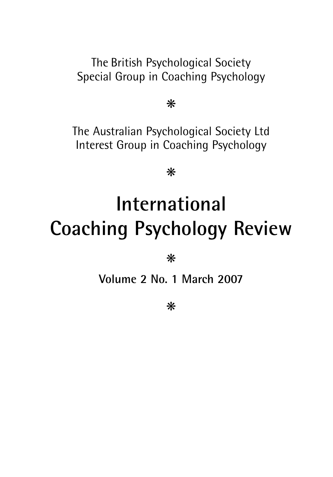## The British Psychological Society Special Group in Coaching Psychology

 $\ast$ 

The Australian Psychological Society Ltd Interest Group in Coaching Psychology

 $\ast$ 

# **International Coaching Psychology Review**

 $\ast$ 

**Volume 2 No. 1 March 2007**

 $\ast$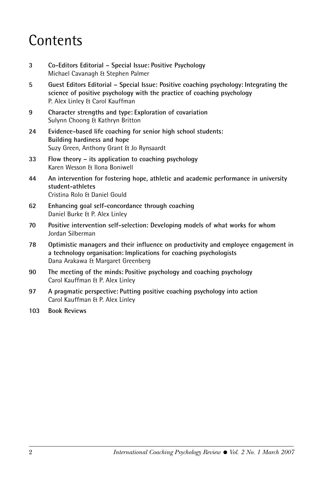## **Contents**

- **3 Co-Editors Editorial Special Issue: Positive Psychology** Michael Cavanagh & Stephen Palmer
- **5 Guest Editors Editorial Special Issue: Positive coaching psychology: Integrating the science of positive psychology with the practice of coaching psychology** P. Alex Linley & Carol Kauffman
- **9 Character strengths and type: Exploration of covariation** Sulynn Choong & Kathryn Britton
- **24 Evidence-based life coaching for senior high school students: Building hardiness and hope** Suzy Green, Anthony Grant & Jo Rynsaardt
- **33 Flow theory its application to coaching psychology** Karen Wesson & Ilona Boniwell
- **44 An intervention for fostering hope, athletic and academic performance in university student-athletes** Cristina Rolo & Daniel Gould
- **62 Enhancing goal self-concordance through coaching** Daniel Burke & P. Alex Linley
- **70 Positive intervention self-selection: Developing models of what works for whom** Jordan Silberman
- **78 Optimistic managers and their influence on productivity and employee engagement in a technology organisation: Implications for coaching psychologists** Dana Arakawa & Margaret Greenberg
- **90 The meeting of the minds: Positive psychology and coaching psychology** Carol Kauffman & P. Alex Linley
- **97 A pragmatic perspective: Putting positive coaching psychology into action** Carol Kauffman & P. Alex Linley
- **103 Book Reviews**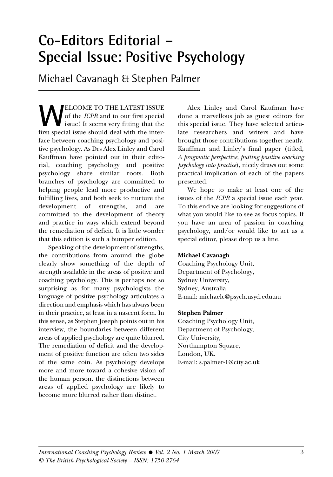## **Co-Editors Editorial – Special Issue: Positive Psychology**

Michael Cavanagh & Stephen Palmer

**WELCOME TO THE LATEST ISSUE**<br>of the *ICPR* and to our first special<br>issue! It seems very fitting that the<br>first special issue should deal with the interof the *ICPR* and to our first special issue! It seems very fitting that the first special issue should deal with the interface between coaching psychology and positive psychology. As Drs Alex Linley and Carol Kauffman have pointed out in their editorial, coaching psychology and positive psychology share similar roots. Both branches of psychology are committed to helping people lead more productive and fulfilling lives, and both seek to nurture the development of strengths, and are committed to the development of theory and practice in ways which extend beyond the remediation of deficit. It is little wonder that this edition is such a bumper edition.

Speaking of the development of strengths, the contributions from around the globe clearly show something of the depth of strength available in the areas of positive and coaching psychology. This is perhaps not so surprising as for many psychologists the language of positive psychology articulates a direction and emphasis which has always been in their practice, at least in a nascent form. In this sense, as Stephen Joseph points out in his interview, the boundaries between different areas of applied psychology are quite blurred. The remediation of deficit and the development of positive function are often two sides of the same coin. As psychology develops more and more toward a cohesive vision of the human person, the distinctions between areas of applied psychology are likely to become more blurred rather than distinct.

Alex Linley and Carol Kaufman have done a marvellous job as guest editors for this special issue. They have selected articulate researchers and writers and have brought those contributions together neatly. Kauffman and Linley's final paper (titled, *A pragmatic perspective, putting positive coaching psychology into practice*), nicely draws out some practical implication of each of the papers presented.

We hope to make at least one of the issues of the *ICPR* a special issue each year. To this end we are looking for suggestions of what you would like to see as focus topics. If you have an area of passion in coaching psychology, and/or would like to act as a special editor, please drop us a line.

#### **Michael Cavanagh**

Coaching Psychology Unit, Department of Psychology, Sydney University, Sydney, Australia. E-mail: michaelc@psych.usyd.edu.au

#### **Stephen Palmer**

Coaching Psychology Unit, Department of Psychology, City University, Northampton Square, London, UK. E-mail: s.palmer-1@city.ac.uk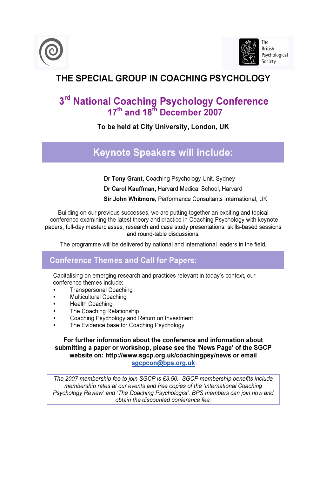



### **THE SPECIAL GROUP IN COACHING PSYCHOLOGY**

### **3rd National Coaching Psychology Conference 17th and 18th December 2007**

#### **To be held at City University, London, UK**

### **Keynote Speakers will include:**

**Dr Tony Grant,** Coaching Psychology Unit, Sydney

**Dr Carol Kauffman,** Harvard Medical School, Harvard

**Sir John Whitmore,** Performance Consultants International, UK

Building on our previous successes, we are putting together an exciting and topical conference examining the latest theory and practice in Coaching Psychology with keynote papers, full-day masterclasses, research and case study presentations, skills-based sessions and round-table discussions.

The programme will be delivered by national and international leaders in the field.

#### **Conference Themes and Call for Papers:**

Capitalising on emerging research and practices relevant in today's context, our conference themes include:

- Transpersonal Coaching
- Multicultural Coaching
- **Health Coaching**
- The Coaching Relationship
- Coaching Psychology and Return on Investment
- The Evidence base for Coaching Psychology

**For further information about the conference and information about submitting a paper or workshop, please see the 'News Page' of the SGCP website on: http://www.sgcp.org.uk/coachingpsy/news or email sgcpcon@bps.org.uk**

*The 2007 membership fee to join SGCP is £3.50. SGCP membership benefits include membership rates at our events and free copies of the 'International Coaching Psychology Review' and 'The Coaching Psychologist'. BPS members can join now and obtain the discounted conference fee.*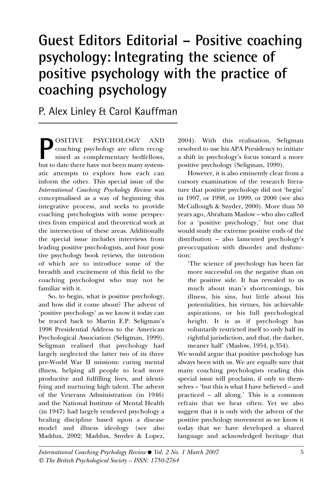## **Guest Editors Editorial – Positive coaching psychology: Integrating the science of positive psychology with the practice of coaching psychology**

### P. Alex Linley & Carol Kauffman

**P** OSITIVE PSYCHOLOGY AND<br>coaching psychology are often recog-<br>nised as complementary bedfellows,<br>but to date there have not been many systemcoaching psychology are often recognised as complementary bedfellows, but to date there have not been many systematic attempts to explore how each can inform the other. This special issue of the *International Coaching Psychology Review* was conceptualised as a way of beginning this integrative process, and seeks to provide coaching psychologists with some perspectives from empirical and theoretical work at the intersection of these areas. Additionally the special issue includes interviews from leading positive psychologists, and four positive psychology book reviews, the intention of which are to introduce some of the breadth and excitement of this field to the coaching psychologist who may not be familiar with it.

So, to begin, what is positive psychology, and how did it come about? The advent of 'positive psychology' as we know it today can be traced back to Martin E.P. Seligman's 1998 Presidential Address to the American Psychological Association (Seligman, 1999). Seligman realised that psychology had largely neglected the latter two of its three pre-World War II missions: curing mental illness, helping all people to lead more productive and fulfilling lives, and identifying and nurturing high talent. The advent of the Veterans Administration (in 1946) and the National Institute of Mental Health (in 1947) had largely rendered psychology a healing discipline based upon a disease model and illness ideology (see also Maddux, 2002; Maddux, Snyder & Lopez, 2004). With this realisation, Seligman resolved to use his APA Presidency to initiate a shift in psychology's focus toward a more positive psychology (Seligman, 1999).

However, it is also eminently clear from a cursory examination of the research literature that positive psychology did not 'begin' in 1997, or 1998, or 1999, or 2000 (see also McCullough & Snyder, 2000). More than 50 years ago, Abraham Maslow – who also called for a 'positive psychology,' but one that would study the extreme positive ends of the distribution – also lamented psychology's preoccupation with disorder and dysfunction:

'The science of psychology has been far more successful on the negative than on the positive side. It has revealed to us much about man's shortcomings, his illness, his sins, but little about his potentialities, his virtues, his achievable aspirations, or his full psychological height. It is as if psychology has voluntarily restricted itself to only half its rightful jurisdiction, and that, the darker, meaner half' (Maslow, 1954, p.354).

We would argue that positive psychology has always been with us. We are equally sure that many coaching psychologists reading this special issue will proclaim, if only to themselves – 'but this is what I have believed – and practiced – all along.' This is a common refrain that we hear often. Yet we also suggest that it is only with the advent of the positive psychology movement as we know it today that we have developed a shared language and acknowledged heritage that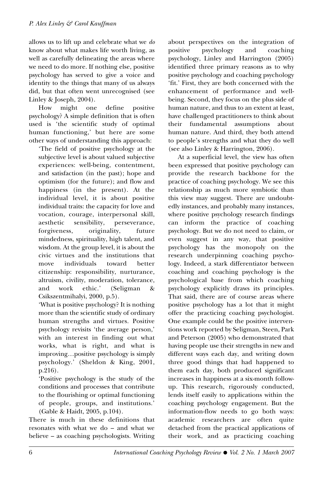allows us to lift up and celebrate what we *do* know about what makes life worth living, as well as carefully delineating the areas where we need to do more. If nothing else, positive psychology has served to give a voice and identity to the things that many of us always did, but that often went unrecognised (see Linley & Joseph, 2004).

How might one define positive psychology? A simple definition that is often used is 'the scientific study of optimal human functioning,' but here are some other ways of understanding this approach:

'The field of positive psychology at the subjective level is about valued subjective experiences: well-being, contentment, and satisfaction (in the past); hope and optimism (for the future); and flow and happiness (in the present). At the individual level, it is about positive individual traits: the capacity for love and vocation, courage, interpersonal skill, aesthetic sensibility, perseverance, forgiveness, originality, future mindedness, spirituality, high talent, and wisdom. At the group level, it is about the civic virtues and the institutions that move individuals toward better citizenship: responsibility, nurturance, altruism, civility, moderation, tolerance, and work ethic.' (Seligman & Csikszentmihalyi, 2000, p.5).

'What is positive psychology? It is nothing more than the scientific study of ordinary human strengths and virtues. Positive psychology revisits 'the average person,' with an interest in finding out what works, what is right, and what is improving…positive psychology is simply psychology.' (Sheldon & King, 2001, p.216).

'Positive psychology is the study of the conditions and processes that contribute to the flourishing or optimal functioning of people, groups, and institutions.' (Gable & Haidt, 2005, p.104).

There is much in these definitions that resonates with what we do – and what we believe – as coaching psychologists. Writing about perspectives on the integration of positive psychology and coaching psychology, Linley and Harrington (2005) identified three primary reasons as to why positive psychology and coaching psychology 'fit.' First, they are both concerned with the enhancement of performance and wellbeing. Second, they focus on the plus side of human nature, and thus to an extent at least, have challenged practitioners to think about their fundamental assumptions about human nature. And third, they both attend to people's strengths and what they do well (see also Linley & Harrington, 2006).

At a superficial level, the view has often been expressed that positive psychology can provide the research backbone for the practice of coaching psychology. We see this relationship as much more symbiotic than this view may suggest. There are undoubtedly instances, and probably many instances, where positive psychology research findings can inform the practice of coaching psychology. But we do not need to claim, or even suggest in any way, that positive psychology has the monopoly on the research underpinning coaching psychology. Indeed, a stark differentiator between coaching and coaching psychology is the psychological base from which coaching psychology explicitly draws its principles. That said, there are of course areas where positive psychology has a lot that it might offer the practicing coaching psychologist. One example could be the positive interventions work reported by Seligman, Steen, Park and Peterson (2005) who demonstrated that having people use their strengths in new and different ways each day, and writing down three good things that had happened to them each day, both produced significant increases in happiness at a six-month followup. This research, rigorously conducted, lends itself easily to applications within the coaching psychology engagement. But the information-flow needs to go both ways: academic researchers are often quite detached from the practical applications of their work, and as practicing coaching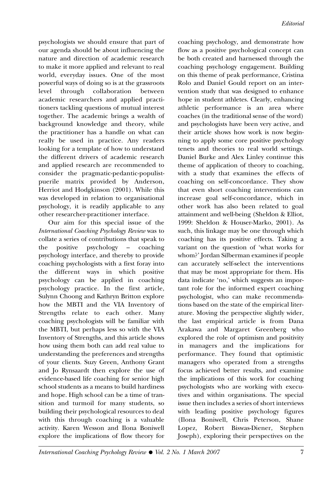psychologists we should ensure that part of our agenda should be about influencing the nature and direction of academic research to make it more applied and relevant to real world, everyday issues. One of the most powerful ways of doing so is at the grassroots level through collaboration between academic researchers and applied practitioners tackling questions of mutual interest together. The academic brings a wealth of background knowledge and theory, while the practitioner has a handle on what can really be used in practice. Any readers looking for a template of how to understand the different drivers of academic research and applied research are recommended to consider the pragmatic-pedantic-populistpuerile matrix provided by Anderson, Herriot and Hodgkinson (2001). While this was developed in relation to organisational psychology, it is readily applicable to any other researcher-practitioner interface.

Our aim for this special issue of the *International Coaching Psychology Review* was to collate a series of contributions that speak to the positive psychology – coaching psychology interface, and thereby to provide coaching psychologists with a first foray into the different ways in which positive psychology can be applied in coaching psychology practice. In the first article, Sulynn Choong and Kathryn Britton explore how the MBTI and the VIA Inventory of Strengths relate to each other. Many coaching psychologists will be familiar with the MBTI, but perhaps less so with the VIA Inventory of Strengths, and this article shows how using them both can add real value to understanding the preferences and strengths of your clients. Suzy Green, Anthony Grant and Jo Rynsaardt then explore the use of evidence-based life coaching for senior high school students as a means to build hardiness and hope. High school can be a time of transition and turmoil for many students, so building their psychological resources to deal with this through coaching is a valuable activity. Karen Wesson and Ilona Boniwell explore the implications of flow theory for

coaching psychology, and demonstrate how flow as a positive psychological concept can be both created and harnessed through the coaching psychology engagement. Building on this theme of peak performance, Cristina Rolo and Daniel Gould report on an intervention study that was designed to enhance hope in student athletes. Clearly, enhancing athletic performance is an area where coaches (in the traditional sense of the word) and psychologists have been very active, and their article shows how work is now beginning to apply some core positive psychology tenets and theories to real world settings. Daniel Burke and Alex Linley continue this theme of application of theory to coaching, with a study that examines the effects of coaching on self-concordance. They show that even short coaching interventions can increase goal self-concordance, which in other work has also been related to goal attainment and well-being (Sheldon & Elliot, 1999: Sheldon & Houser-Marko, 2001). As such, this linkage may be one through which coaching has its positive effects. Taking a variant on the question of 'what works for whom?' Jordan Silberman examines if people can accurately self-select the interventions that may be most appropriate for them. His data indicate 'no,' which suggests an important role for the informed expert coaching psychologist, who can make recommendations based on the state of the empirical literature. Moving the perspective slightly wider, the last empirical article is from Dana Arakawa and Margaret Greenberg who explored the role of optimism and positivity in managers and the implications for performance. They found that optimistic managers who operated from a strengths focus achieved better results, and examine the implications of this work for coaching psychologists who are working with executives and within organisations. The special issue then includes a series of short interviews with leading positive psychology figures (Ilona Boniwell, Chris Peterson, Shane Lopez, Robert Biswas-Diener, Stephen Joseph), exploring their perspectives on the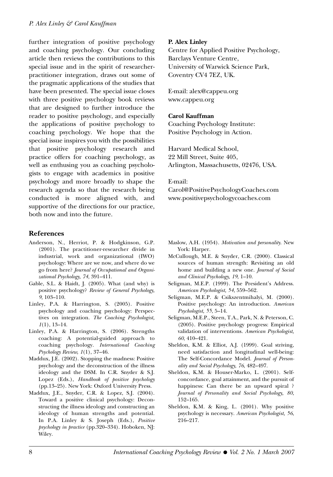further integration of positive psychology and coaching psychology. Our concluding article then reviews the contributions to this special issue and in the spirit of researcherpractitioner integration, draws out some of the pragmatic applications of the studies that have been presented. The special issue closes with three positive psychology book reviews that are designed to further introduce the reader to positive psychology, and especially the applications of positive psychology to coaching psychology. We hope that the special issue inspires you with the possibilities that positive psychology research and practice offers for coaching psychology, as well as enthusing you as coaching psychologists to engage with academics in positive psychology and more broadly to shape the research agenda so that the research being conducted is more aligned with, and supportive of the directions for our practice, both now and into the future.

#### **References**

- Anderson, N., Herriot, P. & Hodgkinson, G.P. (2001). The practitioner-researcher divide in industrial, work and organizational (IWO) psychology: Where are we now, and where do we go from here? *Journal of Occupational and Organizational Psychology, 74*, 391–411.
- Gable, S.L. & Haidt, J. (2005). What (and why) is positive psychology? *Review of General Psychology, 9*, 103–110.
- Linley, P.A. & Harrington, S. (2005). Positive psychology and coaching psychology: Perspectives on integration. *The Coaching Psychologist, 1*(1), 13–14.
- Linley, P.A. & Harrington, S. (2006). Strengths coaching: A potential-guided approach to coaching psychology. *International Coaching Psychology Review, 1*(1), 37–46.
- Maddux, J.E. (2002). Stopping the madness: Positive psychology and the deconstruction of the illness ideology and the DSM. In C.R. Snyder & S.J. Lopez (Eds.), *Handbook of positive psychology* (pp.13–25). New York: Oxford University Press.
- Maddux, J.E., Snyder, C.R. & Lopez, S.J. (2004). Toward a positive clinical psychology: Deconstructing the illness ideology and constructing an ideology of human strengths and potential. In P.A. Linley & S. Joseph (Eds.), *Positive psychology in practice* (pp.320–334). Hoboken, NJ: Wiley.

#### **P. Alex Linley**

Centre for Applied Positive Psychology, Barclays Venture Centre, University of Warwick Science Park, Coventry CV4 7EZ, UK.

E-mail: alex@cappeu.org www.cappeu.org

#### **Carol Kauffman**

Coaching Psychology Institute: Positive Psychology in Action.

Harvard Medical School, 22 Mill Street, Suite 405, Arlington, Massachusetts, 02476, USA.

#### E-mail:

Carol@PositivePsychologyCoaches.com www.positivepsychologycoaches.com

- Maslow, A.H. (1954). *Motivation and personality.* New York: Harper.
- McCullough, M.E. & Snyder, C.R. (2000). Classical sources of human strength: Revisiting an old home and building a new one. *Journal of Social and Clinical Psychology, 19*, 1–10.
- Seligman, M.E.P. (1999). The President's Address. *American Psychologist, 54*, 559–562.
- Seligman, M.E.P. & Csikszentmihalyi, M. (2000). Positive psychology: An introduction. *American Psychologist, 55*, 5–14.
- Seligman, M.E.P., Steen, T.A., Park, N. & Peterson, C. (2005). Positive psychology progress: Empirical validation of interventions. *American Psychologist, 60*, 410–421.
- Sheldon, K.M. & Elliot, A.J. (1999). Goal striving, need satisfaction and longitudinal well-being: The Self-Concordance Model. *Journal of Personality and Social Psychology, 76*, 482–497.
- Sheldon, K.M. & Houser-Marko, L. (2001). Selfconcordance, goal attainment, and the pursuit of happiness: Can there be an upward spiral ? *Journal of Personality and Social Psychology, 80*, 152–165.
- Sheldon, K.M. & King, L. (2001). Why positive psychology is necessary. *American Psychologist, 56*, 216–217.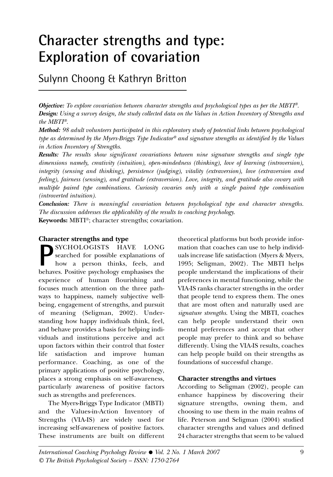## **Character strengths and type: Exploration of covariation**

### Sulynn Choong & Kathryn Britton

**Objective:** *To explore covariation between character strengths and psychological types as per the MBTI®.*  **Design:** *Using a survey design, the study collected data on the Values in Action Inventory of Strengths and the MBTI®.*

**Method:** *98 adult volunteers participated in this exploratory study of potential links between psychological type as determined by the Myers-Briggs Type Indicator® and signature strengths as identified by the Values in Action Inventory of Strengths.*

**Results:** *The results show significant covariations between nine signature strengths and single type dimensions namely, creativity (intuition), open-mindedness (thinking), love of learning (introversion), integrity (sensing and thinking), persistence (judging), vitality (extraversion), love (extraversion and feeling), fairness (sensing), and gratitude (extraversion). Love, integrity, and gratitude also covary with multiple paired type combinations. Curiosity covaries only with a single paired type combination (introverted intuition).* 

**Conclusion:** *There is meaningful covariation between psychological type and character strengths. The discussion addresses the applicability of the results to coaching psychology.* **Keywords:** MBTI®; character strengths; covariation.

#### **Character strengths and type**

**P** SYCHOLOGISTS HAVE LONG<br>
searched for possible explanations of<br>
how a person thinks, feels, and<br>
behaves Positive psychology emphasises the searched for possible explanations of behaves. Positive psychology emphasises the experience of human flourishing and focuses much attention on the three pathways to happiness, namely subjective wellbeing, engagement of strengths, and pursuit of meaning (Seligman, 2002). Understanding how happy individuals think, feel, and behave provides a basis for helping individuals and institutions perceive and act upon factors within their control that foster life satisfaction and improve human performance. Coaching, as one of the primary applications of positive psychology, places a strong emphasis on self-awareness, particularly awareness of positive factors such as strengths and preferences.

The Myers-Briggs Type Indicator (MBTI) and the Values-in-Action Inventory of Strengths (VIA-IS) are widely used for increasing self-awareness of positive factors. These instruments are built on different theoretical platforms but both provide information that coaches can use to help individuals increase life satisfaction (Myers & Myers, 1995; Seligman, 2002). The MBTI helps people understand the implications of their preferences in mental functioning, while the VIA-IS ranks character strengths in the order that people tend to express them. The ones that are most often and naturally used are *signature strengths*. Using the MBTI, coaches can help people understand their own mental preferences and accept that other people may prefer to think and so behave differently. Using the VIA-IS results, coaches can help people build on their strengths as foundations of successful change.

#### **Character strengths and virtues**

According to Seligman (2002), people can enhance happiness by discovering their signature strengths, owning them, and choosing to use them in the main realms of life. Peterson and Seligman (2004) studied character strengths and values and defined 24 character strengths that seem to be valued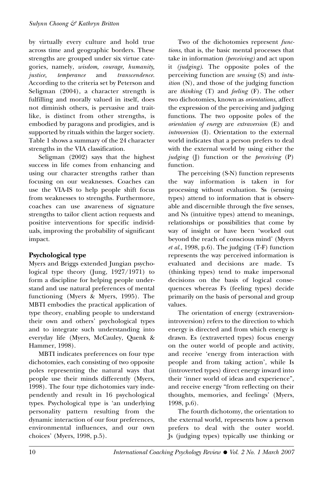by virtually every culture and hold true across time and geographic borders. These strengths are grouped under six virtue categories, namely, *wisdom, courage, humanity, justice, temperance* and *transcendence*. According to the criteria set by Peterson and Seligman (2004), a character strength is fulfilling and morally valued in itself, does not diminish others, is pervasive and traitlike, is distinct from other strengths, is embodied by paragons and prodigies, and is supported by rituals within the larger society. Table 1 shows a summary of the 24 character strengths in the VIA classification.

Seligman (2002) says that the highest success in life comes from enhancing and using our character strengths rather than focusing on our weaknesses. Coaches can use the VIA-IS to help people shift focus from weaknesses to strengths. Furthermore, coaches can use awareness of signature strengths to tailor client action requests and positive interventions for specific individuals, improving the probability of significant impact.

#### **Psychological type**

Myers and Briggs extended Jungian psychological type theory (Jung, 1927/1971) to form a discipline for helping people understand and use natural preferences of mental functioning (Myers & Myers, 1995). The MBTI embodies the practical application of type theory, enabling people to understand their own and others' psychological types and to integrate such understanding into everyday life (Myers, McCauley, Quenk & Hammer, 1998).

MBTI indicates preferences on four type dichotomies, each consisting of two opposite poles representing the natural ways that people use their minds differently (Myers, 1998). The four type dichotomies vary independently and result in 16 psychological types. Psychological type is 'an underlying personality pattern resulting from the dynamic interaction of our four preferences, environmental influences, and our own choices' (Myers, 1998, p.5).

Two of the dichotomies represent *functions*, that is, the basic mental processes that take in information *(perceiving)* and act upon it *(judging)*. The opposite poles of the perceiving function are *sensing* (S) and *intuition* (N), and those of the judging function are *thinking* (T) and *feeling* (F). The other two dichotomies, known as *orientations*, affect the expression of the perceiving and judging functions. The two opposite poles of the *orientation of energy* are *extraversion* (E) and *introversion* (I). Orientation to the external world indicates that a person prefers to deal with the external world by using either the *judging* (J) function or the *perceiving* (P) function.

The perceiving (S-N) function represents the way information is taken in for processing without evaluation. Ss (sensing types) attend to information that is observable and discernible through the five senses, and Ns (intuitive types) attend to meanings, relationships or possibilities that come by way of insight or have been 'worked out beyond the reach of conscious mind' (Myers *et al.*, 1998, p.6). The judging (T-F) function represents the way perceived information is evaluated and decisions are made. Ts (thinking types) tend to make impersonal decisions on the basis of logical consequences whereas Fs (feeling types) decide primarily on the basis of personal and group values.

The orientation of energy (extraversionintroversion) refers to the direction to which energy is directed and from which energy is drawn. Es (extraverted types) focus energy on the outer world of people and activity, and receive 'energy from interaction with people and from taking action', while Is (introverted types) direct energy inward into their 'inner world of ideas and experience", and receive energy "from reflecting on their thoughts, memories, and feelings' (Myers, 1998, p.6).

The fourth dichotomy, the orientation to the external world, represents how a person prefers to deal with the outer world. Js (judging types) typically use thinking or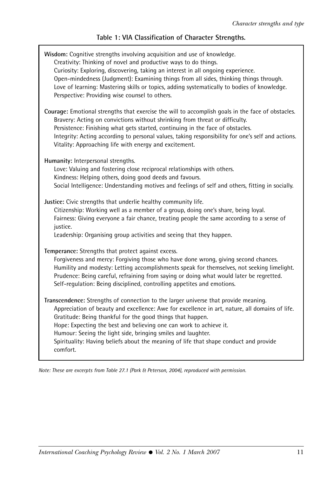#### **Table 1: VIA Classification of Character Strengths.**

| Wisdom: Cognitive strengths involving acquisition and use of knowledge.<br>Creativity: Thinking of novel and productive ways to do things.<br>Curiosity: Exploring, discovering, taking an interest in all ongoing experience.<br>Open-mindedness (Judgment): Examining things from all sides, thinking things through.<br>Love of learning: Mastering skills or topics, adding systematically to bodies of knowledge.<br>Perspective: Providing wise counsel to others.                       |
|------------------------------------------------------------------------------------------------------------------------------------------------------------------------------------------------------------------------------------------------------------------------------------------------------------------------------------------------------------------------------------------------------------------------------------------------------------------------------------------------|
| Courage: Emotional strengths that exercise the will to accomplish goals in the face of obstacles.<br>Bravery: Acting on convictions without shrinking from threat or difficulty.<br>Persistence: Finishing what gets started, continuing in the face of obstacles.<br>Integrity: Acting according to personal values, taking responsibility for one's self and actions.<br>Vitality: Approaching life with energy and excitement.                                                              |
| Humanity: Interpersonal strengths.<br>Love: Valuing and fostering close reciprocal relationships with others.<br>Kindness: Helping others, doing good deeds and favours.<br>Social Intelligence: Understanding motives and feelings of self and others, fitting in socially.                                                                                                                                                                                                                   |
| Justice: Civic strengths that underlie healthy community life.<br>Citizenship: Working well as a member of a group, doing one's share, being loyal.<br>Fairness: Giving everyone a fair chance, treating people the same according to a sense of<br>justice.<br>Leadership: Organising group activities and seeing that they happen.                                                                                                                                                           |
| Temperance: Strengths that protect against excess.<br>Forgiveness and mercy: Forgiving those who have done wrong, giving second chances.<br>Humility and modesty: Letting accomplishments speak for themselves, not seeking limelight.<br>Prudence: Being careful, refraining from saying or doing what would later be regretted.<br>Self-regulation: Being disciplined, controlling appetites and emotions.                                                                                   |
| Transcendence: Strengths of connection to the larger universe that provide meaning.<br>Appreciation of beauty and excellence: Awe for excellence in art, nature, all domains of life.<br>Gratitude: Being thankful for the good things that happen.<br>Hope: Expecting the best and believing one can work to achieve it.<br>Humour: Seeing the light side, bringing smiles and laughter.<br>Spirituality: Having beliefs about the meaning of life that shape conduct and provide<br>comfort. |

*Note: These are excerpts from Table 27.1 (Park & Peterson, 2004), reproduced with permission.*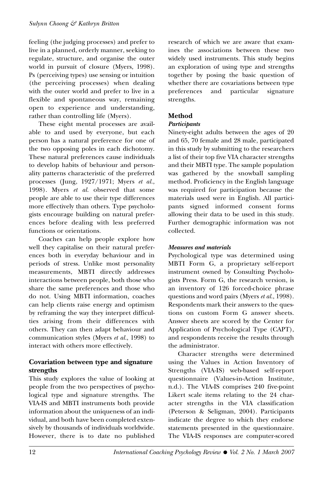feeling (the judging processes) and prefer to live in a planned, orderly manner, seeking to regulate, structure, and organise the outer world in pursuit of closure (Myers, 1998). Ps (perceiving types) use sensing or intuition (the perceiving processes) when dealing with the outer world and prefer to live in a flexible and spontaneous way, remaining open to experience and understanding, rather than controlling life (Myers).

These eight mental processes are available to and used by everyone, but each person has a natural preference for one of the two opposing poles in each dichotomy. These natural preferences cause individuals to develop habits of behaviour and personality patterns characteristic of the preferred processes (Jung, 1927/1971; Myers *et al.*, 1998). Myers *et al.* observed that some people are able to use their type differences more effectively than others. Type psychologists encourage building on natural preferences before dealing with less preferred functions or orientations.

Coaches can help people explore how well they capitalise on their natural preferences both in everyday behaviour and in periods of stress. Unlike most personality measurements, MBTI directly addresses interactions between people, both those who share the same preferences and those who do not. Using MBTI information, coaches can help clients raise energy and optimism by reframing the way they interpret difficulties arising from their differences with others. They can then adapt behaviour and communication styles (Myers *et al.*, 1998) to interact with others more effectively.

#### **Covariation between type and signature strengths**

This study explores the value of looking at people from the two perspectives of psychological type and signature strengths. The VIA-IS and MBTI instruments both provide information about the uniqueness of an individual, and both have been completed extensively by thousands of individuals worldwide. However, there is to date no published research of which we are aware that examines the associations between these two widely used instruments. This study begins an exploration of using type and strengths together by posing the basic question of whether there are covariations between type preferences and particular signature strengths.

#### **Method**

#### **Participants**

Ninety-eight adults between the ages of 20 and 65, 70 female and 28 male, participated in this study by submitting to the researchers a list of their top five VIA character strengths and their MBTI type. The sample population was gathered by the snowball sampling method. Proficiency in the English language was required for participation because the materials used were in English. All participants signed informed consent forms allowing their data to be used in this study. Further demographic information was not collected.

#### **Measures and materials**

Psychological type was determined using MBTI Form G, a proprietary self-report instrument owned by Consulting Psychologists Press. Form G, the research version, is an inventory of 126 forced-choice phrase questions and word pairs (Myers *et al.*, 1998). Respondents mark their answers to the questions on custom Form G answer sheets. Answer sheets are scored by the Center for Application of Psychological Type (CAPT), and respondents receive the results through the administrator.

Character strengths were determined using the Values in Action Inventory of Strengths (VIA-IS) web-based self-report questionnaire (Values-in-Action Institute, n.d.). The VIA-IS comprises 240 five-point Likert scale items relating to the 24 character strengths in the VIA classification (Peterson & Seligman, 2004). Participants indicate the degree to which they endorse statements presented in the questionnaire. The VIA-IS responses are computer-scored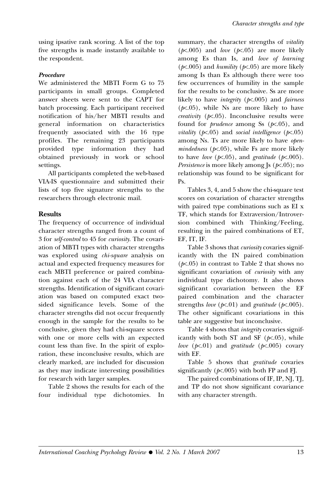using ipsative rank scoring. A list of the top five strengths is made instantly available to the respondent.

#### **Procedure**

We administered the MBTI Form G to 75 participants in small groups. Completed answer sheets were sent to the CAPT for batch processing. Each participant received notification of his/her MBTI results and general information on characteristics frequently associated with the 16 type profiles. The remaining 23 participants provided type information they had obtained previously in work or school settings.

All participants completed the web-based VIA-IS questionnaire and submitted their lists of top five signature strengths to the researchers through electronic mail.

#### **Results**

The frequency of occurrence of individual character strengths ranged from a count of 3 for *self-control* to 45 for *curiosity*. The covariation of MBTI types with character strengths was explored using *chi-square* analysis on actual and expected frequency measures for each MBTI preference or paired combination against each of the 24 VIA character strengths. Identification of significant covariation was based on computed exact twosided significance levels. Some of the character strengths did not occur frequently enough in the sample for the results to be conclusive, given they had chi-square scores with one or more cells with an expected count less than five. In the spirit of exploration, these inconclusive results, which are clearly marked, are included for discussion as they may indicate interesting possibilities for research with larger samples.

Table 2 shows the results for each of the four individual type dichotomies. In

summary, the character strengths of *vitality*  $(\cancel{p} \times 0.005)$  and *love*  $(\cancel{p} \times 0.05)$  are more likely among Es than Is, and *love of learning*  $(\cancel{p} < .005)$  and *humility* ( $\cancel{p} < .05$ ) are more likely among Is than Es although there were too few occurrences of humility in the sample for the results to be conclusive. Ss are more likely to have *integrity* (*p*<.005) and *fairness*  $(\cancel{p} < .05)$ , while Ns are more likely to have *creativity* (*p*<.05). Inconclusive results were found for *prudence* among Ss (*p*<.05), and *vitality* (*p*<.05) and *social intelligence* (*p*<.05) among Ns. Ts are more likely to have *open* $mindedness$  ( $p<.05$ ), while Fs are more likely to have *love* ( $p \le 0.05$ ), and *gratitude* ( $p \le 0.005$ ). *Persistence* is more likely among [s  $(p<.05)$ ; no relationship was found to be significant for Ps.

Tables 3, 4, and 5 show the chi-square test scores on covariation of character strengths with paired type combinations such as EI x TF, which stands for Extraversion/Introversion combined with Thinking/Feeling, resulting in the paired combinations of ET, EF, IT, IF.

Table 3 shows that *curiosity* covaries significantly with the IN paired combination (*p*<.05) in contrast to Table 2 that shows no significant covariation of *curiosity* with any individual type dichotomy. It also shows significant covariation between the EF paired combination and the character strengths *love* ( $p \le 01$ ) and *gratitude* ( $p \le 005$ ). The other significant covariations in this table are suggestive but inconclusive.

Table 4 shows that *integrity* covaries significantly with both ST and SF  $(p<sub>x</sub>.05)$ , while *love* ( $p \nless 01$ ) and *gratitude* ( $p \nless 005$ ) covary with EF.

Table 5 shows that *gratitude* covaries significantly (*p*<.005) with both FP and FJ.

The paired combinations of IF, IP, NJ, TJ, and TP do not show significant covariance with any character strength.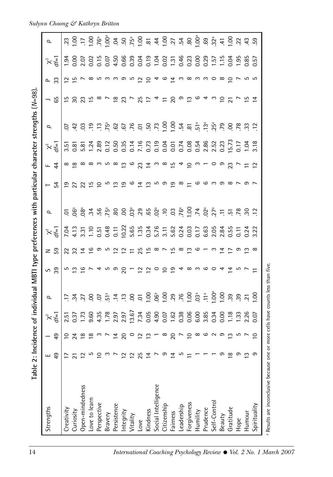|                     | Table 2: Incide | nce     |          | of individual | MBTI                    |                       | type preterences | with | particular                                         | character |         | strenaths | $(N=98)$ .              |                                                              |          |                                                                                                                                                                                                                                                                                                                                                                                                                                                            |
|---------------------|-----------------|---------|----------|---------------|-------------------------|-----------------------|------------------|------|----------------------------------------------------|-----------|---------|-----------|-------------------------|--------------------------------------------------------------|----------|------------------------------------------------------------------------------------------------------------------------------------------------------------------------------------------------------------------------------------------------------------------------------------------------------------------------------------------------------------------------------------------------------------------------------------------------------------|
| Strengths           |                 | .<br>49 | $x \neq$ | Q             | ი<br>ვე                 | = ສ                   | $x^2 \neq 1$     | p    | ⊢ ౘ                                                | $-4$      | $x^2 +$ | Q         | ე<br>მე                 | ല ജ                                                          | $x \neq$ | p                                                                                                                                                                                                                                                                                                                                                                                                                                                          |
|                     | 49              |         |          |               |                         |                       |                  |      |                                                    |           |         |           |                         |                                                              |          |                                                                                                                                                                                                                                                                                                                                                                                                                                                            |
| Creativity          |                 |         |          |               |                         |                       |                  |      |                                                    |           |         |           |                         |                                                              |          |                                                                                                                                                                                                                                                                                                                                                                                                                                                            |
| Curiosity           |                 |         |          |               |                         |                       |                  |      |                                                    |           |         |           |                         |                                                              |          |                                                                                                                                                                                                                                                                                                                                                                                                                                                            |
| Open-mindedness     |                 |         |          |               |                         | ひかはおっち                |                  |      | <b>10 2 3 4 5 5 5</b>                              |           |         |           | <b>にのみに</b>             | <i>5</i> 5 7 8 7 8 9 9 9 9 9 7 5 4 6 4 9 9 9 9 0 9 0 7 0 9 9 |          | $\begin{array}{ccc} \mathcal{L}_1^1 & \mathcal{C}_2^1 & \mathcal{C}_3 & \mathcal{C}_4 & \mathcal{C}_5 & \mathcal{C}_6 & \mathcal{C}_7 & \mathcal{C}_7 & \mathcal{C}_8 & \mathcal{C}_8 & \mathcal{C}_9 & \mathcal{C}_9 & \mathcal{C}_9 & \mathcal{C}_9 & \mathcal{C}_9 & \mathcal{C}_9 & \mathcal{C}_9 & \mathcal{C}_9 & \mathcal{C}_9 & \mathcal{C}_9 & \mathcal{C}_9 & \mathcal{C}_9 & \mathcal{C}_9 & \mathcal{C}_9 & \mathcal{C}_9 & \mathcal{C}_9 & \$ |
| ove to learn        |                 |         |          |               |                         |                       |                  |      |                                                    |           |         |           |                         |                                                              |          |                                                                                                                                                                                                                                                                                                                                                                                                                                                            |
| Perspective         |                 |         |          |               |                         |                       |                  |      |                                                    |           |         |           | $\infty$                |                                                              |          |                                                                                                                                                                                                                                                                                                                                                                                                                                                            |
| Bravery             |                 |         |          |               |                         |                       |                  |      |                                                    |           |         |           |                         |                                                              |          |                                                                                                                                                                                                                                                                                                                                                                                                                                                            |
| Persistence         |                 |         |          |               |                         |                       |                  |      |                                                    |           |         |           | $\frac{\infty}{\infty}$ |                                                              |          |                                                                                                                                                                                                                                                                                                                                                                                                                                                            |
| Integrity           |                 |         |          |               |                         | 225000                |                  |      | ဍ                                                  |           |         |           |                         |                                                              |          |                                                                                                                                                                                                                                                                                                                                                                                                                                                            |
| Vitality            |                 |         |          |               |                         |                       |                  |      | $\circ$                                            |           |         |           |                         |                                                              |          |                                                                                                                                                                                                                                                                                                                                                                                                                                                            |
| Love                |                 |         |          |               |                         |                       |                  |      |                                                    |           |         |           |                         |                                                              |          |                                                                                                                                                                                                                                                                                                                                                                                                                                                            |
| Kindness            |                 |         |          |               |                         |                       |                  |      |                                                    |           |         |           |                         |                                                              |          |                                                                                                                                                                                                                                                                                                                                                                                                                                                            |
| Social Intelligence |                 |         |          |               |                         |                       |                  |      | $\overline{a}$ is $\overline{a}$ in $\overline{a}$ |           |         |           |                         |                                                              |          |                                                                                                                                                                                                                                                                                                                                                                                                                                                            |
| Citizenship         |                 |         |          |               |                         | r 1<br>1              |                  |      |                                                    |           |         |           |                         |                                                              |          |                                                                                                                                                                                                                                                                                                                                                                                                                                                            |
| Fairness            |                 |         |          |               | $0.8 - 5.5$ $0.5$ $0.4$ |                       |                  |      | $\overline{5}$ $\infty$ $\overline{5}$             |           |         |           | $27 - 29 - 29$          |                                                              |          |                                                                                                                                                                                                                                                                                                                                                                                                                                                            |
| eadership           |                 |         |          |               |                         | $\infty$              |                  |      |                                                    |           |         |           |                         |                                                              |          |                                                                                                                                                                                                                                                                                                                                                                                                                                                            |
| Forgiveness         |                 |         |          |               |                         | $\frac{1}{6}$         |                  |      |                                                    |           |         |           |                         |                                                              |          |                                                                                                                                                                                                                                                                                                                                                                                                                                                            |
| Humility            |                 |         |          |               | ∞ w © O 4 I w L I       |                       |                  |      | $\circ$                                            |           |         |           |                         |                                                              |          |                                                                                                                                                                                                                                                                                                                                                                                                                                                            |
| Prudence            |                 |         |          |               |                         |                       |                  |      |                                                    |           |         |           |                         |                                                              |          |                                                                                                                                                                                                                                                                                                                                                                                                                                                            |
| Self-Contro         |                 |         |          |               |                         | <u>– ພ ∓ ၉ ພ </u> ສ ∞ |                  |      |                                                    |           |         |           |                         |                                                              |          |                                                                                                                                                                                                                                                                                                                                                                                                                                                            |
| Beauty              |                 |         |          |               |                         |                       |                  |      |                                                    |           |         |           | <b>ロッレにょ</b>            |                                                              |          |                                                                                                                                                                                                                                                                                                                                                                                                                                                            |
| Gratitude           |                 |         |          |               |                         |                       |                  |      |                                                    |           |         |           |                         |                                                              |          |                                                                                                                                                                                                                                                                                                                                                                                                                                                            |
| Hope                |                 |         |          |               |                         |                       |                  |      |                                                    |           |         |           |                         |                                                              |          |                                                                                                                                                                                                                                                                                                                                                                                                                                                            |
| Humour              |                 |         |          |               |                         |                       |                  |      |                                                    |           |         |           |                         |                                                              |          |                                                                                                                                                                                                                                                                                                                                                                                                                                                            |
| Spirituality        |                 |         |          |               |                         |                       |                  |      |                                                    |           |         |           |                         |                                                              |          |                                                                                                                                                                                                                                                                                                                                                                                                                                                            |
|                     |                 |         |          |               |                         |                       |                  |      |                                                    |           |         |           |                         |                                                              |          |                                                                                                                                                                                                                                                                                                                                                                                                                                                            |

14 *International Coaching Psychology Review* ● *Vol. 2 No. 1 March 2007*

<sup>a</sup> Results are inconclusive because one or more cells have counts less than five. Results are inconclusive because one or more cells have counts less than five.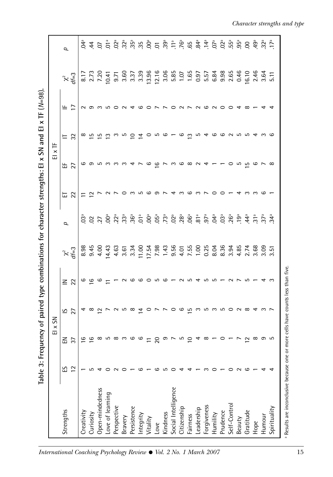|                                                               |                |               |                |                  | Table 3: Frequency of paired type combinations for character strengths: El x SN and El x TF (N=98). |   |                 |              |                   |        |                                                                                                                                                                                                                                                                                                 |                          |
|---------------------------------------------------------------|----------------|---------------|----------------|------------------|-----------------------------------------------------------------------------------------------------|---|-----------------|--------------|-------------------|--------|-------------------------------------------------------------------------------------------------------------------------------------------------------------------------------------------------------------------------------------------------------------------------------------------------|--------------------------|
|                                                               |                | EI x SN       |                |                  |                                                                                                     |   |                 | EIXTF        |                   |        |                                                                                                                                                                                                                                                                                                 |                          |
| Strengths                                                     | S              | $\frac{2}{3}$ | <b>S</b><br>27 | $\leq$ $\approx$ | $x^2$<br>df=3                                                                                       | Q | $\frac{\pi}{2}$ | $E_{2}$      | $=$ $\frac{5}{2}$ |        | $x^2$<br>df=3                                                                                                                                                                                                                                                                                   | $\overline{\phantom{a}}$ |
|                                                               | $\overline{c}$ |               |                |                  |                                                                                                     |   |                 |              |                   | F      |                                                                                                                                                                                                                                                                                                 |                          |
| Creativity                                                    |                | $\frac{6}{5}$ |                |                  |                                                                                                     |   | Ξ               |              |                   | $\sim$ |                                                                                                                                                                                                                                                                                                 |                          |
| Curiosity                                                     |                |               |                | ဖေ               |                                                                                                     |   | $\simeq$        |              |                   | တ      |                                                                                                                                                                                                                                                                                                 |                          |
| Open-mindedness                                               |                |               |                | అ                |                                                                                                     |   |                 |              |                   |        |                                                                                                                                                                                                                                                                                                 |                          |
| Love of learning                                              |                |               |                |                  |                                                                                                     |   |                 |              | ≌                 |        | $\begin{array}{c} 2.73 \\ 2.73 \\ 1.20 \\ 1.41 \\ 0.50 \\ 0.53 \\ \end{array}$                                                                                                                                                                                                                  |                          |
| Perspective                                                   |                |               |                |                  |                                                                                                     |   |                 |              |                   |        |                                                                                                                                                                                                                                                                                                 |                          |
| Bravery                                                       |                |               |                |                  |                                                                                                     |   |                 |              |                   |        |                                                                                                                                                                                                                                                                                                 |                          |
| Persistence                                                   |                |               |                |                  |                                                                                                     |   |                 |              | $\circ$           |        |                                                                                                                                                                                                                                                                                                 |                          |
| Integrity                                                     |                |               |                |                  |                                                                                                     |   |                 |              |                   |        | 3.39                                                                                                                                                                                                                                                                                            |                          |
| Vitality                                                      |                |               |                |                  |                                                                                                     |   |                 |              |                   |        |                                                                                                                                                                                                                                                                                                 |                          |
| Love                                                          |                | $= 8$         |                | ما               |                                                                                                     |   |                 | $\mathbf{e}$ | ما                |        |                                                                                                                                                                                                                                                                                                 |                          |
| Kindness                                                      |                | ြ             |                | అ                |                                                                                                     |   |                 |              | అ                 |        |                                                                                                                                                                                                                                                                                                 |                          |
| Social Intelligence                                           |                |               |                |                  |                                                                                                     |   |                 |              |                   |        |                                                                                                                                                                                                                                                                                                 |                          |
| Citizenship                                                   |                | ن<br>م<br>ب   |                |                  |                                                                                                     |   |                 |              | ဖ                 |        | $\begin{array}{l} 10.76 \pm 0.000 \\ 10.76 \pm 0.000 \\ 10.76 \pm 0.000 \\ 10.76 \pm 0.000 \\ 10.76 \pm 0.000 \\ 10.76 \pm 0.000 \\ 10.76 \pm 0.000 \\ 10.76 \pm 0.000 \\ 10.76 \pm 0.000 \\ 10.76 \pm 0.000 \\ 10.76 \pm 0.000 \\ 10.76 \pm 0.000 \\ 10.76 \pm 0.000 \\ 10.76 \pm 0.000 \\ 10$ |                          |
|                                                               |                |               | ဖြေ ကို ကို    |                  |                                                                                                     |   |                 |              | က က               |        |                                                                                                                                                                                                                                                                                                 |                          |
| Fairness<br>Leadership<br>Forgiveness<br>Humility<br>Prudence |                |               |                |                  |                                                                                                     |   |                 |              |                   |        |                                                                                                                                                                                                                                                                                                 |                          |
|                                                               |                |               |                |                  |                                                                                                     |   |                 |              |                   |        |                                                                                                                                                                                                                                                                                                 |                          |
|                                                               |                |               |                |                  |                                                                                                     |   |                 |              | ဖ                 |        |                                                                                                                                                                                                                                                                                                 |                          |
|                                                               |                |               |                |                  |                                                                                                     |   |                 |              | అ                 |        |                                                                                                                                                                                                                                                                                                 |                          |
| Self-Control                                                  |                |               |                |                  |                                                                                                     |   |                 |              | $\sim$            |        |                                                                                                                                                                                                                                                                                                 |                          |
| Beauty                                                        |                |               |                |                  |                                                                                                     |   |                 |              | ∽                 |        |                                                                                                                                                                                                                                                                                                 |                          |
| Gratitude                                                     |                |               |                |                  |                                                                                                     |   |                 |              | 5                 |        | 2.65<br>0.46<br>16.146                                                                                                                                                                                                                                                                          |                          |
| Hope                                                          |                |               |                |                  |                                                                                                     |   |                 |              |                   |        |                                                                                                                                                                                                                                                                                                 |                          |
| Humour                                                        |                |               |                |                  |                                                                                                     |   |                 |              |                   |        | $3.64$<br>$5.11$                                                                                                                                                                                                                                                                                |                          |
| Spirituality                                                  |                | c<br>G        |                |                  |                                                                                                     |   |                 |              | ు                 |        |                                                                                                                                                                                                                                                                                                 |                          |

Spirituality

<sup>a</sup> Results are inconclusive because one or more cells have counts less than five. Results are inconclusive because one or more cells have counts less than five.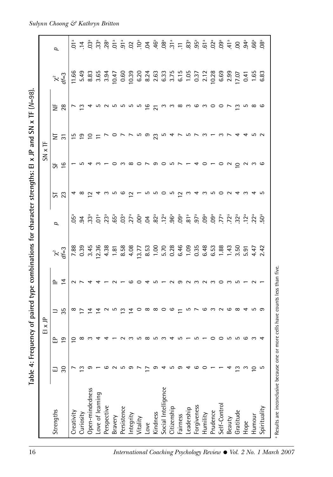|                     |    |                                          |                |                | Table 4: Frequency of paired type combinations for character strengths: El x JP and SN x TF (N=98).                                                                                                                                                                                                                                                                                                                                         |   |                 |                |     |                          |                   |   |
|---------------------|----|------------------------------------------|----------------|----------------|---------------------------------------------------------------------------------------------------------------------------------------------------------------------------------------------------------------------------------------------------------------------------------------------------------------------------------------------------------------------------------------------------------------------------------------------|---|-----------------|----------------|-----|--------------------------|-------------------|---|
|                     |    | $\frac{1}{x}$<br>$\overline{\mathbf{u}}$ |                |                |                                                                                                                                                                                                                                                                                                                                                                                                                                             |   |                 | $SN \times TF$ |     |                          |                   |   |
| Strengths           | ய  | 岀                                        |                | ≙              | $x^2$<br>$x^2$                                                                                                                                                                                                                                                                                                                                                                                                                              | p | 57<br>23        | 55             | 능 드 | $\frac{12}{28}$          | $x^2$<br>$\neq$ 3 | p |
|                     | 30 |                                          | 35             | $\overline{4}$ |                                                                                                                                                                                                                                                                                                                                                                                                                                             |   |                 | $\frac{6}{1}$  |     |                          |                   |   |
| Creativity          |    |                                          | $^{\circ}$     |                |                                                                                                                                                                                                                                                                                                                                                                                                                                             |   |                 |                |     |                          |                   |   |
| Curiosity           |    |                                          |                |                |                                                                                                                                                                                                                                                                                                                                                                                                                                             |   | ∞               |                |     | ా                        |                   |   |
| Open-mindedness     |    |                                          | $\overline{4}$ |                |                                                                                                                                                                                                                                                                                                                                                                                                                                             |   |                 |                | ≘   |                          |                   |   |
| Love of learning    |    |                                          | $\frac{4}{3}$  |                | $7.88$ $0.3945$ $0.3438$ $0.3438$ $0.3438$ $0.3438$ $0.3438$                                                                                                                                                                                                                                                                                                                                                                                |   |                 |                |     |                          |                   |   |
| Perspective         |    |                                          |                |                |                                                                                                                                                                                                                                                                                                                                                                                                                                             |   |                 |                |     |                          |                   |   |
| Bravery             |    |                                          |                |                |                                                                                                                                                                                                                                                                                                                                                                                                                                             |   |                 |                |     | randradi Chausan Cordini |                   |   |
| Persistence         |    |                                          | ≌              |                | 8.58<br>4.08                                                                                                                                                                                                                                                                                                                                                                                                                                |   | Φ               |                |     |                          |                   |   |
| Integrity           |    |                                          |                |                |                                                                                                                                                                                                                                                                                                                                                                                                                                             |   |                 |                |     |                          |                   |   |
| Vitality            |    |                                          |                |                |                                                                                                                                                                                                                                                                                                                                                                                                                                             |   |                 |                |     |                          |                   |   |
| Love                |    |                                          | ∞              |                |                                                                                                                                                                                                                                                                                                                                                                                                                                             |   |                 |                | တ   |                          |                   |   |
| Kindness            |    |                                          | $\infty$       |                | $\begin{array}{cccccccccc} \mathbf{r}_{1} & \mathbf{r}_{2} & \mathbf{r}_{3} & \mathbf{r}_{4} & \mathbf{r}_{5} & \mathbf{r}_{6} & \mathbf{r}_{7} & \mathbf{r}_{8} & \mathbf{r}_{9} & \mathbf{r}_{9} & \mathbf{r}_{1} & \mathbf{r}_{1} & \mathbf{r}_{2} & \mathbf{r}_{3} & \mathbf{r}_{6} & \mathbf{r}_{7} & \mathbf{r}_{8} & \mathbf{r}_{9} & \mathbf{r}_{9} & \mathbf{r}_{9} & \mathbf{r}_{9} & \mathbf{r}_{9} & \mathbf{r}_{9} & \mathbf{$ |   | n n o n o n a u |                | 235 |                          |                   |   |
| Social Intelligence |    |                                          | $\circ$        |                |                                                                                                                                                                                                                                                                                                                                                                                                                                             |   |                 |                |     |                          |                   |   |
| Citizenship         |    |                                          | $\circ$        |                |                                                                                                                                                                                                                                                                                                                                                                                                                                             |   |                 |                |     |                          |                   |   |
| Fairness            |    |                                          |                | တ              |                                                                                                                                                                                                                                                                                                                                                                                                                                             |   |                 |                |     |                          |                   |   |
| Leadership          |    |                                          | ما             |                |                                                                                                                                                                                                                                                                                                                                                                                                                                             |   |                 |                |     |                          |                   |   |
| Forgiveness         |    |                                          |                |                |                                                                                                                                                                                                                                                                                                                                                                                                                                             |   |                 |                |     |                          |                   |   |
| Humility            |    |                                          |                |                |                                                                                                                                                                                                                                                                                                                                                                                                                                             |   |                 |                |     |                          |                   |   |
| Prudence            |    |                                          | S              |                |                                                                                                                                                                                                                                                                                                                                                                                                                                             |   | . പ             |                |     |                          |                   |   |
| Self-Control        |    |                                          |                |                |                                                                                                                                                                                                                                                                                                                                                                                                                                             |   |                 |                |     |                          |                   |   |
| Beauty              |    |                                          |                |                |                                                                                                                                                                                                                                                                                                                                                                                                                                             |   | $\sim$          | $\sim$         |     |                          |                   |   |
| Gratitude           |    |                                          |                |                |                                                                                                                                                                                                                                                                                                                                                                                                                                             |   | 4               | ∘              |     |                          |                   |   |
| Hope                |    |                                          |                |                |                                                                                                                                                                                                                                                                                                                                                                                                                                             |   |                 |                |     |                          |                   |   |
| Humour              |    |                                          |                |                |                                                                                                                                                                                                                                                                                                                                                                                                                                             |   |                 |                |     |                          |                   |   |
| Spirituality        |    |                                          |                |                |                                                                                                                                                                                                                                                                                                                                                                                                                                             |   |                 |                |     |                          |                   |   |

<sup>a</sup> Results are inconclusive because one or more cells have counts less than five. Results are inconclusive because one or more cells have counts less than five.

<sup>16</sup> *International Coaching Psychology Review* ● *Vol. 2 No. 1 March 2007*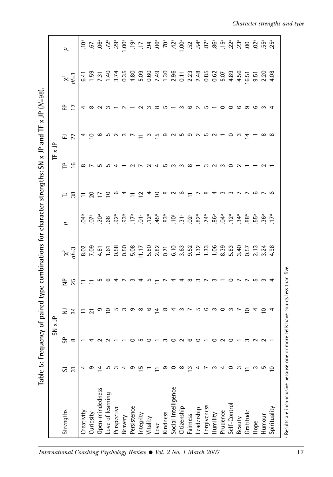Table 5: Frequency of paired type combinations for character strengths: SN x IP and TF x IP  $(M=98)$ **Table 5: Frequency of paired type combinations for character strengths: SN x JP and TF x JP** (*N*=98)**.**

|                                                                                             |                     |      | $SN \times JP$                               |              |                                                                                                                                                                                                                                                                                                                   |                          |                 | TF x JP               |                               |              |                            |                                                                                                                                                                                                                         |
|---------------------------------------------------------------------------------------------|---------------------|------|----------------------------------------------|--------------|-------------------------------------------------------------------------------------------------------------------------------------------------------------------------------------------------------------------------------------------------------------------------------------------------------------------|--------------------------|-----------------|-----------------------|-------------------------------|--------------|----------------------------|-------------------------------------------------------------------------------------------------------------------------------------------------------------------------------------------------------------------------|
| Strengths                                                                                   | $\overline{3}$<br>ವ | ႕ စ  | ≧ ≄                                          | 25           | $x^2$<br>$x^2 = 3$                                                                                                                                                                                                                                                                                                | $\overline{\phantom{a}}$ | 38<br>$\Box$    | $F \n\in \mathcal{C}$ | $\frac{1}{2}$                 | 田 こ          | $x^2$<br>df=3              | $\overline{\mathcal{L}}$                                                                                                                                                                                                |
| Creativity                                                                                  |                     | $-4$ |                                              |              |                                                                                                                                                                                                                                                                                                                   |                          |                 |                       |                               |              |                            |                                                                                                                                                                                                                         |
| Curiosity                                                                                   |                     |      | $= 5$ $\omega$ $= 0$ $\omega$ $= 0$ $\omega$ | $= 500$      | $3.68$ 5<br>$\frac{1}{2}$ $\frac{1}{2}$ $\frac{1}{2}$ $\frac{1}{2}$ $\frac{1}{2}$ $\frac{1}{2}$ $\frac{1}{2}$ $\frac{1}{2}$ $\frac{1}{2}$ $\frac{1}{2}$ $\frac{1}{2}$ $\frac{1}{2}$ $\frac{1}{2}$ $\frac{1}{2}$ $\frac{1}{2}$ $\frac{1}{2}$ $\frac{1}{2}$ $\frac{1}{2}$ $\frac{1}{2}$ $\frac{1}{2}$ $\frac{1}{2}$ |                          | $= 85.28$       | $\infty$ $\sim$       | $\overline{4}$ $\overline{0}$ | $4~\infty$   |                            | يَّةَ وَالْكَ الْمَارَّةِ وَالْمَرْيَةِ وَالْمَرْيَةِ وَالْمَرْيَةِ وَالْمَرْيَةِ وَالْمَرْيَةِ وَالْ<br>وَالْمَرْيَةِ وَالْمَرْيَةِ وَالْمَرْيَةِ وَالْمَرْيَةِ وَالْمَرْيَةِ وَالْمَرْيَةِ وَالْمَرْيَةِ وَالْمَرْيَة |
| Open-mindedness                                                                             |                     |      |                                              |              |                                                                                                                                                                                                                                                                                                                   |                          |                 |                       |                               |              |                            |                                                                                                                                                                                                                         |
| Love of learning                                                                            |                     |      |                                              |              |                                                                                                                                                                                                                                                                                                                   |                          |                 |                       |                               |              |                            |                                                                                                                                                                                                                         |
| Perspective                                                                                 |                     |      |                                              |              |                                                                                                                                                                                                                                                                                                                   |                          |                 |                       |                               |              |                            |                                                                                                                                                                                                                         |
| Bravery                                                                                     |                     |      |                                              |              |                                                                                                                                                                                                                                                                                                                   |                          | 4               |                       |                               |              |                            |                                                                                                                                                                                                                         |
| Persistence                                                                                 |                     |      |                                              |              |                                                                                                                                                                                                                                                                                                                   |                          |                 |                       |                               |              |                            |                                                                                                                                                                                                                         |
| Integrity                                                                                   |                     |      |                                              |              |                                                                                                                                                                                                                                                                                                                   |                          | $\tilde{c}$     |                       |                               |              |                            |                                                                                                                                                                                                                         |
| Vitality                                                                                    |                     |      | ు                                            |              |                                                                                                                                                                                                                                                                                                                   |                          | 4               |                       | က                             |              |                            |                                                                                                                                                                                                                         |
| Love                                                                                        |                     |      | $\overline{4}$                               |              |                                                                                                                                                                                                                                                                                                                   |                          | $\tilde{=}$     |                       | 므                             |              |                            |                                                                                                                                                                                                                         |
| Kindness                                                                                    |                     |      | $^{\circ}$                                   |              |                                                                                                                                                                                                                                                                                                                   |                          |                 |                       |                               |              |                            |                                                                                                                                                                                                                         |
| Social Intelligence                                                                         |                     |      | ᠴ                                            |              |                                                                                                                                                                                                                                                                                                                   |                          | $\infty$ $\sim$ |                       |                               |              |                            |                                                                                                                                                                                                                         |
| Citizenship                                                                                 |                     |      |                                              |              |                                                                                                                                                                                                                                                                                                                   |                          | $\circ$         |                       | ഥ ന                           | က            |                            |                                                                                                                                                                                                                         |
| Fairness                                                                                    |                     |      |                                              |              |                                                                                                                                                                                                                                                                                                                   |                          |                 |                       |                               |              |                            |                                                                                                                                                                                                                         |
| Leadership                                                                                  |                     |      |                                              |              |                                                                                                                                                                                                                                                                                                                   |                          | $\overline{ }$  |                       |                               | <b>G N H</b> |                            |                                                                                                                                                                                                                         |
| Forgiveness                                                                                 |                     |      |                                              |              |                                                                                                                                                                                                                                                                                                                   |                          | $\infty$        |                       |                               |              |                            |                                                                                                                                                                                                                         |
| Humility                                                                                    |                     |      | <b>10000</b>                                 | $\omega$ $-$ |                                                                                                                                                                                                                                                                                                                   |                          |                 |                       | 2527                          |              |                            |                                                                                                                                                                                                                         |
| Prudence                                                                                    |                     |      |                                              |              |                                                                                                                                                                                                                                                                                                                   |                          |                 |                       |                               |              |                            |                                                                                                                                                                                                                         |
| Self-Control                                                                                |                     |      | က                                            |              |                                                                                                                                                                                                                                                                                                                   |                          |                 |                       |                               |              |                            |                                                                                                                                                                                                                         |
| Beauty                                                                                      |                     |      |                                              |              |                                                                                                                                                                                                                                                                                                                   |                          | n w r           |                       |                               |              |                            |                                                                                                                                                                                                                         |
| Gratitude                                                                                   |                     |      | $\subseteq$                                  |              |                                                                                                                                                                                                                                                                                                                   |                          |                 |                       | $\overline{4}$                | ೦ ೦ ७ ೧ ७    |                            |                                                                                                                                                                                                                         |
| Hope                                                                                        | ო                   |      |                                              |              |                                                                                                                                                                                                                                                                                                                   |                          |                 |                       |                               |              |                            |                                                                                                                                                                                                                         |
| Humour                                                                                      |                     |      | $4\overline{0}4$                             |              |                                                                                                                                                                                                                                                                                                                   |                          |                 |                       |                               |              | $9.57$<br>$2.20$<br>$4.08$ |                                                                                                                                                                                                                         |
| Spirituality                                                                                | $\subseteq$         |      |                                              |              |                                                                                                                                                                                                                                                                                                                   |                          |                 |                       | ∞                             |              |                            |                                                                                                                                                                                                                         |
| <sup>a</sup> Results are inconclusive because one or more cells have counts less than five. |                     |      |                                              |              |                                                                                                                                                                                                                                                                                                                   |                          |                 |                       |                               |              |                            |                                                                                                                                                                                                                         |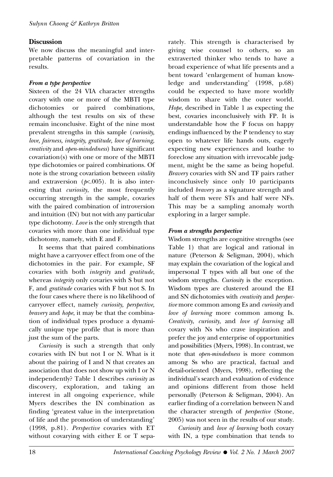#### **Discussion**

We now discuss the meaningful and interpretable patterns of covariation in the results.

#### **From a type perspective**

Sixteen of the 24 VIA character strengths covary with one or more of the MBTI type dichotomies or paired combinations, although the test results on six of these remain inconclusive. Eight of the nine most prevalent strengths in this sample (*curiosity, love, fairness, integrity, gratitude, love of learning, creativity* and *open-mindedness*) have significant covariation(s) with one or more of the MBTI type dichotomies or paired combinations. Of note is the strong covariation between *vitality* and extraversion  $(p<.005)$ . It is also interesting that *curiosity*, the most frequently occurring strength in the sample, covaries with the paired combination of introversion and intuition (IN) but not with any particular type dichotomy. *Love* is the only strength that covaries with more than one individual type dichotomy, namely, with E and F.

It seems that that paired combinations might have a carryover effect from one of the dichotomies in the pair. For example, SF covaries with both *integrity* and *gratitude*, whereas *integrity* only covaries with S but not F, and *gratitude* covaries with F but not S. In the four cases where there is no likelihood of carryover effect, namely *curiosity, perspective, bravery* and *hope*, it may be that the combination of individual types produce a dynamically unique type profile that is more than just the sum of the parts.

*Curiosity* is such a strength that only covaries with IN but not I or N. What is it about the pairing of I and N that creates an association that does not show up with I or N independently? Table 1 describes *curiosity* as discovery, exploration, and taking an interest in all ongoing experience, while Myers describes the IN combination as finding 'greatest value in the interpretation of life and the promotion of understanding' (1998, p.81). *Perspective* covaries with ET without covarying with either E or T separately. This strength is characterised by giving wise counsel to others, so an extraverted thinker who tends to have a broad experience of what life presents and a bent toward 'enlargement of human knowledge and understanding' (1998, p.68) could be expected to have more worldly wisdom to share with the outer world. *Hope*, described in Table 1 as expecting the best, covaries inconclusively with FP. It is understandable how the F focus on happy endings influenced by the P tendency to stay open to whatever life hands outs, eagerly expecting new experiences and loathe to foreclose any situation with irrevocable judgment, might be the same as being hopeful. *Bravery* covaries with SN and TF pairs rather inconclusively since only 10 participants included *bravery* as a signature strength and half of them were STs and half were NFs. This may be a sampling anomaly worth exploring in a larger sample.

#### **From a strengths perspective**

Wisdom strengths are cognitive strengths (see Table 1) that are logical and rational in nature (Peterson & Seligman, 2004), which may explain the covariation of the logical and impersonal T types with all but one of the wisdom strengths. *Curiosity* is the exception. Wisdom types are clustered around the EI and SN dichotomies with *creativity* and *perspective* more common among Es and *curiosity* and *love of learning* more common among Is. *Creativity*, *curiosity*, and *love of learning* all covary with Ns who crave inspiration and prefer the joy and enterprise of opportunities and possibilities (Myers, 1998). In contrast, we note that *open-mindedness* is more common among Ss who are practical, factual and detail-oriented (Myers, 1998), reflecting the individual's search and evaluation of evidence and opinions different from those held personally (Peterson & Seligman, 2004). An earlier finding of a correlation between N and the character strength of *perspective* (Stone, 2005) was not seen in the results of our study.

*Curiosity* and *love of learning* both covary with IN, a type combination that tends to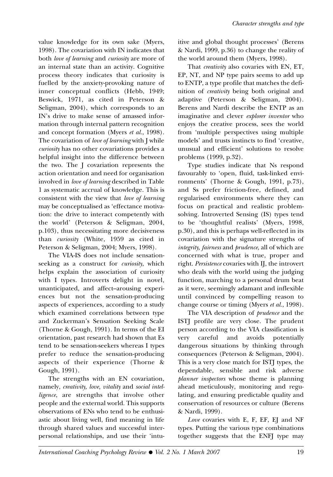value knowledge for its own sake (Myers, 1998). The covariation with IN indicates that both *love of learning* and *curiosity* are more of an internal state than an activity. Cognitive process theory indicates that curiosity is fuelled by the anxiety-provoking nature of inner conceptual conflicts (Hebb, 1949; Beswick, 1971, as cited in Peterson & Seligman, 2004), which corresponds to an IN's drive to make sense of amassed information through internal pattern recognition and concept formation (Myers *et al.*, 1998). The covariation of *love of learning* with J while *curiosity* has no other covariations provides a helpful insight into the difference between the two. The J covariation represents the action orientation and need for organisation involved in *love of learning* described in Table 1 as systematic accrual of knowledge. This is consistent with the view that *love of learning* may be conceptualised as 'effectance motivation: the drive to interact competently with the world' (Peterson & Seligman, 2004, p.103), thus necessitating more decisiveness than *curiosity* (White, 1959 as cited in Peterson & Seligman, 2004; Myers, 1998).

The VIA-IS does not include sensationseeking as a construct for *curiosity*, which helps explain the association of curiosity with I types. Introverts delight in novel, unanticipated, and affect–arousing experiences but not the sensation-producing aspects of experiences, according to a study which examined correlations between type and Zuckerman's Sensation Seeking Scale (Thorne & Gough, 1991). In terms of the EI orientation, past research had shown that Es tend to be sensation-seekers whereas I types prefer to reduce the sensation-producing aspects of their experience (Thorne & Gough, 1991).

The strengths with an EN covariation, namely, *creativity, love, vitality* and *social intelligence*, are strengths that involve other people and the external world. This supports observations of ENs who tend to be enthusiastic about living well, find meaning in life through shared values and successful interpersonal relationships, and use their 'intuitive and global thought processes' (Berens & Nardi, 1999, p.36) to change the reality of the world around them (Myers, 1998).

That *creativity* also covaries with EN, ET, EP, NT, and NP type pairs seems to add up to ENTP, a type profile that matches the definition of *creativity* being both original and adaptive (Peterson & Seligman, 2004). Berens and Nardi describe the ENTP as an imaginative and clever *explorer inventor* who enjoys the creative process, sees the world from 'multiple perspectives using multiple models' and trusts instincts to find 'creative, unusual and efficient' solutions to resolve problems (1999, p.32).

Type studies indicate that Ns respond favourably to 'open, fluid, task-linked environments' (Thorne & Gough, 1991, p.73), and Ss prefer friction-free, defined, and regularised environments where they can focus on practical and realistic problemsolving. Introverted Sensing (IS) types tend to be 'thoughtful realists' (Myers, 1998, p.30), and this is perhaps well-reflected in its covariation with the signature strengths of *integrity, fairness* and *prudence*, all of which are concerned with what is true, proper and right. *Persistence* covaries with IJ, the introvert who deals with the world using the judging function, marching to a personal drum beat as it were, seemingly adamant and inflexible until convinced by compelling reason to change course or timing (Myers *et al.*, 1998).

The VIA description of *prudence* and the ISTJ profile are very close. The prudent person according to the VIA classification is very careful and avoids potentially dangerous situations by thinking through consequences (Peterson & Seligman, 2004). This is a very close match for ISTJ types, the dependable, sensible and risk adverse *planner inspectors* whose theme is planning ahead meticulously, monitoring and regulating, and ensuring predictable quality and conservation of resources or culture (Berens & Nardi, 1999).

*Love* covaries with E, F, EF, EJ and NF types. Putting the various type combinations together suggests that the ENFJ type may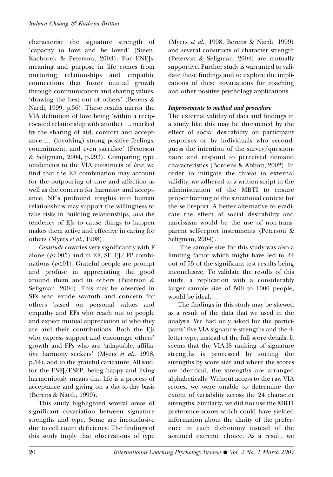characterise the signature strength of 'capacity to love and be loved' (Steen, Kachorek & Peterson, 2003). For ENFJs, meaning and purpose in life comes from nurturing relationships and empathic connections that foster mutual growth through communication and sharing values, 'drawing the best out of others' (Berens & Nardi, 1999, p.36). These results mirror the VIA definition of love being 'within a reciprocated relationship with another … marked by the sharing of aid, comfort and acceptance … (involving) strong positive feelings, commitment, and even sacrifice' (Peterson & Seligman, 2004, p.293). Comparing type tendencies to the VIA constructs of *love*, we find that the EF combination may account for the outpouring of care and affection as well as the concern for harmony and acceptance. NF's profound insights into human relationships may support the willingness to take risks in building relationships, *and* the tendency of EJs to cause things to happen makes them active and effective in caring for others (Myers *et al.*, 1998).

*Gratitude* covaries very significantly with F alone ( $\cancel{p}$ <.005) and in EF, SF, F[/FP combinations  $(p<.01)$ . Grateful people are prompt and profuse in appreciating the good around them and in others (Peterson & Seligman, 2004). This may be observed in SFs who exude warmth and concern for others based on personal values and empathy and EFs who reach out to people and expect mutual appreciation of who they are and their contributions. Both the FJs who express support and encourage others' growth and FPs who are 'adaptable, affiliative harmony seekers' (Myers *et al.*, 1998, p.54), add to the grateful caricature. All said, for the ESFJ/ESFP, being happy and living harmoniously means that life is a process of acceptance and giving on a day-to-day basis (Berens & Nardi, 1999).

This study highlighted several areas of significant covariation between signature strengths and type. Some are inconclusive due to cell count deficiency. The findings of this study imply that observations of type

(Myers *et al.*, 1998, Berens & Nardi, 1999) and several constructs of character strength (Peterson & Seligman, 2004) are mutually supportive. Further study is warranted to validate these findings and to explore the implications of these covariations for coaching and other positive psychology applications.

#### **Improvements to method and procedure**

The external validity of data and findings in a study like this may be threatened by the effect of social desirability on participant responses or by individuals who secondguess the intention of the survey/questionnaire and respond to perceived demand characteristics (Bordens & Abbott, 2002). In order to mitigate the threat to external validity, we adhered to a written script in the administration of the MBTI to ensure proper framing of the situational context for the self-report. A better alternative to eradicate the effect of social desirability and narcissism would be the use of non-transparent self-report instruments (Peterson & Seligman, 2004).

The sample size for this study was also a limiting factor which might have led to 34 out of 55 of the significant test results being inconclusive. To validate the results of this study, a replication with a considerably larger sample size of 500 to 1000 people, would be ideal.

The findings in this study may be skewed as a result of the data that we used in the analysis. We had only asked for the participants' five VIA signature strengths and the 4 letter type, instead of the full score details. It seems that the VIA-IS ranking of signature strengths is processed by sorting the strengths by score size and where the scores are identical, the strengths are arranged alphabetically. Without access to the raw VIA scores, we were unable to determine the extent of variability across the 24 character strengths. Similarly, we did not use the MBTI preference scores which could have yielded information about the clarity of the preference in each dichotomy instead of the assumed extreme choice. As a result, we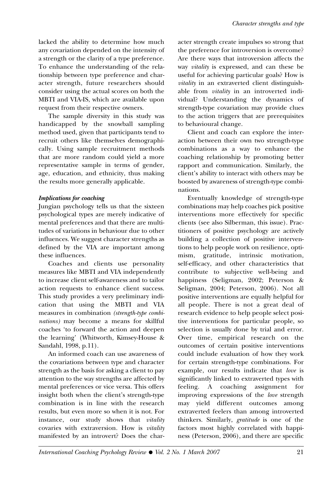lacked the ability to determine how much any covariation depended on the intensity of a strength or the clarity of a type preference. To enhance the understanding of the relationship between type preference and character strength, future researchers should consider using the actual scores on both the MBTI and VIA-IS, which are available upon request from their respective owners.

The sample diversity in this study was handicapped by the snowball sampling method used, given that participants tend to recruit others like themselves demographically. Using sample recruitment methods that are more random could yield a more representative sample in terms of gender, age, education, and ethnicity, thus making the results more generally applicable.

#### **Implications for coaching**

Jungian psychology tells us that the sixteen psychological types are merely indicative of mental preferences and that there are multitudes of variations in behaviour due to other influences. We suggest character strengths as defined by the VIA are important among these influences.

Coaches and clients use personality measures like MBTI and VIA independently to increase client self-awareness and to tailor action requests to enhance client success. This study provides a very preliminary indication that using the MBTI and VIA measures in combination *(strength-type combinations)* may become a means for skillful coaches 'to forward the action and deepen the learning' (Whitworth, Kimsey-House & Sandahl, 1998, p.11).

An informed coach can use awareness of the covariations between type and character strength as the basis for asking a client to pay attention to the way strengths are affected by mental preferences or vice versa. This offers insight both when the client's strength-type combination is in line with the research results, but even more so when it is not. For instance, our study shows that *vitality* covaries with extraversion. How is *vitality* manifested by an introvert? Does the character strength create impulses so strong that the preference for introversion is overcome? Are there ways that introversion affects the way *vitality* is expressed, and can these be useful for achieving particular goals? How is *vitality* in an extraverted client distinguishable from *vitality* in an introverted individual? Understanding the dynamics of strength-type covariation may provide clues to the action triggers that are prerequisites to behavioural change.

Client and coach can explore the interaction between their own two strength-type combinations as a way to enhance the coaching relationship by promoting better rapport and communication. Similarly, the client's ability to interact with others may be boosted by awareness of strength-type combinations.

Eventually knowledge of strength-type combinations may help coaches pick positive interventions more effectively for specific clients (see also Silberman, this issue). Practitioners of positive psychology are actively building a collection of positive interventions to help people work on resilience, optimism, gratitude, intrinsic motivation, self-efficacy, and other characteristics that contribute to subjective well-being and happiness (Seligman, 2002; Peterson & Seligman, 2004; Peterson, 2006). Not all positive interventions are equally helpful for all people. There is not a great deal of research evidence to help people select positive interventions for particular people, so selection is usually done by trial and error. Over time, empirical research on the outcomes of certain positive interventions could include evaluation of how they work for certain strength-type combinations. For example, our results indicate that *love* is significantly linked to extraverted types with feeling. A coaching assignment for improving expressions of the *love* strength may yield different outcomes among extraverted feelers than among introverted thinkers. Similarly, *gratitude* is one of the factors most highly correlated with happiness (Peterson, 2006), and there are specific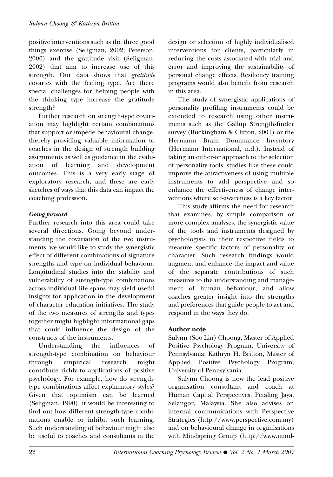positive interventions such as the three good things exercise (Seligman, 2002; Peterson, 2006) and the gratitude visit (Seligman, 2002) that aim to increase use of this strength. Our data shows that *gratitude* covaries with the feeling type. Are there special challenges for helping people with the thinking type increase the gratitude strength?

Further research on strength-type covariation may highlight certain combinations that support or impede behavioural change, thereby providing valuable information to coaches in the design of strength building assignments as well as guidance in the evaluation of learning and development outcomes. This is a very early stage of exploratory research, and these are early sketches of ways that this data can impact the coaching profession.

#### **Going forward**

Further research into this area could take several directions. Going beyond understanding the covariation of the two instruments, we would like to study the synergistic effect of different combinations of signature strengths and type on individual behaviour. Longitudinal studies into the stability and vulnerability of strength-type combinations across individual life spans may yield useful insights for application in the development of character education initiatives. The study of the two measures of strengths and types together might highlight informational gaps that could influence the design of the constructs of the instruments.

Understanding the influences of strength-type combination on behaviour through empirical research might contribute richly to applications of positive psychology. For example, how do strengthtype combinations affect explanatory styles? Given that optimism can be learned (Seligman, 1990), it would be interesting to find out how different strength-type combinations enable or inhibit such learning. Such understanding of behaviour might also be useful to coaches and consultants in the design or selection of highly individualised interventions for clients, particularly in reducing the costs associated with trial and error and improving the sustainability of personal change effects. Resiliency training programs would also benefit from research in this area.

The study of synergistic applications of personality profiling instruments could be extended to research using other instruments such as the Gallup Strengthsfinder survey (Buckingham & Clifton, 2001) or the Hermann Brain Dominance Inventory (Hermann International, n.d.). Instead of taking an either-or approach to the selection of personality tools, studies like these could improve the attractiveness of using multiple instruments to add perspective and so enhance the effectiveness of change interventions where self-awareness is a key factor.

This study affirms the need for research that examines, by simple comparison or more complex analyses, the synergistic value of the tools and instruments designed by psychologists in their respective fields to measure specific factors of personality or character. Such research findings would augment and enhance the impact and value of the separate contributions of such measures to the understanding and management of human behaviour, and allow coaches greater insight into the strengths and preferences that guide people to act and respond in the ways they do.

#### **Author note**

Sulynn (Soo Lin) Choong, Master of Applied Positive Psychology Program, University of Pennsylvania; Kathryn H. Britton, Master of Applied Positive Psychology Program, University of Pennsylvania.

Sulynn Choong is now the lead positive organisation consultant and coach at Human Capital Perspectives, Petaling Jaya, Selangor, Malaysia. She also advises on internal communications with Perspective Strategies (http://www.perspective.com.my) and on behavioural change in organisations with Mindspring Group (http://www.mind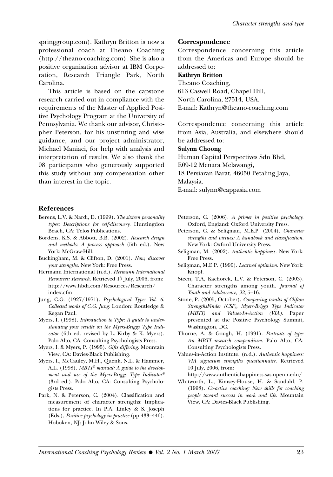springgroup.com). Kathryn Britton is now a professional coach at Theano Coaching (http://theano-coaching.com). She is also a positive organisation advisor at IBM Corporation, Research Triangle Park, North Carolina.

This article is based on the capstone research carried out in compliance with the requirements of the Master of Applied Positive Psychology Program at the University of Pennsylvania. We thank our advisor, Christopher Peterson, for his unstinting and wise guidance, and our project administrator, Michael Maniaci, for help with analysis and interpretation of results. We also thank the 98 participants who generously supported this study without any compensation other than interest in the topic.

#### **References**

- Berens, L.V. & Nardi, D. (1999). *The sixteen personality types: Descriptions for self-discovery.* Huntingdon Beach, CA: Telos Publications.
- Bordens, K.S. & Abbott, B.B. (2002). *Research design and methods: A process approach* (5th ed.). New York: McGraw-Hill.
- Buckingham, M. & Clifton, D. (2001). *Now, discover your strengths.* New York: Free Press.
- Hermann International (n.d.). *Hermann International Resources: Research.* Retrieved 17 July, 2006, from: http://www.hbdi.com/Resources/Research/ index.cfm
- Jung, C.G. (1927/1971). *Psychological Type: Vol. 6. Collected works of C.G. Jung.* London: Routledge & Kegan Paul.
- Myers, I. (1998). *Introduction to Type: A guide to understanding your results on the Myers-Briggs Type Indicator* (6th ed. revised by L. Kirby & K. Myers). Palo Alto, CA: Consulting Psychologists Press.
- Myers, I. & Myers, P. (1995). *Gifts differing.* Mountain View, CA: Davies-Black Publishing.
- Myers, I., McCauley, M.H., Quenk, N.L. & Hammer, A.L. (1998). *MBTI® manual: A guide to the development and use of the Myers-Briggs Type Indicator®* (3rd ed.). Palo Alto, CA: Consulting Psychologists Press.
- Park, N. & Peterson, C. (2004). Classification and measurement of character strengths: Implications for practice. In P.A. Linley & S. Joseph (Eds.), *Positive psychology in practice* (pp.433–446). Hoboken, NJ: John Wiley & Sons.

#### **Correspondence**

Correspondence concerning this article from the Americas and Europe should be addressed to:

#### **Kathryn Britton**

Theano Coaching, 613 Caswell Road, Chapel Hill, North Carolina, 27514, USA. E-mail: Kathryn@theano-coaching.com

Correspondence concerning this article from Asia, Australia, and elsewhere should be addressed to:

#### **Sulynn Choong**

Human Capital Perspectives Sdn Bhd,

E09-12 Menara Melawangi,

18 Persiaran Barat, 46050 Petaling Jaya,

Malaysia.

E-mail: sulynn@cappasia.com

Peterson, C. (2006). *A primer in positive psychology.* Oxford, England: Oxford University Press.

- Peterson, C. & Seligman, M.E.P. (2004). *Character strengths and virtues: A handbook and classification.* New York: Oxford University Press.
- Seligman, M. (2002). *Authentic happiness.* New York: Free Press.
- Seligman, M.E.P. (1990). *Learned optimism.* New York: Knopf.
- Steen, T.A, Kachorek, L.V. & Peterson, C. (2003). Character strengths among youth. *Journal of Youth and Adolescence, 32*, 5–16.
- Stone, P. (2005, October). *Comparing results of Clifton StrengthsFinder (CSF), Myers-Briggs Type Indicator (MBTI) and Values-In-Action (VIA).* Paper presented at the Positive Psychology Summit, Washington, DC.
- Thorne, A. & Gough, H. (1991). *Portraits of type: An MBTI research compendium.* Palo Alto, CA: Consulting Psychologists Press.
- Values-in-Action Institute. (n.d.). *Authentic happiness: VIA signature strengths questionnaire.* Retrieved 10 July, 2006, from:

http://www.authentichappiness.sas.upenn.edu/

Whitworth, L., Kimsey-House, H. & Sandahl, P. (1998). *Co-active coaching: New skills for coaching people toward success in work and life.* Mountain View, CA: Davies-Black Publishing.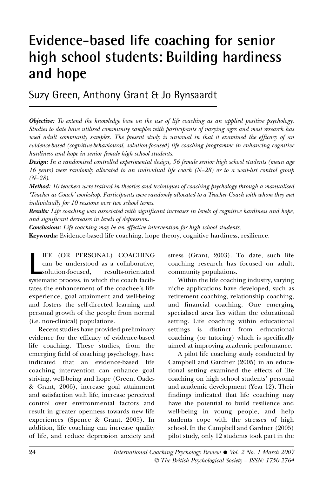## **Evidence-based life coaching for senior high school students: Building hardiness and hope**

Suzy Green, Anthony Grant & Jo Rynsaardt

**Objective:** *To extend the knowledge base on the use of life coaching as an applied positive psychology. Studies to date have utilised community samples with participants of varying ages and most research has used adult community samples. The present study is unusual in that it examined the efficacy of an evidence-based (cognitive-behavioural, solution-focused) life coaching programme in enhancing cognitive hardiness and hope in senior female high school students.* 

**Design:** *In a randomised controlled experimental design, 56 female senior high school students (mean age 16 years) were randomly allocated to an individual life coach (N=28) or to a wait-list control group (N=28).* 

**Method:** *10 teachers were trained in theories and techniques of coaching psychology through a manualised 'Teacher as Coach' workshop. Participants were randomly allocated to a Teacher-Coach with whom they met individually for 10 sessions over two school terms.* 

**Results:** *Life coaching was associated with significant increases in levels of cognitive hardiness and hope, and significant decreases in levels of depression.*

**Conclusions:** *Life coaching may be an effective intervention for high school students.*

**Keywords:** Evidence-based life coaching, hope theory, cognitive hardiness, resilience.

**LIFE** (OR PERSONAL) COACHING<br>can be understood as a collaborative,<br>solution-focused, results-orientated<br>systematic process, in which the coach facili-IFE (OR PERSONAL) COACHING can be understood as a collaborative, solution-focused, results-orientated tates the enhancement of the coachee's life experience, goal attainment and well-being and fosters the self-directed learning and personal growth of the people from normal (i.e. non-clinical) populations.

Recent studies have provided preliminary evidence for the efficacy of evidence-based life coaching. These studies, from the emerging field of coaching psychology, have indicated that an evidence-based life coaching intervention can enhance goal striving, well-being and hope (Green, Oades & Grant, 2006), increase goal attainment and satisfaction with life, increase perceived control over environmental factors and result in greater openness towards new life experiences (Spence & Grant, 2005). In addition, life coaching can increase quality of life, and reduce depression anxiety and stress (Grant, 2003). To date, such life coaching research has focused on adult, community populations.

Within the life coaching industry, varying niche applications have developed, such as retirement coaching, relationship coaching, and financial coaching. One emerging specialised area lies within the educational setting. Life coaching within educational settings is distinct from educational coaching (or tutoring) which is specifically aimed at improving academic performance.

A pilot life coaching study conducted by Campbell and Gardner (2005) in an educational setting examined the effects of life coaching on high school students' personal and academic development (Year 12). Their findings indicated that life coaching may have the potential to build resilience and well-being in young people, and help students cope with the stresses of high school. In the Campbell and Gardner (2005) pilot study, only 12 students took part in the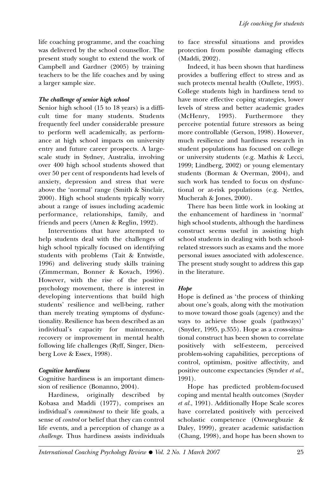life coaching programme, and the coaching was delivered by the school counsellor. The present study sought to extend the work of Campbell and Gardner (2005) by training teachers to be the life coaches and by using a larger sample size.

#### **The challenge of senior high school**

Senior high school (15 to 18 years) is a difficult time for many students. Students frequently feel under considerable pressure to perform well academically, as performance at high school impacts on university entry and future career prospects. A largescale study in Sydney, Australia, involving over 400 high school students showed that over 50 per cent of respondents had levels of anxiety, depression and stress that were above the 'normal' range (Smith & Sinclair, 2000). High school students typically worry about a range of issues including academic performance, relationships, family, and friends and peers (Amen & Reglin, 1992).

Interventions that have attempted to help students deal with the challenges of high school typically focused on identifying students with problems (Tait & Entwistle, 1996) and delivering study skills training (Zimmerman, Bonner & Kovach, 1996). However, with the rise of the positive psychology movement, there is interest in developing interventions that build high students' resilience and well-being, rather than merely treating symptoms of dysfunctionality. Resilience has been described as an individual's capacity for maintenance, recovery or improvement in mental health following life challenges (Ryff, Singer, Dienberg Love & Essex, 1998).

#### **Cognitive hardiness**

Cognitive hardiness is an important dimension of resilience (Bonanno, 2004).

Hardiness, originally described by Kobasa and Maddi (1977), comprises an individual's *commitment* to their life goals, a sense of *control* or belief that they can control life events, and a perception of change as a *challenge*. Thus hardiness assists individuals to face stressful situations and provides protection from possible damaging effects (Maddi, 2002).

Indeed, it has been shown that hardiness provides a buffering effect to stress and as such protects mental health (Oullete, 1993). College students high in hardiness tend to have more effective coping strategies, lower levels of stress and better academic grades (McHenry, 1993). Furthermore they perceive potential future stressors as being more controllable (Gerson, 1998). However, much resilience and hardiness research in student populations has focused on college or university students (e.g. Mathis & Lecci, 1999; Lindberg, 2002) or young elementary students (Borman & Overman, 2004), and such work has tended to focus on dysfunctional or at-risk populations (e.g. Nettles, Mucherah & Jones, 2000).

There has been little work in looking at the enhancement of hardiness in 'normal' high school students, although the hardiness construct seems useful in assisting high school students in dealing with both schoolrelated stressors such as exams and the more personal issues associated with adolescence. The present study sought to address this gap in the literature.

#### **Hope**

Hope is defined as 'the process of thinking about one's goals, along with the motivation to move toward those goals (agency) and the ways to achieve those goals (pathways)' (Snyder, 1995, p.355). Hope as a cross-situational construct has been shown to correlate positively with self-esteem, perceived problem-solving capabilities, perceptions of control, optimism, positive affectivity, and positive outcome expectancies (Synder *et al.*, 1991).

Hope has predicted problem-focused coping and mental health outcomes (Snyder *et al.*, 1991). Additionally Hope Scale scores have correlated positively with perceived scholastic competence (Onwuegbuzie & Daley, 1999), greater academic satisfaction (Chang, 1998), and hope has been shown to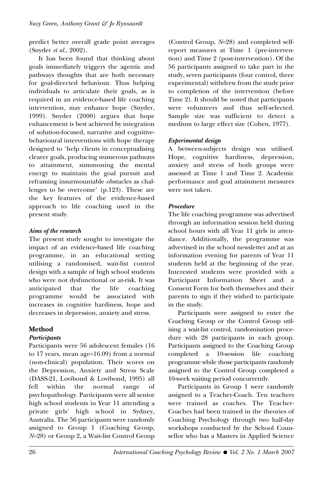predict better overall grade point averages (Snyder *et al.*, 2002).

It has been found that thinking about goals immediately triggers the agentic and pathways thoughts that are both necessary for goal-directed behaviour. Thus helping individuals to articulate their goals, as is required in an evidence-based life coaching intervention, may enhance hope (Snyder, 1999). Snyder (2000) argues that hope enhancement is best achieved by integration of solution-focused, narrative and cognitivebehavioural interventions with hope therapy designed to 'help clients in conceptualising clearer goals, producing numerous pathways to attainment, summoning the mental energy to maintain the goal pursuit and reframing insurmountable obstacles as challenges to be overcome' (p.123). These are the key features of the evidence-based approach to life coaching used in the present study.

#### **Aims of the research**

The present study sought to investigate the impact of an evidence-based life coaching programme, in an educational setting utilising a randomised, wait-list control design with a sample of high school students who were not dysfunctional or at-risk. It was anticipated that the life coaching programme would be associated with increases in cognitive hardiness, hope and decreases in depression, anxiety and stress.

#### **Method**

#### **Participants**

Participants were 56 adolescent females (16 to 17 years, mean age=16.09) from a normal (non-clinical) population. Their scores on the Depression, Anxiety and Stress Scale (DASS-21, Lovibond & Lovibond, 1995) all fell within the normal range of psychopathology. Participants were all senior high school students in Year 11 attending a private girls' high school in Sydney, Australia. The 56 participants were randomly assigned to Group 1 (Coaching Group, *N*=28) or Group 2, a Wait-list Control Group

(Control Group, *N*=28) and completed selfreport measures at Time 1 (pre-intervention) and Time 2 (post-intervention). Of the 56 participants assigned to take part in the study, seven participants (four control, three experimental) withdrew from the study prior to completion of the intervention (before Time 2). It should be noted that participants were volunteers and thus self-selected. Sample size was sufficient to detect a medium to large effect size (Cohen, 1977).

#### **Experimental design**

A between-subjects design was utilised. Hope, cognitive hardiness, depression, anxiety and stress of both groups were assessed at Time 1 and Time 2. Academic performance and goal attainment measures were not taken.

#### **Procedure**

The life coaching programme was advertised through an information session held during school hours with all Year 11 girls in attendance. Additionally, the programme was advertised in the school newsletter and at an information evening for parents of Year 11 students held at the beginning of the year. Interested students were provided with a Participant Information Sheet and a Consent Form for both themselves and their parents to sign if they wished to participate in the study.

Participants were assigned to enter the Coaching Group or the Control Group utilising a wait-list control, randomisation procedure with 28 participants in each group. Participants assigned to the Coaching Group completed a 10-session life coaching programme while those participants randomly assigned to the Control Group completed a 10-week waiting period concurrently.

Participants in Group 1 were randomly assigned to a Teacher-Coach. Ten teachers were trained as coaches. The Teacher-Coaches had been trained in the theories of Coaching Psychology through two half-day workshops conducted by the School Counsellor who has a Masters in Applied Science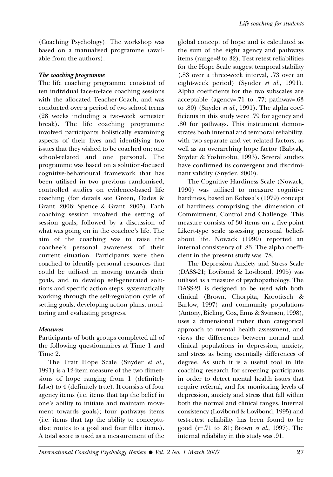(Coaching Psychology). The workshop was based on a manualised programme (available from the authors).

#### **The coaching programme**

The life coaching programme consisted of ten individual face-to-face coaching sessions with the allocated Teacher-Coach, and was conducted over a period of two school terms (28 weeks including a two-week semester break). The life coaching programme involved participants holistically examining aspects of their lives and identifying two issues that they wished to be coached on; one school-related and one personal. The programme was based on a solution-focused cognitive-behavioural framework that has been utilised in two previous randomised, controlled studies on evidence-based life coaching (for details see Green, Oades & Grant, 2006; Spence & Grant, 2005). Each coaching session involved the setting of session goals, followed by a discussion of what was going on in the coachee's life. The aim of the coaching was to raise the coachee's personal awareness of their current situation. Participants were then coached to identify personal resources that could be utilised in moving towards their goals, and to develop self-generated solutions and specific action steps, systematically working through the self-regulation cycle of setting goals, developing action plans, monitoring and evaluating progress.

#### **Measures**

Participants of both groups completed all of the following questionnaires at Time 1 and Time 2.

The Trait Hope Scale (Snyder *et al.*, 1991) is a 12-item measure of the two dimensions of hope ranging from 1 (definitely false) to 4 (definitely true). It consists of four agency items (i.e. items that tap the belief in one's ability to initiate and maintain movement towards goals); four pathways items (i.e. items that tap the ability to conceptualise routes to a goal and four filler items). A total score is used as a measurement of the

global concept of hope and is calculated as the sum of the eight agency and pathways items (range=8 to 32). Test retest reliabilities for the Hope Scale suggest temporal stability (.83 over a three-week interval, .73 over an eight-week period) (Synder *et al.*, 1991). Alpha coefficients for the two subscales are acceptable (agency=.71 to .77; pathway=.63 to .80) (Snyder *et al.*, 1991). The alpha coefficients in this study were .79 for agency and .80 for pathways. This instrument demonstrates both internal and temporal reliability, with two separate and yet related factors, as well as an overarching hope factor (Babyak, Snyder & Yoshinobu, 1993). Several studies have confirmed its convergent and discriminant validity (Snyder, 2000).

The Cognitive Hardiness Scale (Nowack, 1990) was utilised to measure cognitive hardiness, based on Kobasa's (1979) concept of hardiness comprising the dimension of Commitment, Control and Challenge. This measure consists of 30 items on a five-point Likert-type scale assessing personal beliefs about life. Nowack (1990) reported an internal consistency of .83. The alpha coefficient in the present study was .78.

The Depression Anxiety and Stress Scale (DASS-21; Lovibond & Lovibond, 1995) was utilised as a measure of psychopathology. The DASS-21 is designed to be used with both clinical (Brown, Chorpita, Korotitsch & Barlow, 1997) and community populations (Antony, Bieling, Cox, Enns & Swinson, 1998), uses a dimensional rather than categorical approach to mental health assessment, and views the differences between normal and clinical populations in depression, anxiety, and stress as being essentially differences of degree. As such it is a useful tool in life coaching research for screening participants in order to detect mental health issues that require referral, and for monitoring levels of depression, anxiety and stress that fall within both the normal and clinical ranges. Internal consistency (Lovibond & Lovibond, 1995) and test-retest reliability has been found to be good (*r*=.71 to .81; Brown *et al.*, 1997). The internal reliability in this study was .91.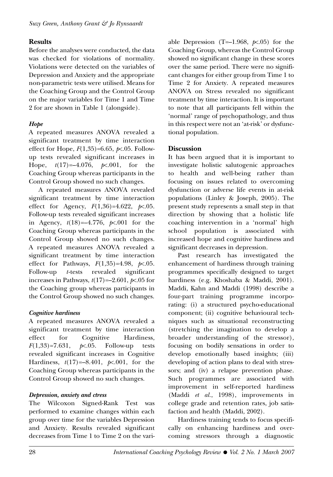#### **Results**

Before the analyses were conducted, the data was checked for violations of normality. Violations were detected on the variables of Depression and Anxiety and the appropriate non-parametric tests were utilised. Means for the Coaching Group and the Control Group on the major variables for Time 1 and Time 2 for are shown in Table 1 (alongside).

#### **Hope**

A repeated measures ANOVA revealed a significant treatment by time interaction effect for Hope, *F*(1,35)=6.65, *p*<.05. Followup tests revealed significant increases in Hope,  $t(17) = -4.076$ ,  $\cancel{p} < 0.001$ , for the Coaching Group whereas participants in the Control Group showed no such changes.

A repeated measures ANOVA revealed significant treatment by time interaction effect for Agency, *F*(1,36)=4.622, *p*<.05. Follow-up tests revealed significant increases in Agency, *t*(18)=–4.776, *p*<.001 for the Coaching Group whereas participants in the Control Group showed no such changes. A repeated measures ANOVA revealed a significant treatment by time interaction effect for Pathways, *F*(1,35)=4.98, *p*<.05. Follow-up *t*-tests revealed significant increases in Pathways,  $t(17) = -2.601$ ,  $p \lt 0.05$  for the Coaching group whereas participants in the Control Group showed no such changes.

#### **Cognitive hardiness**

A repeated measures ANOVA revealed a significant treatment by time interaction effect for Cognitive Hardiness, *F*(1,33)=7.631, *p*<.05. Follow-up tests revealed significant increases in Cognitive Hardiness, *t*(17)=–8.401, *p*<.001, for the Coaching Group whereas participants in the Control Group showed no such changes.

#### **Depression, anxiety and ctress**

The Wilcoxon Signed-Rank Test was performed to examine changes within each group over time for the variables Depression and Anxiety. Results revealed significant decreases from Time 1 to Time 2 on the variable Depression (T= $-1.968$ ,  $\cancel{\mu}$ <05) for the Coaching Group, whereas the Control Group showed no significant change in these scores over the same period. There were no significant changes for either group from Time 1 to Time 2 for Anxiety. A repeated measures ANOVA on Stress revealed no significant treatment by time interaction. It is important to note that all participants fell within the 'normal' range of psychopathology, and thus in this respect were not an 'at-risk' or dysfunctional population.

#### **Discussion**

It has been argued that it is important to investigate holistic salutogenic approaches to health and well-being rather than focusing on issues related to overcoming dysfunction or adverse life events in at-risk populations (Linley & Joseph, 2005). The present study represents a small step in that direction by showing that a holistic life coaching intervention in a 'normal' high school population is associated with increased hope and cognitive hardiness and significant decreases in depression.

Past research has investigated the enhancement of hardiness through training programmes specifically designed to target hardiness (e.g. Khoshaba & Maddi, 2001). Maddi, Kahn and Maddi (1998) describe a four-part training programme incorporating: (i) a structured psycho-educational component; (ii) cognitive behavioural techniques such as situational reconstructing (stretching the imagination to develop a broader understanding of the stressor), focusing on bodily sensations in order to develop emotionally based insights; (iii) developing of action plans to deal with stressors; and (iv) a relapse prevention phase. Such programmes are associated with improvement in self-reported hardiness (Maddi *et al.*, 1998), improvements in college grade and retention rates, job satisfaction and health (Maddi, 2002).

Hardiness training tends to focus specifically on enhancing hardiness and overcoming stressors through a diagnostic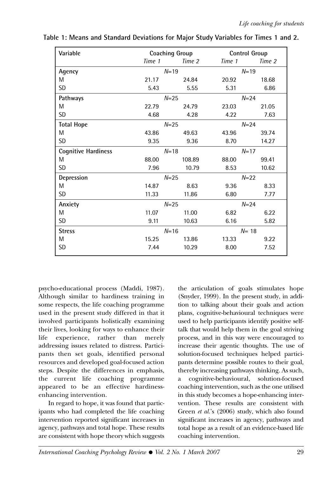| Variable                   |       | <b>Coaching Group</b> | <b>Control Group</b> |          |  |
|----------------------------|-------|-----------------------|----------------------|----------|--|
|                            |       | Time 1 Time 2         | Time 1               | Time 2   |  |
| Agency                     |       | $N = 19$              | $N = 19$             |          |  |
| Μ                          |       | 21.17 24.84           | 20.92                | 18.68    |  |
| SD                         | 5.43  | 5.55                  | 5.31                 | 6.86     |  |
| Pathways                   |       | $N = 25$              | $N = 24$             |          |  |
| M                          | 22.79 | 24.79                 | 23.03                | 21.05    |  |
| SD                         | 4.68  | 4.28                  | 4.22                 | 7.63     |  |
| <b>Total Hope</b>          |       | $N = 25$              | $N = 24$             |          |  |
| M                          | 43.86 | 49.63                 | 43.96                | 39.74    |  |
| SD                         | 9.35  | 9.36                  | 8.70                 | 14.27    |  |
| <b>Cognitive Hardiness</b> |       | $N = 18$              | $N = 17$             |          |  |
| M                          | 88.00 | 108.89                | 88.00                | 99.41    |  |
| SD                         | 7.96  | 10.79                 | 8.53                 | 10.62    |  |
| Depression                 |       | $N = 25$              | $N = 22$             |          |  |
| M                          | 14.87 | 8.63                  | 9.36                 | 8.33     |  |
| <b>SD</b>                  | 11.33 | 11.86                 | 6.80                 | 7.77     |  |
| Anxiety                    |       | $N = 25$              |                      | $N = 24$ |  |
| M                          | 11.07 | 11.00                 | 6.82                 | 6.22     |  |
| <b>SD</b>                  | 9.11  | 10.63                 | 6.16                 | 5.82     |  |
| <b>Stress</b>              |       | $N = 16$              |                      | $N = 18$ |  |
| M                          | 15.25 | 13.86                 | 13.33                | 9.22     |  |
| SD                         | 7.44  | 10.29                 | 8.00                 | 7.52     |  |

**Table 1: Means and Standard Deviations for Major Study Variables for Times 1 and 2.**

psycho-educational process (Maddi, 1987). Although similar to hardiness training in some respects, the life coaching programme used in the present study differed in that it involved participants holistically examining their lives, looking for ways to enhance their life experience, rather than merely addressing issues related to distress. Participants then set goals, identified personal resources and developed goal-focused action steps. Despite the differences in emphasis, the current life coaching programme appeared to be an effective hardinessenhancing intervention.

In regard to hope, it was found that participants who had completed the life coaching intervention reported significant increases in agency, pathways and total hope. These results are consistent with hope theory which suggests the articulation of goals stimulates hope (Snyder, 1999). In the present study, in addition to talking about their goals and action plans, cognitive-behavioural techniques were used to help participants identify positive selftalk that would help them in the goal striving process, and in this way were encouraged to increase their agentic thoughts. The use of solution-focused techniques helped participants determine possible routes to their goal, thereby increasing pathways thinking. As such, a cognitive-behavioural, solution-focused coaching intervention, such as the one utilised in this study becomes a hope-enhancing intervention. These results are consistent with Green *et al.*'s (2006) study, which also found significant increases in agency, pathways and total hope as a result of an evidence-based life coaching intervention.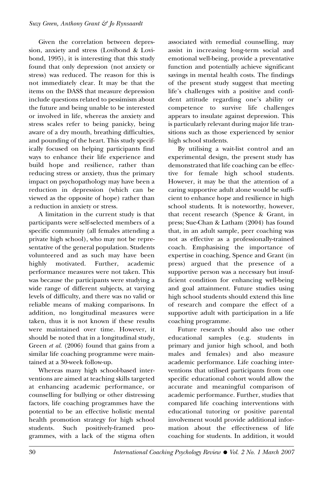Given the correlation between depression, anxiety and stress (Lovibond & Lovibond, 1995), it is interesting that this study found that only depression (not anxiety or stress) was reduced. The reason for this is not immediately clear. It may be that the items on the DASS that measure depression include questions related to pessimism about the future and being unable to be interested or involved in life, whereas the anxiety and stress scales refer to being panicky, being aware of a dry mouth, breathing difficulties, and pounding of the heart. This study specifically focused on helping participants find ways to enhance their life experience and build hope and resilience, rather than reducing stress or anxiety, thus the primary impact on psychopathology may have been a reduction in depression (which can be viewed as the opposite of hope) rather than a reduction in anxiety or stress.

A limitation in the current study is that participants were self-selected members of a specific community (all females attending a private high school), who may not be representative of the general population. Students volunteered and as such may have been highly motivated. Further, academic performance measures were not taken. This was because the participants were studying a wide range of different subjects, at varying levels of difficulty, and there was no valid or reliable means of making comparisons. In addition, no longitudinal measures were taken, thus it is not known if these results were maintained over time. However, it should be noted that in a longitudinal study, Green *et al.* (2006) found that gains from a similar life coaching programme were maintained at a 30-week follow-up.

Whereas many high school-based interventions are aimed at teaching skills targeted at enhancing academic performance, or counselling for bullying or other distressing factors, life coaching programmes have the potential to be an effective holistic mental health promotion strategy for high school students. Such positively-framed programmes, with a lack of the stigma often associated with remedial counselling, may assist in increasing long-term social and emotional well-being, provide a preventative function and potentially achieve significant savings in mental health costs. The findings of the present study suggest that meeting life's challenges with a positive and confident attitude regarding one's ability or competence to survive life challenges appears to insulate against depression. This is particularly relevant during major life transitions such as those experienced by senior high school students.

By utilising a wait-list control and an experimental design, the present study has demonstrated that life coaching can be effective for female high school students. However, it may be that the attention of a caring supportive adult alone would be sufficient to enhance hope and resilience in high school students. It is noteworthy, however, that recent research (Spence & Grant, in press; Sue-Chan & Latham (2004) has found that, in an adult sample, peer coaching was not as effective as a professionally-trained coach. Emphasising the importance of expertise in coaching, Spence and Grant (in press) argued that the presence of a supportive person was a necessary but insufficient condition for enhancing well-being and goal attainment. Future studies using high school students should extend this line of research and compare the effect of a supportive adult with participation in a life coaching programme.

Future research should also use other educational samples (e.g. students in primary and junior high school, and both males and females) and also measure academic performance. Life coaching interventions that utilised participants from one specific educational cohort would allow the accurate and meaningful comparison of academic performance. Further, studies that compared life coaching interventions with educational tutoring or positive parental involvement would provide additional information about the effectiveness of life coaching for students. In addition, it would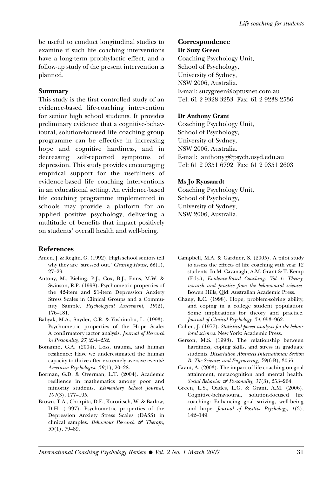be useful to conduct longitudinal studies to examine if such life coaching interventions have a long-term prophylactic effect, and a follow-up study of the present intervention is planned.

#### **Summary**

This study is the first controlled study of an evidence-based life-coaching intervention for senior high school students. It provides preliminary evidence that a cognitive-behavioural, solution-focused life coaching group programme can be effective in increasing hope and cognitive hardiness, and in decreasing self-reported symptoms of depression. This study provides encouraging empirical support for the usefulness of evidence-based life coaching interventions in an educational setting. An evidence-based life coaching programme implemented in schools may provide a platform for an applied positive psychology, delivering a multitude of benefits that impact positively on students' overall health and well-being.

#### **References**

- Amen, J. & Reglin, G. (1992). High school seniors tell why they are 'stressed out.' *Clearing House, 66*(1), 27–29.
- Antony, M., Bieling, P.J., Cox, B.J., Enns, M.W. & Swinson, R.P. (1998). Psychometric properties of the 42-item and 21-item Depression Anxiety Stress Scales in Clinical Groups and a Community Sample. *Psychological Assessment, 19*(2), 176–181.
- Babyak, M.A., Snyder, C.R. & Yoshinobu, L. (1993). Psychometric properties of the Hope Scale: A confirmatory factor analysis. *Journal of Research in Personality, 27*, 234–252.
- Bonanno, G.A. (2004). Loss, trauma, and human resilience: Have we underestimated the human capacity to thrive after extremely aversive events? *American Psychologist, 59*(1), 20–28.
- Borman, G.D. & Overman, L.T. (2004). Academic resilience in mathematics among poor and minority students. *Elementary School Journal, 104*(3), 177–195.
- Brown, T.A., Chorpita, D.F., Korotitsch, W. & Barlow, D.H. (1997). Psychometric properties of the Depression Anxiety Stress Scales (DASS) in clinical samples. *Behaviour Research & Therapy, 35*(1), 79–89.

#### **Correspondence Dr Suzy Green**

Coaching Psychology Unit, School of Psychology, University of Sydney, NSW 2006, Australia. E-mail: suzygreen@optusnet.com.au Tel: 61 2 9328 3253 Fax: 61 2 9238 2536

#### **Dr Anthony Grant**

Coaching Psychology Unit, School of Psychology, University of Sydney, NSW 2006, Australia. E-mail: anthonyg@psych.usyd.edu.au Tel: 61 2 9351 6792 Fax: 61 2 9351 2603

#### **Ms Jo Rynsaardt**

Coaching Psychology Unit, School of Psychology, University of Sydney, NSW 2006, Australia.

- Campbell, M.A. & Gardner, S. (2005). A pilot study to assess the effects of life coaching with year 12 students. In M. Cavanagh, A.M. Grant & T. Kemp (Eds.), *Evidence-Based Coaching: Vol 1: Theory, research and practice from the behavioural sciences.* Bowen Hills, Qld: Australian Academic Press.
- Chang, E.C. (1998). Hope, problem-solving ability, and coping in a college student population: Some implications for theory and practice. *Journal of Clinical Psychology, 54*, 953–962.
- Cohen, J. (1977). *Statistical power analysis for the behavioral sciences.* New York: Academic Press.
- Gerson, M.S. (1998). The relationship between hardiness, coping skills, and stress in graduate students. *Dissertation Abstracts International: Section B: The Sciences and Engineering, 59*(6-B), 3056.
- Grant, A. (2003). The impact of life coaching on goal attainment, metacognition and mental health. *Social Behavior & Personality, 31*(3), 253–264.
- Green, L.S., Oades, L.G. & Grant, A.M. (2006). Cognitive-behavioural, solution-focused life coaching: Enhancing goal striving, well-being and hope. *Journal of Positive Psychology, 1*(3), 142–149.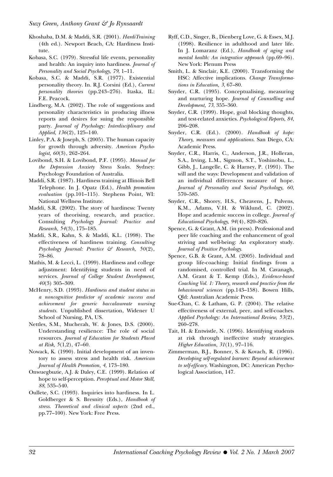- Khoshaba, D.M. & Maddi, S.R. (2001). *HardiTraining* (4th ed.). Newport Beach, CA: Hardiness Institute.
- Kobasa, S.C. (1979). Stressful life events, personality and health: An inquiry into hardiness. *Journal of Personality and Social Psychology, 79*, 1–11.
- Kobasa, S.C. & Maddi, S.R. (1977). Existential personality theory. In. R.J. Corsini (Ed.), *Current personality theories* (pp.243–276). Itaska, IL: F.E. Peacock.
- Lindberg, M.A. (2002). The role of suggestions and personality characteristics in producing illness reports and desires for suing the responsible party. *Journal of Psychology: Interdisciplinary and Applied, 136*(2), 125–140.
- Linley, P.A. & Joseph, S. (2005). The human capacity for growth through adversity. *American Psychologist, 60*(3), 262–264.
- Lovibond, S.H. & Lovibond, P.F. (1995). *Manual for the Depression Anxiety Stress Scales.* Sydney: Psychology Foundation of Australia.
- Maddi, S.R. (1987). Hardiness training at Illinois Bell Telephone. In J. Opatz (Ed.), *Health promotion evaluation* (pp.101–115). Stephens Point, WI: National Wellness Institute.
- Maddi, S.R. (2002). The story of hardiness: Twenty years of theorising, research, and practice. Consulting *Psychology Journal: Practice and Research, 54*(3), 175–185.
- Maddi, S.R., Kahn, S. & Maddi, K.L. (1998). The effectiveness of hardiness training. *Consulting Psychology Journal: Practice & Research, 50*(2), 78–86.
- Mathis, M. & Lecci, L. (1999). Hardiness and college adjustment: Identifying students in need of services. *Journal of College Student Development, 40*(3) 305–309.
- McHenry, S.D. (1993). *Hardiness and student status as a noncognitive predictor of academic success and achievement for generic baccalaureate nursing students.* Unpublished dissertation, Widener U School of Nursing, PA, US.
- Nettles, S.M., Mucherah, W. & Jones, D.S. (2000). Understanding resilience: The role of social resources. *Journal of Education for Students Placed at Risk, 5*(1,2), 47–60.
- Nowack, K. (1990). Initial development of an inventory to assess stress and health risk. *American Journal of Health Promotion, 4*, 173–180.
- Onwuegbuzie, A.J. & Daley, C.E. (1999). Relation of hope to self-perception. *Perceptual and Motor Skill, 88*, 535–540.
- Oullete, S.C. (1993). Inquiries into hardiness. In L. Goldberger & S. Bresnity (Eds.), *Handbook of stress. Theoretical and clinical aspects* (2nd ed., pp.77–100). New York: Free Press.
- Ryff, C.D., Singer, B., Dienberg Love, G. & Essex, M.J. (1998). Resilience in adulthood and later life. In J. Lomaranz (Ed.), *Handbook of aging and mental health: An integrative approach* (pp.69–96). New York: Plenum Press
- Smith, L. & Sinclair, K.E. (2000). Transforming the HSC: Affective implications. *Change Transformations in Education, 3*, 67–80.
- Snyder, C.R. (1995). Conceptualising, measuring and nurturing hope. *Journal of Counselling and Development, 73*, 355–360.
- Snyder, C.R. (1999). Hope, goal blocking thoughts, and test-related anxieties. *Psychological Reports, 84*, 206–208.
- Snyder, C.R. (Ed.). (2000). *Handbook of hope: Theory, measures and applications.* San Diego, CA: Academic Press.
- Snyder, C.R., Harris, C., Anderson, J.R., Holleran, S.A., Irving, L.M., Sigmon, S.T., Yoshinobu, L., Gibb, J., Langelle, C. & Harney, P. (1991). The will and the ways: Development and validation of an individual differences measure of hope. *Journal of Personality and Social Psychology, 60*, 570–585.
- Snyder, C.R., Shorey, H.S., Cheavens, J., Pulvens, K.M., Adams, V.H. & Wiklund, C. (2002). Hope and academic success in college. *Journal of Educational Psychology, 94*(4), 820–826.
- Spence, G. & Grant, A.M. (in press). Professional and peer life coaching and the enhancement of goal striving and well-being: An exploratory study. *Journal of Positive Psychology.*
- Spence, G.B. & Grant, A.M. (2005). Individual and group life-coaching: Initial findings from a randomised, controlled trial. In M. Cavanagh, A.M. Grant & T. Kemp (Eds.), *Evidence-based Coaching Vol. 1: Theory, research and practice from the behavioural sciences* (pp.143–158). Bowen Hills, Qld: Australian Academic Press.
- Sue-Chan, C. & Latham, G. P. (2004). The relative effectiveness of external, peer, and self-coaches. *Applied Psychology: An International Review, 53*(2), 260–278.
- Tait, H. & Entwistle, N. (1996). Identifying students at risk through ineffective study strategies. *Higher Education, 31*(1), 97–116.
- Zimmerman, B.J., Bonner, S. & Kovach, R. (1996). *Developing self-regulated learners: Beyond achievement to self-efficacy.* Washington, DC: American Psychological Association, 147.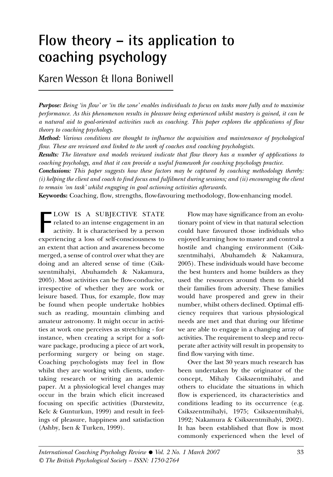## **Flow theory – its application to coaching psychology**

### Karen Wesson & Ilona Boniwell

**Purpose:** *Being 'in flow' or 'in the zone' enables individuals to focus on tasks more fully and to maximise performance. As this phenomenon results in pleasure being experienced whilst mastery is gained, it can be a natural aid to goal-oriented activities such as coaching. This paper explores the applications of flow theory to coaching psychology.*

**Method:** *Various conditions are thought to influence the acquisition and maintenance of psychological flow. These are reviewed and linked to the work of coaches and coaching psychologists.*

**Results:** *The literature and models reviewed indicate that flow theory has a number of applications to coaching psychology, and that it can provide a useful framework for coaching psychology practice.*

**Conclusions:** *This paper suggests how these factors may be captured by coaching methodology thereby: (i) helping the client and coach to find focus and fulfilment during sessions; and (ii) encouraging the client to remain 'on task' whilst engaging in goal actioning activities afterwards.*

**Keywords:** Coaching, flow, strengths, flow-favouring methodology, flow-enhancing model.

**FRACE EXECUTE STATE**<br>
Frelated to an intense engagement in an<br>
activity. It is characterised by a person<br>
experiencing a loss of self-consciousness to LOW IS A SUBJECTIVE STATE related to an intense engagement in an activity. It is characterised by a person an extent that action and awareness become merged, a sense of control over what they are doing and an altered sense of time (Csikszentmihalyi, Abuhamdeh & Nakamura, 2005). Most activities can be flow-conducive, irrespective of whether they are work or leisure based. Thus, for example, flow may be found when people undertake hobbies such as reading, mountain climbing and amateur astronomy. It might occur in activities at work one perceives as stretching - for instance, when creating a script for a software package, producing a piece of art work, performing surgery or being on stage. Coaching psychologists may feel in flow whilst they are working with clients, undertaking research or writing an academic paper. At a physiological level changes may occur in the brain which elicit increased focusing on specific activities (Durstewitz, Kelc & Gunturkun, 1999) and result in feelings of pleasure, happiness and satisfaction (Ashby, Isen & Turken, 1999).

Flow may have significance from an evolutionary point of view in that natural selection could have favoured those individuals who enjoyed learning how to master and control a hostile and changing environment (Csikszentmihalyi, Abuhamdeh & Nakamura, 2005). These individuals would have become the best hunters and home builders as they used the resources around them to shield their families from adversity. These families would have prospered and grew in their number, whilst others declined. Optimal efficiency requires that various physiological needs are met and that during our lifetime we are able to engage in a changing array of activities. The requirement to sleep and recuperate after activity will result in propensity to find flow varying with time.

Over the last 30 years much research has been undertaken by the originator of the concept, Mihaly Csikszentmihalyi, and others to elucidate the situations in which flow is experienced, its characteristics and conditions leading to its occurrence (e.g. Csikszentmihalyi, 1975; Csikszentmihalyi, 1992; Nakamura & Csikszentmihalyi, 2002). It has been established that flow is most commonly experienced when the level of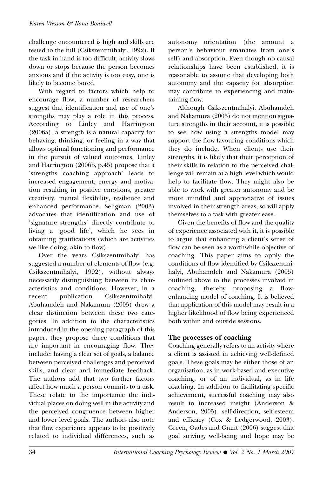challenge encountered is high and skills are tested to the full (Csikszentmihalyi, 1992). If the task in hand is too difficult, activity slows down or stops because the person becomes anxious and if the activity is too easy, one is likely to become bored.

With regard to factors which help to encourage flow, a number of researchers suggest that identification and use of one's strengths may play a role in this process. According to Linley and Harrington (2006a), a strength is a natural capacity for behaving, thinking, or feeling in a way that allows optimal functioning and performance in the pursuit of valued outcomes. Linley and Harrington (2006b, p.45) propose that a 'strengths coaching approach' leads to increased engagement, energy and motivation resulting in positive emotions, greater creativity, mental flexibility, resilience and enhanced performance. Seligman (2003) advocates that identification and use of 'signature strengths' directly contribute to living a 'good life', which he sees in obtaining gratifications (which are activities we like doing, akin to flow).

Over the years Csikszentmihalyi has suggested a number of elements of flow (e.g. Csikszentmihalyi, 1992), without always necessarily distinguishing between its characteristics and conditions. However, in a recent publication Csikszentmihalyi, Abuhamdeh and Nakamura (2005) drew a clear distinction between these two categories. In addition to the characteristics introduced in the opening paragraph of this paper, they propose three conditions that are important in encouraging flow. They include: having a clear set of goals, a balance between perceived challenges and perceived skills, and clear and immediate feedback. The authors add that two further factors affect how much a person commits to a task. These relate to the importance the individual places on doing well in the activity and the perceived congruence between higher and lower level goals. The authors also note that flow experience appears to be positively related to individual differences, such as autonomy orientation (the amount a person's behaviour emanates from one's self) and absorption. Even though no causal relationships have been established, it is reasonable to assume that developing both autonomy and the capacity for absorption may contribute to experiencing and maintaining flow.

Although Csikszentmihalyi, Abuhamdeh and Nakamura (2005) do not mention signature strengths in their account, it is possible to see how using a strengths model may support the flow favouring conditions which they do include. When clients use their strengths, it is likely that their perception of their skills in relation to the perceived challenge will remain at a high level which would help to facilitate flow. They might also be able to work with greater autonomy and be more mindful and appreciative of issues involved in their strength areas, so will apply themselves to a task with greater ease.

Given the benefits of flow and the quality of experience associated with it, it is possible to argue that enhancing a client's sense of flow can be seen as a worthwhile objective of coaching. This paper aims to apply the conditions of flow identified by Csikszentmihalyi, Abuhamdeh and Nakamura (2005) outlined above to the processes involved in coaching, thereby proposing a flowenhancing model of coaching. It is believed that application of this model may result in a higher likelihood of flow being experienced both within and outside sessions.

#### **The processes of coaching**

Coaching generally refers to an activity where a client is assisted in achieving well-defined goals. These goals may be either those of an organisation, as in work-based and executive coaching, or of an individual, as in life coaching. In addition to facilitating specific achievement, successful coaching may also result in increased insight (Anderson & Anderson, 2005), self-direction, self-esteem and efficacy (Cox & Ledgerwood, 2003). Green, Oades and Grant (2006) suggest that goal striving, well-being and hope may be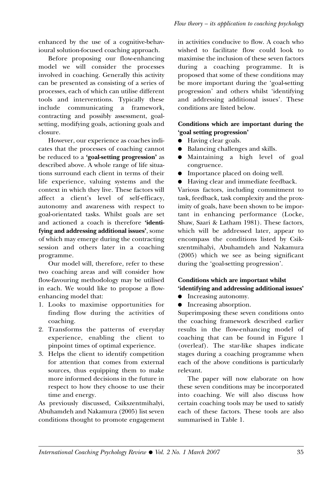enhanced by the use of a cognitive-behavioural solution-focused coaching approach.

Before proposing our flow-enhancing model we will consider the processes involved in coaching. Generally this activity can be presented as consisting of a series of processes, each of which can utilise different tools and interventions. Typically these include communicating a framework, contracting and possibly assessment, goalsetting, modifying goals, actioning goals and closure.

However, our experience as coaches indicates that the processes of coaching cannot be reduced to a **'goal-setting progression'** as described above. A whole range of life situations surround each client in terms of their life experience, valuing systems and the context in which they live. These factors will affect a client's level of self-efficacy, autonomy and awareness with respect to goal-orientated tasks. Whilst goals are set and actioned a coach is therefore **'identifying and addressing additional issues'**, some of which may emerge during the contracting session and others later in a coaching programme.

Our model will, therefore, refer to these two coaching areas and will consider how flow-favouring methodology may be utilised in each. We would like to propose a flowenhancing model that:

- 1. Looks to maximise opportunities for finding flow during the activities of coaching.
- 2. Transforms the patterns of everyday experience, enabling the client to pinpoint times of optimal experience.
- 3. Helps the client to identify competition for attention that comes from external sources, thus equipping them to make more informed decisions in the future in respect to how they choose to use their time and energy.

As previously discussed, Csikszentmihalyi, Abuhamdeh and Nakamura (2005) list seven conditions thought to promote engagement in activities conducive to flow. A coach who wished to facilitate flow could look to maximise the inclusion of these seven factors during a coaching programme. It is proposed that some of these conditions may be more important during the 'goal-setting progression' and others whilst 'identifying and addressing additional issues'. These conditions are listed below.

#### **Conditions which are important during the 'goal setting progression'**

- Having clear goals.
- Balancing challenges and skills.
- Maintaining a high level of goal congruence.
- Importance placed on doing well.
- Having clear and immediate feedback.

Various factors, including commitment to task, feedback, task complexity and the proximity of goals, have been shown to be important in enhancing performance (Locke, Shaw, Saari & Latham 1981). These factors, which will be addressed later, appear to encompass the conditions listed by Csikszentmihalyi, Abuhamdeh and Nakamura (2005) which we see as being significant during the 'goal-setting progression'.

#### **Conditions which are important whilst 'identifying and addressing additional issues'**

- Increasing autonomy.
- Increasing absorption.

Superimposing these seven conditions onto the coaching framework described earlier results in the flow-enhancing model of coaching that can be found in Figure 1 (overleaf). The star-like shapes indicate stages during a coaching programme when each of the above conditions is particularly relevant.

The paper will now elaborate on how these seven conditions may be incorporated into coaching. We will also discuss how certain coaching tools may be used to satisfy each of these factors. These tools are also summarised in Table 1.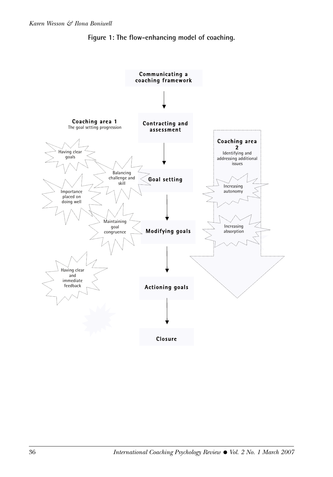

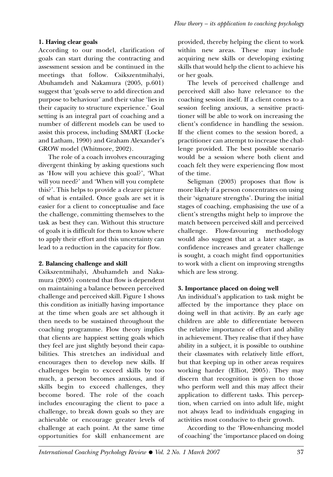### **1. Having clear goals**

According to our model, clarification of goals can start during the contracting and assessment session and be continued in the meetings that follow. Csikszentmihalyi, Abuhamdeh and Nakamura (2005, p.601) suggest that 'goals serve to add direction and purpose to behaviour' and their value 'lies in their capacity to structure experience.' Goal setting is an integral part of coaching and a number of different models can be used to assist this process, including SMART (Locke and Latham, 1990) and Graham Alexander's GROW model (Whitmore, 2002).

The role of a coach involves encouraging divergent thinking by asking questions such as 'How will you achieve this goal?', 'What will you need?' and 'When will you complete this?'. This helps to provide a clearer picture of what is entailed. Once goals are set it is easier for a client to conceptualise and face the challenge, committing themselves to the task as best they can. Without this structure of goals it is difficult for them to know where to apply their effort and this uncertainty can lead to a reduction in the capacity for flow.

#### **2. Balancing challenge and skill**

Csikszentmihalyi, Abuhamdeh and Nakamura (2005) contend that flow is dependent on maintaining a balance between perceived challenge and perceived skill. Figure 1 shows this condition as initially having importance at the time when goals are set although it then needs to be sustained throughout the coaching programme. Flow theory implies that clients are happiest setting goals which they feel are just slightly beyond their capabilities. This stretches an individual and encourages then to develop new skills. If challenges begin to exceed skills by too much, a person becomes anxious, and if skills begin to exceed challenges, they become bored. The role of the coach includes encouraging the client to pace a challenge, to break down goals so they are achievable or encourage greater levels of challenge at each point. At the same time opportunities for skill enhancement are provided, thereby helping the client to work within new areas. These may include acquiring new skills or developing existing skills that would help the client to achieve his or her goals.

The levels of perceived challenge and perceived skill also have relevance to the coaching session itself. If a client comes to a session feeling anxious, a sensitive practitioner will be able to work on increasing the client's confidence in handling the session. If the client comes to the session bored, a practitioner can attempt to increase the challenge provided. The best possible scenario would be a session where both client and coach felt they were experiencing flow most of the time.

Seligman (2003) proposes that flow is more likely if a person concentrates on using their 'signature strengths'. During the initial stages of coaching, emphasising the use of a client's strengths might help to improve the match between perceived skill and perceived challenge. Flow-favouring methodology would also suggest that at a later stage, as confidence increases and greater challenge is sought, a coach might find opportunities to work with a client on improving strengths which are less strong.

# **3. Importance placed on doing well**

An individual's application to task might be affected by the importance they place on doing well in that activity. By an early age children are able to differentiate between the relative importance of effort and ability in achievement. They realise that if they have ability in a subject, it is possible to outshine their classmates with relatively little effort, but that keeping up in other areas requires working harder (Elliot, 2005). They may discern that recognition is given to those who perform well and this may affect their application to different tasks. This perception, when carried on into adult life, might not always lead to individuals engaging in activities most conducive to their growth.

According to the 'Flow-enhancing model of coaching' the 'importance placed on doing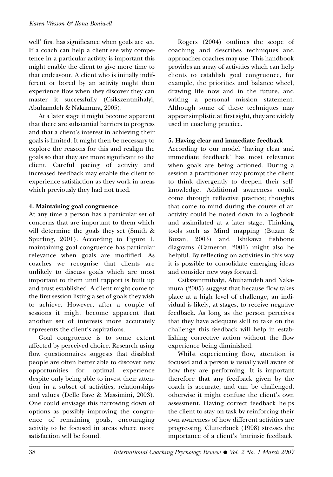well' first has significance when goals are set. If a coach can help a client see why competence in a particular activity is important this might enable the client to give more time to that endeavour. A client who is initially indifferent or bored by an activity might then experience flow when they discover they can master it successfully (Csikszentmihalyi, Abuhamdeh & Nakamura, 2005).

At a later stage it might become apparent that there are substantial barriers to progress and that a client's interest in achieving their goals is limited. It might then be necessary to explore the reasons for this and realign the goals so that they are more significant to the client. Careful pacing of activity and increased feedback may enable the client to experience satisfaction as they work in areas which previously they had not tried.

#### **4. Maintaining goal congruence**

At any time a person has a particular set of concerns that are important to them which will determine the goals they set (Smith & Spurling, 2001). According to Figure 1, maintaining goal congruence has particular relevance when goals are modified. As coaches we recognise that clients are unlikely to discuss goals which are most important to them until rapport is built up and trust established. A client might come to the first session listing a set of goals they wish to achieve. However, after a couple of sessions it might become apparent that another set of interests more accurately represents the client's aspirations.

Goal congruence is to some extent affected by perceived choice. Research using flow questionnaires suggests that disabled people are often better able to discover new opportunities for optimal experience despite only being able to invest their attention in a subset of activities, relationships and values (Delle Fave & Massimini, 2003). One could envisage this narrowing down of options as possibly improving the congruence of remaining goals, encouraging activity to be focused in areas where more satisfaction will be found.

Rogers (2004) outlines the scope of coaching and describes techniques and approaches coaches may use. This handbook provides an array of activities which can help clients to establish goal congruence, for example, the priorities and balance wheel, drawing life now and in the future, and writing a personal mission statement. Although some of these techniques may appear simplistic at first sight, they are widely used in coaching practice.

# **5. Having clear and immediate feedback**

According to our model 'having clear and immediate feedback' has most relevance when goals are being actioned. During a session a practitioner may prompt the client to think divergently to deepen their selfknowledge. Additional awareness could come through reflective practice; thoughts that come to mind during the course of an activity could be noted down in a logbook and assimilated at a later stage. Thinking tools such as Mind mapping (Buzan & Buzan, 2003) and Ishikawa fishbone diagrams (Cameron, 2001) might also be helpful. By reflecting on activities in this way it is possible to consolidate emerging ideas and consider new ways forward.

Csikszentmihalyi, Abuhamdeh and Nakamura (2005) suggest that because flow takes place at a high level of challenge, an individual is likely, at stages, to receive negative feedback. As long as the person perceives that they have adequate skill to take on the challenge this feedback will help in establishing corrective action without the flow experience being diminished.

Whilst experiencing flow, attention is focused and a person is usually well aware of how they are performing. It is important therefore that any feedback given by the coach is accurate, and can be challenged, otherwise it might confuse the client's own assessment. Having correct feedback helps the client to stay on task by reinforcing their own awareness of how different activities are progressing. Clutterbuck (1998) stresses the importance of a client's 'intrinsic feedback'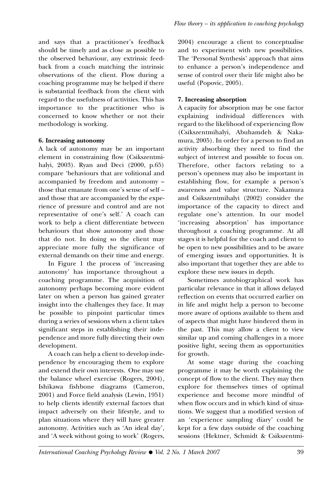and says that a practitioner's feedback should be timely and as close as possible to the observed behaviour, any extrinsic feedback from a coach matching the intrinsic observations of the client. Flow during a coaching programme may be helped if there is substantial feedback from the client with regard to the usefulness of activities. This has importance to the practitioner who is concerned to know whether or not their methodology is working.

#### **6. Increasing autonomy**

A lack of autonomy may be an important element in constraining flow (Csikszentmihalyi, 2003). Ryan and Deci (2000, p.65) compare 'behaviours that are volitional and accompanied by freedom and autonomy – those that emanate from one's sense of self – and those that are accompanied by the experience of pressure and control and are not representative of one's self.' A coach can work to help a client differentiate between behaviours that show autonomy and those that do not. In doing so the client may appreciate more fully the significance of external demands on their time and energy.

In Figure 1 the process of 'increasing autonomy' has importance throughout a coaching programme. The acquisition of autonomy perhaps becoming more evident later on when a person has gained greater insight into the challenges they face. It may be possible to pinpoint particular times during a series of sessions when a client takes significant steps in establishing their independence and more fully directing their own development.

A coach can help a client to develop independence by encouraging them to explore and extend their own interests. One may use the balance wheel exercise (Rogers, 2004), Ishikawa fishbone diagrams (Cameron, 2001) and Force field analysis (Lewin, 1951) to help clients identify external factors that impact adversely on their lifestyle, and to plan situations where they will have greater autonomy. Activities such as 'An ideal day', and 'A week without going to work' (Rogers,

2004) encourage a client to conceptualise and to experiment with new possibilities. The 'Personal Synthesis' approach that aims to enhance a person's independence and sense of control over their life might also be useful (Popovic, 2005).

#### **7. Increasing absorption**

A capacity for absorption may be one factor explaining individual differences with regard to the likelihood of experiencing flow (Csikszentmihalyi, Abuhamdeh & Nakamura, 2005). In order for a person to find an activity absorbing they need to find the subject of interest and possible to focus on. Therefore, other factors relating to a person's openness may also be important in establishing flow, for example a person's awareness and value structure. Nakamura and Csikszentmihalyi (2002) consider the importance of the capacity to direct and regulate one's attention. In our model 'increasing absorption' has importance throughout a coaching programme. At all stages it is helpful for the coach and client to be open to new possibilities and to be aware of emerging issues and opportunities. It is also important that together they are able to explore these new issues in depth.

Sometimes autobiographical work has particular relevance in that it allows delayed reflection on events that occurred earlier on in life and might help a person to become more aware of options available to them and of aspects that might have hindered them in the past. This may allow a client to view similar up and coming challenges in a more positive light, seeing them as opportunities for growth.

At some stage during the coaching programme it may be worth explaining the concept of flow to the client. They may then explore for themselves times of optimal experience and become more mindful of when flow occurs and in which kind of situations. We suggest that a modified version of an 'experience sampling diary' could be kept for a few days outside of the coaching sessions (Hektner, Schmidt & Csikszentmi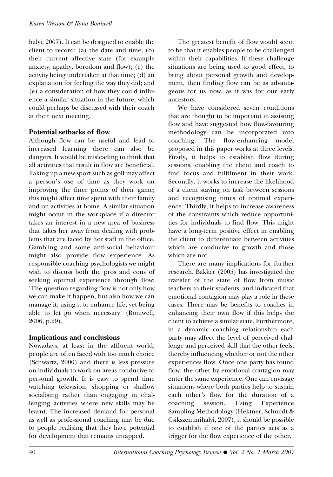halyi, 2007). It can be designed to enable the client to record: (a) the date and time; (b) their current affective state (for example anxiety, apathy, boredom and flow); (c) the activity being undertaken at that time; (d) an explanation for feeling the way they did; and (e) a consideration of how they could influence a similar situation in the future, which could perhaps be discussed with their coach at their next meeting.

# **Potential setbacks of flow**

Although flow can be useful and lead to increased learning there can also be dangers. It would be misleading to think that all activities that result in flow are beneficial. Taking up a new sport such as golf may affect a person's use of time as they work on improving the finer points of their game; this might affect time spent with their family and on activities at home. A similar situation might occur in the workplace if a director takes an interest in a new area of business that takes her away from dealing with problems that are faced by her staff in the office. Gambling and some anti-social behaviour might also provide flow experience. As responsible coaching psychologists we might wish to discuss both the pros and cons of seeking optimal experience through flow: 'The question regarding flow is not only how we can make it happen, but also how we can manage it; using it to enhance life, yet being able to let go when necessary' (Boniwell, 2006, p.29).

# **Implications and conclusions**

Nowadays, at least in the affluent world, people are often faced with too much choice (Schwartz, 2000) and there is less pressure on individuals to work on areas conducive to personal growth. It is easy to spend time watching television, shopping or shallow socialising rather than engaging in challenging activities where new skills may be learnt. The increased demand for personal as well as professional coaching may be due to people realising that they have potential for development that remains untapped.

The greatest benefit of flow would seem to be that it enables people to be challenged within their capabilities. If these challenge situations are being used to good effect, to bring about personal growth and development, then finding flow can be as advantageous for us now, as it was for our early ancestors.

We have considered seven conditions that are thought to be important in assisting flow and have suggested how flow-favouring methodology can be incorporated into coaching. The flow-enhancing model proposed in this paper works at three levels. Firstly, it helps to establish flow during sessions, enabling the client and coach to find focus and fulfilment in their work. Secondly, it works to increase the likelihood of a client staying on task between sessions and recognising times of optimal experience. Thirdly, it helps to increase awareness of the constraints which reduce opportunities for individuals to find flow. This might have a long-term positive effect in enabling the client to differentiate between activities which are conducive to growth and those which are not.

There are many implications for further research. Bakker (2005) has investigated the transfer of the state of flow from music teachers to their students, and indicated that emotional contagion may play a role in these cases. There may be benefits to coaches in enhancing their own flow if this helps the client to achieve a similar state. Furthermore, in a dynamic coaching relationship each party may affect the level of perceived challenge and perceived skill that the other feels, thereby influencing whether or not the other experiences flow. Once one party has found flow, the other by emotional contagion may enter the same experience. One can envisage situations where both parties help to sustain each other's flow for the duration of a coaching session. Using Experience Sampling Methodology (Hektner, Schmidt & Csikszentmihalyi, 2007), it should be possible to establish if one of the parties acts as a trigger for the flow experience of the other.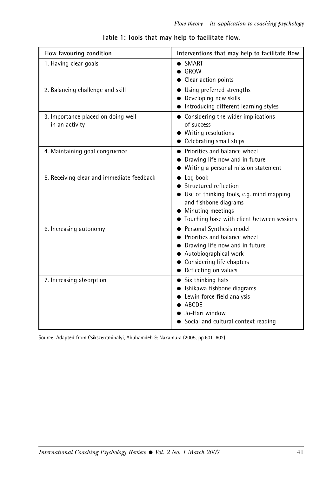| Flow favouring condition                             | Interventions that may help to facilitate flow                                                                                                                                 |
|------------------------------------------------------|--------------------------------------------------------------------------------------------------------------------------------------------------------------------------------|
| 1. Having clear goals                                | SMART<br>GROW<br>• Clear action points                                                                                                                                         |
| 2. Balancing challenge and skill                     | Using preferred strengths<br>Developing new skills<br>• Introducing different learning styles                                                                                  |
| 3. Importance placed on doing well<br>in an activity | • Considering the wider implications<br>of success<br>• Writing resolutions<br>• Celebrating small steps                                                                       |
| 4. Maintaining goal congruence                       | • Priorities and balance wheel<br>• Drawing life now and in future<br>Writing a personal mission statement                                                                     |
| 5. Receiving clear and immediate feedback            | Log book<br>Structured reflection<br>• Use of thinking tools, e.g. mind mapping<br>and fishbone diagrams<br>Minuting meetings<br>• Touching base with client between sessions  |
| 6. Increasing autonomy                               | • Personal Synthesis model<br>Priorities and balance wheel<br>Drawing life now and in future<br>• Autobiographical work<br>Considering life chapters<br>• Reflecting on values |
| 7. Increasing absorption                             | $\bullet$ Six thinking hats<br>• Ishikawa fishbone diagrams<br>• Lewin force field analysis<br>ABCDE<br>Jo-Hari window<br>Social and cultural context reading                  |

# **Table 1: Tools that may help to facilitate flow.**

Source: Adapted from Csikszentmihalyi, Abuhamdeh & Nakamura (2005, pp.601–602).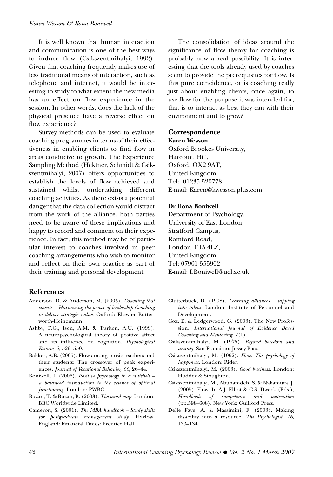It is well known that human interaction and communication is one of the best ways to induce flow (Csikszentmihalyi, 1992). Given that coaching frequently makes use of less traditional means of interaction, such as telephone and internet, it would be interesting to study to what extent the new media has an effect on flow experience in the session. In other words, does the lack of the physical presence have a reverse effect on flow experience?

Survey methods can be used to evaluate coaching programmes in terms of their effectiveness in enabling clients to find flow in areas conducive to growth. The Experience Sampling Method (Hektner, Schmidt & Csikszentmihalyi, 2007) offers opportunities to establish the levels of flow achieved and sustained whilst undertaking different coaching activities. As there exists a potential danger that the data collection would distract from the work of the alliance, both parties need to be aware of these implications and happy to record and comment on their experience. In fact, this method may be of particular interest to coaches involved in peer coaching arrangements who wish to monitor and reflect on their own practice as part of their training and personal development.

#### **References**

- Anderson, D. & Anderson, M. (2005). *Coaching that counts – Harnessing the power of leadership Coaching to deliver strategic value.* Oxford: Elsevier Butterworth-Heinemann.
- Ashby, F.G., Isen, A.M. & Turken, A.U. (1999). A neuropsychological theory of positive affect and its influence on cognition. *Psychological Review, 3*, 529–550.
- Bakker, A.B. (2005). Flow among music teachers and their students: The crossover of peak experiences. *Journal of Vocational Behavior, 66*, 26–44.
- Boniwell, I. (2006). *Positive psychology in a nutshell a balanced introduction to the science of optimal functioning.* London: PWBC.
- Buzan, T. & Buzan, B. (2003). *The mind map.* London: BBC Worldwide Limited.
- Cameron, S. (2001). *The MBA handbook Study skills for postgraduate management study.* Harlow, England: Financial Times: Prentice Hall.

The consolidation of ideas around the significance of flow theory for coaching is probably now a real possibility. It is interesting that the tools already used by coaches seem to provide the prerequisites for flow. Is this pure coincidence, or is coaching really just about enabling clients, once again, to use flow for the purpose it was intended for, that is to interact as best they can with their environment and to grow?

#### **Correspondence**

**Karen Wesson** Oxford Brookes University, Harcourt Hill, Oxford, OX2 9AT, United Kingdom. Tel: 01235 520778 E-mail: Karen@kwesson.plus.com

#### **Dr Ilona Boniwell**

Department of Psychology, University of East London, Stratford Campus, Romford Road, London, E15 4LZ, United Kingdom. Tel: 07901 555902 E-mail: I.Boniwell@uel.ac.uk

- Clutterbuck, D. (1998). *Learning alliances tapping into talent.* London: Institute of Personnel and Development.
- Cox, E. & Ledgerwood, G. (2003). The New Profession. *International Journal of Evidence Based Coaching and Mentoring, 1*(1).
- Csikszentmihalyi, M. (1975). *Beyond boredom and anxiety.* San Francisco: Jossey-Bass.
- Csikszentmihalyi, M. (1992). *Flow: The psychology of happiness.* London: Rider.
- Csikszentmihalyi, M. (2003). *Good business.* London: Hodder & Stoughton.
- Csikszentmihalyi, M., Abuhamdeh, S. & Nakamura, J. (2005). Flow. In A.J. Elliot & C.S. Dweck (Eds.), *Handbook of competence and motivation* (pp.598–608). New York: Guilford Press.
- Delle Fave, A. & Massimini, F. (2003). Making disability into a resource. *The Psychologist, 16*, 133–134.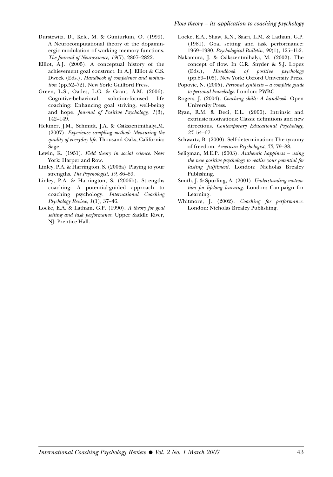- *Flow theory its application to coaching psychology*
- Durstewitz, D., Kelc, M. & Gunturkun, O. (1999). A Neurocomputational theory of the dopaminergic modulation of working memory functions. *The Journal of Neuroscience, 19*(7), 2807–2822.
- Elliot, A.J. (2005). A conceptual history of the achievement goal construct. In A.J. Elliot & C.S. Dweck (Eds.), *Handbook of competence and motivation* (pp.52–72). New York: Guilford Press.
- Green, L.S., Oades, L.G. & Grant, A.M. (2006). Cognitive-behavioral, solution-focused life coaching: Enhancing goal striving, well-being and hope. *Journal of Positive Psychology, 1*(3), 142–149.
- Hektner, J.M., Schmidt, J.A. & Csikszentmihalyi,M. (2007). *Experience sampling method: Measuring the quality of everyday life.* Thousand Oaks, California: Sage.
- Lewin, K. (1951). *Field theory in social science.* New York: Harper and Row.
- Linley, P.A. & Harrington, S. (2006a). Playing to your strengths. *The Psychologist, 19*, 86–89.
- Linley, P.A. & Harrington, S. (2006b). Strengths coaching: A potential-guided approach to coaching psychology. *International Coaching Psychology Review, 1*(1), 37–46.
- Locke, E.A. & Latham, G.P. (1990). *A theory for goal setting and task performance.* Upper Saddle River, NJ: Prentice-Hall.
- Locke, E.A., Shaw, K.N., Saari, L.M. & Latham, G.P. (1981). Goal setting and task performance: 1969–1980. *Psychological Bulletin, 90*(1), 125–152.
- Nakamura, J. & Csikszentmihalyi, M. (2002). The concept of flow. In C.R. Snyder & S.J. Lopez (Eds.), *Handbook of positive psychology* (pp.89–105). New York: Oxford University Press.
- Popovic, N. (2005). *Personal synthesis a complete guide to personal knowledge.* London: PWBC
- Rogers, J. (2004). *Coaching skills: A handbook.* Open University Press.
- Ryan, R.M. & Deci, E.L. (2000). Intrinsic and extrinsic motivations: Classic definitions and new directions. *Contemporary Educational Psychology, 25*, 54–67.
- Schwartz, B. (2000). Self-determination: The tyranny of freedom. *American Psychologist, 55*, 79–88.
- Seligman, M.E.P. (2003). *Authentic happiness using the new positive psychology to realise your potential for lasting fulfilment.* London: Nicholas Brealey Publishing.
- Smith, J. & Spurling, A. (2001). *Understanding motivation for lifelong learning.* London: Campaign for Learning.
- Whitmore, J. (2002). *Coaching for performance.* London: Nicholas Brealey Publishing.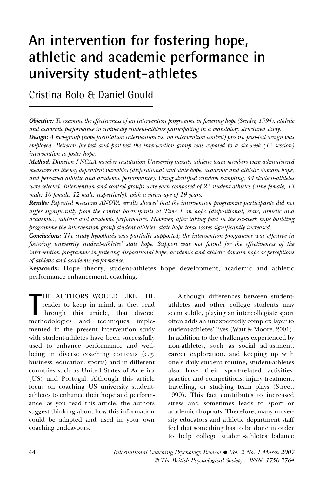# **An intervention for fostering hope, athletic and academic performance in university student-athletes**

Cristina Rolo & Daniel Gould

**Objective:** *To examine the effectiveness of an intervention programme in fostering hope (Snyder, 1994), athletic and academic performance in university student-athletes participating in a mandatory structured study.*

**Design:** *A two-group (hope facilitation intervention vs. no intervention control) pre- vs. post-test design was employed. Between pre-test and post-test the intervention group was exposed to a six-week (12 session) intervention to foster hope.*

**Method:** *Division I NCAA-member institution University varsity athletic team members were administered measures on the key dependent variables (dispositional and state hope, academic and athletic domain hope, and perceived athletic and academic performance). Using stratified random sampling, 44 student-athletes were selected. Intervention and control groups were each composed of 22 student-athletes (nine female, 13 male; 10 female, 12 male, respectively), with a mean age of 19 years.* 

**Results:** *Repeated measures ANOVA results showed that the intervention programme participants did not differ significantly from the control participants at Time 1 on hope (dispositional, state, athletic and academic), athletic and academic performance. However, after taking part in the six-week hope building programme the intervention group student-athletes' state hope total scores significantly increased.* 

**Conclusions:** *The study hypothesis was partially supported; the intervention programme was effective in fostering university student-athletes' state hope. Support was not found for the effectiveness of the intervention programme in fostering dispositional hope, academic and athletic domain hope or perceptions of athletic and academic performance.*

**Keywords:** Hope theory, student-athletes hope development, academic and athletic performance enhancement, coaching.

THE AUTHORS WOULD LIKE THE reader to keep in mind, as they read through this article, that diverse methodologies and techniques imple-HE AUTHORS WOULD LIKE THE reader to keep in mind, as they read through this article, that diverse mented in the present intervention study with student-athletes have been successfully used to enhance performance and wellbeing in diverse coaching contexts (e.g. business, education, sports) and in different countries such as United States of America (US) and Portugal. Although this article focus on coaching US university studentathletes to enhance their hope and performance, as you read this article, the authors suggest thinking about how this information could be adapted and used in your own coaching endeavours.

Although differences between studentathletes and other college students may seem subtle, playing an intercollegiate sport often adds an unexpectedly complex layer to student-athletes' lives (Watt & Moore, 2001). In addition to the challenges experienced by non-athletes, such as social adjustment, career exploration, and keeping up with one's daily student routine, student-athletes also have their sport-related activities: practice and competitions, injury treatment, travelling, or studying team plays (Street, 1999). This fact contributes to increased stress and sometimes leads to sport or academic dropouts. Therefore, many university educators and athletic department staff feel that something has to be done in order to help college student-athletes balance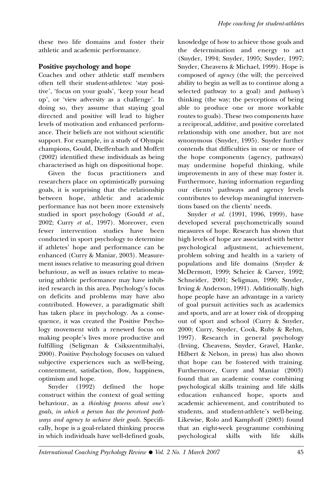these two life domains and foster their athletic and academic performance.

# **Positive psychology and hope**

Coaches and other athletic staff members often tell their student-athletes: 'stay positive', 'focus on your goals', 'keep your head up', or 'view adversity as a challenge'. In doing so, they assume that staying goal directed and positive will lead to higher levels of motivation and enhanced performance. Their beliefs are not without scientific support. For example, in a study of Olympic champions, Gould, Dieffenbach and Moffett (2002) identified these individuals as being characterised as high on dispositional hope.

Given the focus practitioners and researchers place on optimistically pursuing goals, it is surprising that the relationship between hope, athletic and academic performance has not been more extensively studied in sport psychology (Gould *et al.*, 2002; Curry *et al.*, 1997). Moreover, even fewer intervention studies have been conducted in sport psychology to determine if athletes' hope and performance can be enhanced (Curry & Maniar, 2003). Measurement issues relative to measuring goal driven behaviour, as well as issues relative to measuring athletic performance may have inhibited research in this area. Psychology's focus on deficits and problems may have also contributed. However, a paradigmatic shift has taken place in psychology. As a consequence, it was created the Positive Psychology movement with a renewed focus on making people's lives more productive and fulfilling (Seligman & Csikszentmihalyi, 2000). Positive Psychology focuses on valued subjective experiences such as well-being, contentment, satisfaction, flow, happiness, optimism and hope.

Snyder (1992) defined the hope construct within the context of goal setting behaviour, as a *thinking process about one's goals, in which a person has the perceived pathways and agency to achieve their goals.* Specifically, hope is a goal-related thinking process in which individuals have well-defined goals, knowledge of how to achieve those goals and the determination and energy to act (Snyder, 1994; Snyder, 1995; Snyder, 1997; Snyder, Cheavens & Michael, 1999). Hope is composed of *agency* (the will; the perceived ability to begin as well as to continue along a selected pathway to a goal) and *pathway's* thinking (the way; the perceptions of being able to produce one or more workable routes to goals). These two components have a reciprocal, additive, and positive correlated relationship with one another, but are not synonymous (Snyder, 1995). Snyder further contends that difficulties in one or more of the hope components (agency, pathways) may undermine hopeful thinking, while improvements in any of these may foster it. Furthermore, having information regarding our clients' pathways and agency levels contributes to develop meaningful interventions based on the clients' needs.

Snyder *et al.* (1991, 1996, 1999), have developed several psychometrically sound measures of hope. Research has shown that high levels of hope are associated with better psychological adjustment, achievement, problem solving and health in a variety of populations and life domains (Snyder & McDermott, 1999; Scheier & Carver, 1992; Schneider, 2001; Seligman, 1990; Snyder, Irving & Anderson, 1991). Additionally, high hope people have an advantage in a variety of goal pursuit activities such as academics and sports, and are at lower risk of dropping out of sport and school (Curry & Snyder, 2000; Curry, Snyder, Cook, Ruby & Rehm, 1997). Research in general psychology (Irving, Cheavens, Snyder, Gravel, Hanke, Hilbert & Nelson, in press) has also shown that hope can be fostered with training. Furthermore, Curry and Maniar (2003) found that an academic course combining psychological skills training and life skills education enhanced hope, sports and academic achievement, and contributed to students, and student-athlete's well-being. Likewise, Rolo and Kamphoff (2003) found that an eight-week programme combining psychological skills with life skills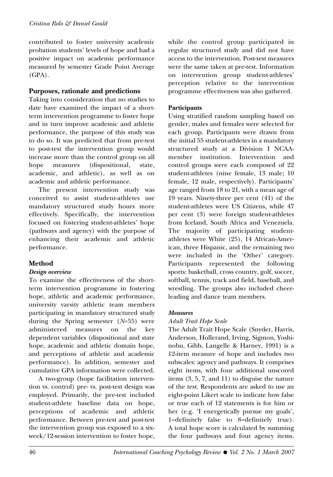contributed to foster university academic probation students' levels of hope and had a positive impact on academic performance measured by semester Grade Point Average (GPA).

# **Purposes, rationale and predictions**

Taking into consideration that no studies to date have examined the impact of a shortterm intervention programme to foster hope and in turn improve academic and athletic performance, the purpose of this study was to do so. It was predicted that from pre-test to post-test the intervention group would increase more than the control group on all hope measures (dispositional, state, academic, and athletic), as well as on academic and athletic performance.

The present intervention study was conceived to assist student-athletes use mandatory structured study hours more effectively. Specifically, the intervention focused on fostering student-athletes' hope (pathways and agency) with the purpose of enhancing their academic and athletic performance.

# **Method**

# **Design overview**

To examine the effectiveness of the shortterm intervention programme in fostering hope, athletic and academic performance, university varsity athletic team members participating in mandatory structured study during the Spring semester (*N*=55) were administered measures on the key dependent variables (dispositional and state hope, academic and athletic domain hope, and perceptions of athletic and academic performance). In addition, semester and cumulative GPA information were collected.

A two-group (hope facilitation intervention vs. control) pre- vs. post-test design was employed. Primarily, the pre-test included student-athlete baseline data on hope, perceptions of academic and athletic performance. Between pre-test and post-test the intervention group was exposed to a sixweek/12-session intervention to foster hope, while the control group participated in regular structured study and did not have access to the intervention. Post-test measures were the same taken at pre-test. Information on intervention group student-athletes' perception relative to the intervention programme effectiveness was also gathered.

# **Participants**

Using stratified random sampling based on gender, males and females were selected for each group. Participants were drawn from the initial 55 student-athletes in a mandatory structured study at a Division I NCAAmember institution. Intervention and control groups were each composed of 22 student-athletes (nine female, 13 male; 10 female, 12 male, respectively). Participants' age ranged from 18 to 21, with a mean age of 19 years. Ninety-three per cent (41) of the student-athletes were US Citizens, while 47 per cent (3) were foreign student-athletes from Iceland, South Africa and Venezuela. The majority of participating studentathletes were White (25), 14 African-American, three Hispanic, and the remaining two were included in the 'Other' category. Participants represented the following sports: basketball, cross country, golf, soccer, softball, tennis, track and field, baseball, and wrestling. The groups also included cheerleading and dance team members.

# **Measures**

# *Adult Trait Hope Scale*

The Adult Trait Hope Scale (Snyder, Harris, Anderson, Hollerand, Irving, Sigmon, Yoshinobu, Gibb, Langelle & Harney, 1991) is a 12-item measure of hope and includes two subscales: agency and pathways. It comprises eight items, with four additional unscored items (3, 5, 7, and 11) to disguise the nature of the test. Respondents are asked to use an eight-point Likert scale to indicate how false or true each of 12 statements is for him or her (e.g. 'I energetically pursue my goals', 1=definitely false to 8=definitely true). A total hope score is calculated by summing the four pathways and four agency items.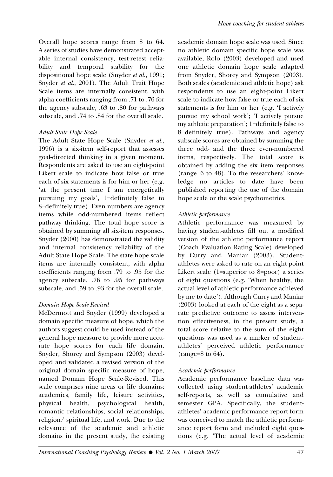Overall hope scores range from 8 to 64. A series of studies have demonstrated acceptable internal consistency, test-retest reliability and temporal stability for the dispositional hope scale (Snyder *et al.*, 1991; Snyder *et al.*, 2001). The Adult Trait Hope Scale items are internally consistent, with alpha coefficients ranging from .71 to .76 for the agency subscale, .63 to .80 for pathways subscale, and .74 to .84 for the overall scale.

#### *Adult State Hope Scale*

The Adult State Hope Scale (Snyder *et al.*, 1996) is a six-item self-report that assesses goal-directed thinking in a given moment. Respondents are asked to use an eight-point Likert scale to indicate how false or true each of six statements is for him or her (e.g. 'at the present time I am energetically pursuing my goals', 1=definitely false to 8=definitely true). Even numbers are agency items while odd-numbered items reflect pathway thinking. The total hope score is obtained by summing all six-item responses. Snyder (2000) has demonstrated the validity and internal consistency reliability of the Adult State Hope Scale. The state hope scale items are internally consistent, with alpha coefficients ranging from .79 to .95 for the agency subscale, .76 to .95 for pathways subscale, and .59 to .93 for the overall scale.

# *Domain Hope Scale-Revised*

McDermott and Snyder (1999) developed a domain specific measure of hope, which the authors suggest could be used instead of the general hope measure to provide more accurate hope scores for each life domain. Snyder, Shorey and Sympson (2003) developed and validated a revised version of the original domain specific measure of hope, named Domain Hope Scale-Revised. This scale comprises nine areas or life domains: academics, family life, leisure activities, physical health, psychological health, romantic relationships, social relationships, religion/ spiritual life, and work. Due to the relevance of the academic and athletic domains in the present study, the existing academic domain hope scale was used. Since no athletic domain specific hope scale was available, Rolo (2003) developed and used one athletic domain hope scale adapted from Snyder, Shorey and Sympson (2003). Both scales (academic and athletic hope) ask respondents to use an eight-point Likert scale to indicate how false or true each of six statements is for him or her (e.g. 'I actively pursue my school work'; 'I actively pursue my athletic preparation'; 1=definitely false to 8=definitely true). Pathways and agency subscale scores are obtained by summing the three odd- and the three even-numbered items, respectively. The total score is obtained by adding the six item responses (range=6 to 48). To the researchers' knowledge no articles to date have been published reporting the use of the domain hope scale or the scale psychometrics.

#### *Athletic performance*

Athletic performance was measured by having student-athletes fill out a modified version of the athletic performance report (Coach Evaluation Rating Scale) developed by Curry and Maniar (2003). Studentathletes were asked to rate on an eight-point Likert scale (1=superior to 8=poor) a series of eight questions (e.g. 'When healthy, the actual level of athletic performance achieved by me to date'). Although Curry and Maniar (2003) looked at each of the eight as a separate predictive outcome to assess intervention effectiveness, in the present study, a total score relative to the sum of the eight questions was used as a marker of studentathletes' perceived athletic performance (range=8 to 64).

#### *Academic performance*

Academic performance baseline data was collected using student-athletes' academic self-reports, as well as cumulative and semester GPA. Specifically, the studentathletes' academic performance report form was conceived to match the athletic performance report form and included eight questions (e.g. 'The actual level of academic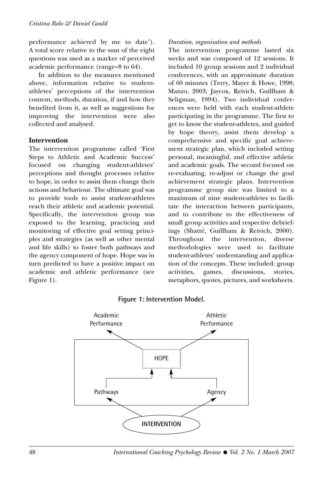performance achieved by me to date'). A total score relative to the sum of the eight questions was used as a marker of perceived academic performance (range=8 to 64).

In addition to the measures mentioned above, information relative to studentathletes' perceptions of the intervention content, methods, duration, if and how they benefited from it, as well as suggestions for improving the intervention were also collected and analysed.

# **Intervention**

The intervention programme called 'First Steps to Athletic and Academic Success' focused on changing student-athletes' perceptions and thought processes relative to hope, in order to assist them change their actions and behaviour. The ultimate goal was to provide tools to assist student-athletes reach their athletic and academic potential. Specifically, the intervention group was exposed to the learning, practicing and monitoring of effective goal setting principles and strategies (as well as other mental and life skills) to foster both pathways and the agency component of hope. Hope was in turn predicted to have a positive impact on academic and athletic performance (see Figure 1).

#### *Duration, organisation and methods*

The intervention programme lasted six weeks and was composed of 12 sessions. It included 10 group sessions and 2 individual conferences, with an approximate duration of 60 minutes (Terry, Mayer & Howe, 1998; Manzo, 2003; Jaycox, Reivich, Guillham & Seligman, 1994). Two individual conferences were held with each student-athlete participating in the programme. The first to get to know the student-athletes, and guided by hope theory, assist them develop a comprehensive and specific goal achievement strategic plan, which included setting personal, meaningful, and effective athletic and academic goals. The second focused on re-evaluating, re-adjust or change the goal achievement strategic plans. Intervention programme group size was limited to a maximum of nine student-athletes to facilitate the interaction between participants, and to contribute to the effectiveness of small group activities and respective debriefings (Shatté, Guillham & Reivich, 2000). Throughout the intervention, diverse methodologies were used to facilitate student-athletes' understanding and application of the concepts. These included: group activities, games, discussions, stories, metaphors, quotes, pictures, and worksheets.



#### **Figure 1: Intervention Model.**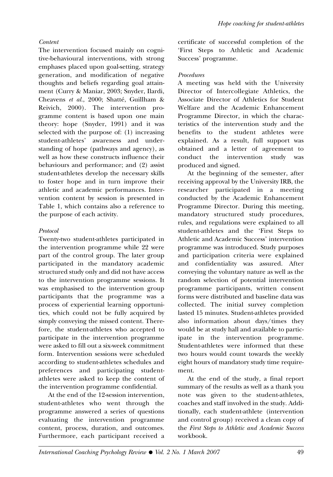### *Content*

The intervention focused mainly on cognitive-behavioural interventions, with strong emphases placed upon goal-setting, strategy generation, and modification of negative thoughts and beliefs regarding goal attainment (Curry & Maniar, 2003; Snyder, Ilardi, Cheavens *et al.*, 2000; Shatté, Guillham & Reivich, 2000). The intervention programme content is based upon one main theory: hope (Snyder, 1991) and it was selected with the purpose of: (1) increasing student-athletes' awareness and understanding of hope (pathways and agency), as well as how these constructs influence their behaviours and performance; and (2) assist student-athletes develop the necessary skills to foster hope and in turn improve their athletic and academic performances. Intervention content by session is presented in Table 1, which contains also a reference to the purpose of each activity.

# *Protocol*

Twenty-two student-athletes participated in the intervention programme while 22 were part of the control group. The later group participated in the mandatory academic structured study only and did not have access to the intervention programme sessions. It was emphasised to the intervention group participants that the programme was a process of experiential learning opportunities, which could not be fully acquired by simply conveying the missed content. Therefore, the student-athletes who accepted to participate in the intervention programme were asked to fill out a six-week commitment form. Intervention sessions were scheduled according to student-athletes schedules and preferences and participating studentathletes were asked to keep the content of the intervention programme confidential.

At the end of the 12-session intervention, student-athletes who went through the programme answered a series of questions evaluating the intervention programme content, process, duration, and outcomes. Furthermore, each participant received a certificate of successful completion of the 'First Steps to Athletic and Academic Success' programme.

#### *Procedures*

A meeting was held with the University Director of Intercollegiate Athletics, the Associate Director of Athletics for Student Welfare and the Academic Enhancement Programme Director, in which the characteristics of the intervention study and the benefits to the student athletes were explained. As a result, full support was obtained and a letter of agreement to conduct the intervention study was produced and signed.

At the beginning of the semester, after receiving approval by the University IRB, the researcher participated in a meeting conducted by the Academic Enhancement Programme Director. During this meeting, mandatory structured study procedures, rules, and regulations were explained to all student-athletes and the 'First Steps to Athletic and Academic Success' intervention programme was introduced. Study purposes and participation criteria were explained and confidentiality was assured. After conveying the voluntary nature as well as the random selection of potential intervention programme participants, written consent forms were distributed and baseline data was collected. The initial survey completion lasted 15 minutes. Student-athletes provided also information about days/times they would be at study hall and available to participate in the intervention programme. Student-athletes were informed that these two hours would count towards the weekly eight hours of mandatory study time requirement.

At the end of the study, a final report summary of the results as well as a thank you note was given to the student-athletes, coaches and staff involved in the study. Additionally, each student-athlete (intervention and control group) received a clean copy of the *First Steps to Athletic and Academic Success* workbook.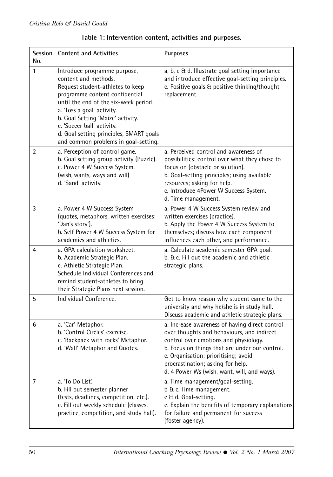| No. | Session Content and Activities                                                                                                                                                                                                                                                                                                                          | <b>Purposes</b>                                                                                                                                                                                                                                                                                                     |
|-----|---------------------------------------------------------------------------------------------------------------------------------------------------------------------------------------------------------------------------------------------------------------------------------------------------------------------------------------------------------|---------------------------------------------------------------------------------------------------------------------------------------------------------------------------------------------------------------------------------------------------------------------------------------------------------------------|
| 1   | Introduce programme purpose,<br>content and methods.<br>Request student-athletes to keep<br>programme content confidential<br>until the end of the six-week period.<br>a. 'Toss a goal' activity.<br>b. Goal Setting 'Maize' activity.<br>c. 'Soccer ball' activity.<br>d. Goal setting principles, SMART goals<br>and common problems in goal-setting. | a, b, c & d. Illustrate goal setting importance<br>and introduce effective goal-setting principles.<br>c. Positive goals & positive thinking/thought<br>replacement.                                                                                                                                                |
| 2   | a. Perception of control game.<br>b. Goal setting group activity (Puzzle).<br>c. Power 4 W Success System.<br>(wish, wants, ways and will)<br>d. 'Sand' activity.                                                                                                                                                                                       | a. Perceived control and awareness of<br>possibilities: control over what they chose to<br>focus on (obstacle or solution).<br>b. Goal-setting principles; using available<br>resources; asking for help.<br>c. Introduce 4Power W Success System.<br>d. Time management.                                           |
| 3   | a. Power 4 W Success System<br>(quotes, metaphors, written exercises:<br>'Dan's story').<br>b. Self Power 4 W Success System for<br>academics and athletics.                                                                                                                                                                                            | a. Power 4 W Success System review and<br>written exercises (practice).<br>b. Apply the Power 4 W Success System to<br>themselves; discuss how each component<br>influences each other, and performance.                                                                                                            |
| 4   | a. GPA calculation worksheet.<br>b. Academic Strategic Plan.<br>c. Athletic Strategic Plan.<br>Schedule Individual Conferences and<br>remind student-athletes to bring<br>their Strategic Plans next session.                                                                                                                                           | a. Calculate academic semester GPA goal.<br>b. Et c. Fill out the academic and athletic<br>strategic plans.                                                                                                                                                                                                         |
| 5   | Individual Conference.                                                                                                                                                                                                                                                                                                                                  | Get to know reason why student came to the<br>university and why he/she is in study hall.<br>Discuss academic and athletic strategic plans.                                                                                                                                                                         |
| 6   | a. 'Car' Metaphor.<br>b. 'Control Circles' exercise.<br>c. 'Backpack with rocks' Metaphor.<br>d. 'Wall' Metaphor and Quotes.                                                                                                                                                                                                                            | a. Increase awareness of having direct control<br>over thoughts and behaviours, and indirect<br>control over emotions and physiology.<br>b. Focus on things that are under our control.<br>c. Organisation; prioritising; avoid<br>procrastination; asking for help.<br>d. 4 Power Ws (wish, want, will, and ways). |
| 7   | a. 'To Do List'.<br>b. Fill out semester planner<br>(tests, deadlines, competition, etc.).<br>c. Fill out weekly schedule (classes,<br>practice, competition, and study hall).                                                                                                                                                                          | a. Time management/goal-setting.<br>b & c. Time management.<br>c & d. Goal-setting.<br>e. Explain the benefits of temporary explanations<br>for failure and permanent for success<br>(foster agency).                                                                                                               |

# **Table 1: Intervention content, activities and purposes.**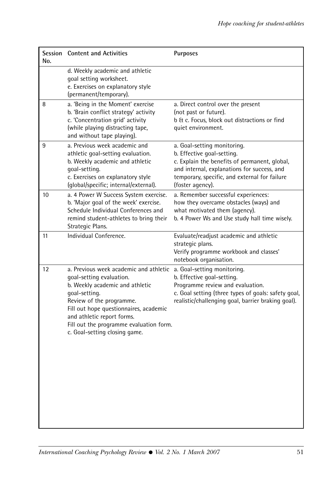| No. | Session Content and Activities                                                                                                                                                                                                                                                                         | <b>Purposes</b>                                                                                                                                                                                                                |
|-----|--------------------------------------------------------------------------------------------------------------------------------------------------------------------------------------------------------------------------------------------------------------------------------------------------------|--------------------------------------------------------------------------------------------------------------------------------------------------------------------------------------------------------------------------------|
|     | d. Weekly academic and athletic<br>goal setting worksheet.<br>e. Exercises on explanatory style<br>(permanent/temporary).                                                                                                                                                                              |                                                                                                                                                                                                                                |
| 8   | a. 'Being in the Moment' exercise<br>b. 'Brain conflict strategy' activity<br>c. 'Concentration grid' activity<br>(while playing distracting tape,<br>and without tape playing).                                                                                                                       | a. Direct control over the present<br>(not past or future).<br>b & c. Focus, block out distractions or find<br>quiet environment.                                                                                              |
| 9   | a. Previous week academic and<br>athletic goal-setting evaluation.<br>b. Weekly academic and athletic<br>goal-setting.<br>c. Exercises on explanatory style<br>(global/specific; internal/external).                                                                                                   | a. Goal-setting monitoring.<br>b. Effective goal-setting.<br>c. Explain the benefits of permanent, global,<br>and internal, explanations for success, and<br>temporary, specific, and external for failure<br>(foster agency). |
| 10  | a. 4 Power W Success System exercise.<br>b. 'Major goal of the week' exercise.<br>Schedule Individual Conferences and<br>remind student-athletes to bring their<br>Strategic Plans.                                                                                                                    | a. Remember successful experiences:<br>how they overcame obstacles (ways) and<br>what motivated them (agency).<br>b. 4 Power Ws and Use study hall time wisely.                                                                |
| 11  | Individual Conference.                                                                                                                                                                                                                                                                                 | Evaluate/readjust academic and athletic<br>strategic plans.<br>Verify programme workbook and classes'<br>notebook organisation.                                                                                                |
| 12  | a. Previous week academic and athletic<br>goal-setting evaluation.<br>b. Weekly academic and athletic<br>goal-setting.<br>Review of the programme.<br>Fill out hope questionnaires, academic<br>and athletic report forms.<br>Fill out the programme evaluation form.<br>c. Goal-setting closing game. | a. Goal-setting monitoring.<br>b. Effective goal-setting.<br>Programme review and evaluation.<br>c. Goal setting (three types of goals: safety goal,<br>realistic/challenging goal, barrier braking goal).                     |
|     |                                                                                                                                                                                                                                                                                                        |                                                                                                                                                                                                                                |

I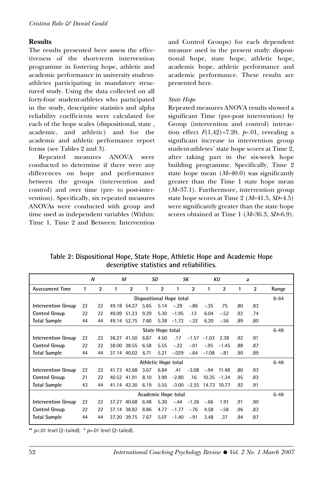#### **Results**

The results presented here assess the effectiveness of the short-term intervention programme in fostering hope, athletic and academic performance in university studentathletes participating in mandatory structured study. Using the data collected on all forty-four student-athletes who participated in the study, descriptive statistics and alpha reliability coefficients were calculated for each of the hope scales (dispositional, state , academic, and athletic) and for the academic and athletic performance report forms (see Tables 2 and 3).

Repeated measures ANOVA were conducted to determine if there were any differences on hope and performance between the groups (intervention and control) and over time (pre- to post-intervention). Specifically, six repeated measures ANOVAs were conducted with group and time used as independent variables (Within: Time 1, Time 2 and Between: Intervention and Control Groups) for each dependent measure used in the present study: dispositional hope, state hope, athletic hope, academic hope, athletic performance and academic performance. These results are presented here.

#### *State Hope*

Repeated measures ANOVA results showed a significant Time (pre-post intervention) by Group (intervention and control) interaction effect  $F(1,42)=7.20, p=.01$ , revealing a significant increase in intervention group student-athletes' state hope scores at Time 2, after taking part in the six-week hope building programme. Specifically, Time 2 state hope mean (*M*=40.0) was significantly greater than the Time 1 state hope mean (*M*=37.1). Furthermore, intervention group state hope scores at Time 2 (*M*=41.5, *SD*=4.5) were significantly greater than the state hope scores obtained at Time 1 (*M*=36.3, *SD*=6.9).

**Table 2: Dispositional Hope, State Hope, Athletic Hope and Academic Hope descriptive statistics and reliabilities.**

|                           | N<br>M                   |    |       | SD<br>SК       |      |                     | ΚU      |                | a           |                |     |                |          |
|---------------------------|--------------------------|----|-------|----------------|------|---------------------|---------|----------------|-------------|----------------|-----|----------------|----------|
| <b>Assessment Time</b>    | 1                        | 2  | 1     | $\overline{2}$ |      | $\overline{2}$      | 1       | $\overline{2}$ | 1           | $\overline{2}$ | 1   | $\overline{2}$ | Range    |
|                           | Dispositional Hope total |    |       |                |      |                     |         |                |             |                |     |                | $8 - 64$ |
| <b>Intervention Group</b> | 22                       | 22 | 49.18 | 54.27          | 5.65 | 5.14                | $-.29$  | $-86$          | $-.35$      | .75            | .80 | .83            |          |
| <b>Control Group</b>      | 22                       | 22 | 49.09 | 51.23          | 9.29 | 5.30                | $-1.95$ | .13            | 6.04        | $-.52$         | .92 | .74            |          |
| <b>Total Sample</b>       | 44                       | 44 |       | 49.14 52.75    | 7.60 | 5.38                | $-1.72$ | $-.32$         | 6.20        | $-.56$         | .89 | .80            |          |
|                           | State Hope total         |    |       |                |      |                     |         |                | $6 - 48$    |                |     |                |          |
| <b>Intervention Group</b> | 22                       | 22 | 36.27 | 41.50          | 6.87 | 4.50                | .17     | $-1.57$        | $-1.03$     | 2.38           | .92 | .91            |          |
| <b>Control Group</b>      | 22                       | 22 | 38.00 | 38.55          | 6.58 | 5.55                | $-.22$  | $-.01$         | $-.95$      | $-1.45$        | .88 | .87            |          |
| <b>Total Sample</b>       | 44                       | 44 | 37.14 | 40.02          | 6.71 | 5.21                | $-.029$ | -.64           | $-1.08$     | $-81$          | .90 | .89            |          |
|                           |                          |    |       |                |      | Athletic Hope total |         |                |             |                |     |                | $6 - 48$ |
| <b>Intervention Group</b> | 22                       | 22 | 41.73 | 42.68          | 3.67 | 6.84                | $-41$   | $-3.08$        | $-94$       | 11.48          | .80 | .93            |          |
| <b>Control Group</b>      | 21                       | 22 | 40.52 | 41.91          | 8.10 | 3.99                | $-2.80$ | .16            |             | $10.35 - 1.34$ | .95 | .83            |          |
| Total Sample              | 43                       | 44 |       | 41.14 42.30    | 6.19 | 5.55                |         | $-3.00 -2.55$  | 14.73 10.77 |                | .92 | .91            |          |
| Academic Hope total       |                          |    |       |                |      |                     |         |                |             | $6 - 48$       |     |                |          |
| <b>Intervention Group</b> | 22                       | 22 | 37.27 | 40.68          | 6.48 | 5.30                |         | $-.44 -1.26$   | $-66$       | 1.91           | .91 | .90            |          |
| <b>Control Group</b>      | 22                       | 22 | 37.14 | 38.82          | 8.86 | 4.77                | $-1.77$ | $-.76$         | 4.58        | $-.58$         | .96 | .83            |          |
| <b>Total Sample</b>       | 44                       | 44 | 37.20 | 39.75          | 7.67 | 5.07                | $-1.40$ | $-.91$         | 3.48        | .37            | .94 | .87            |          |

\*\* *p*<.01 level (2-tailed). \* *p*=.01 level (2-tailed).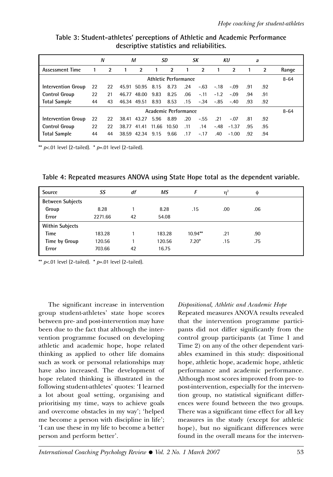|                           |    | N                    |              | м           |             | SD   |     | SК             |              | КU             |     | a              |       |
|---------------------------|----|----------------------|--------------|-------------|-------------|------|-----|----------------|--------------|----------------|-----|----------------|-------|
| <b>Assessment Time</b>    | 1  | $\mathcal{P}$        | $\mathbf{1}$ | 2           | 1           | 2    | 1   | $\overline{2}$ | 1            | $\overline{2}$ | 1   | $\overline{2}$ | Range |
|                           |    | Athletic Performance |              |             |             |      |     |                |              | $8 - 64$       |     |                |       |
| <b>Intervention Group</b> | 22 | 22                   |              | 45.91 50.95 | 8.15        | 8.73 | .24 | $-.63$         | $-.18$       | $-0.9$         | -91 | .92            |       |
| <b>Control Group</b>      | 22 | 21                   | 46.77        | 48.00       | 9.83        | 8.25 | .06 | $-.11$         | $-1.2$       | $-.09$         | .94 | .91            |       |
| <b>Total Sample</b>       | 44 | 43                   |              | 46.34 49.51 | 8.93        | 8.53 | .15 |                | $-.34 - .85$ | $-40$          | .93 | .92            |       |
|                           |    | Academic Performance |              |             |             |      |     |                |              | $8 - 64$       |     |                |       |
| Intervention Group        | 22 | 22                   |              | 38.41 43.27 | 5.96        | 8.89 | .20 | $-.55$         | .21          | $-.07$         | .81 | .92            |       |
| <b>Control Group</b>      | 22 | 22                   | 38.77        | 41.41       | 11.66 10.50 |      | .11 | .14            |              | $-.48 - 1.37$  | .95 | .95            |       |
| <b>Total Sample</b>       | 44 | 44                   |              | 38.59 42.34 | 9.15        | 9.66 | .17 | $-.17$         | .40          | $-1.00$        | .92 | .94            |       |

**Table 3: Student-athletes' perceptions of Athletic and Academic Performance descriptive statistics and reliabilities.**

\*\* *p*<.01 level (2-tailed). \* *p*=.01 level (2-tailed).

| Table 4: Repeated measures ANOVA using State Hope total as the dependent variable. |  |  |  |
|------------------------------------------------------------------------------------|--|--|--|
|------------------------------------------------------------------------------------|--|--|--|

| <b>Source</b>           | SS      | df | ΜS     | F          | n <sup>2</sup> | Φ   |  |
|-------------------------|---------|----|--------|------------|----------------|-----|--|
| <b>Between Subjects</b> |         |    |        |            |                |     |  |
| Group                   | 8.28    |    | 8.28   | .15        | .00            | .06 |  |
| Error                   | 2271.66 | 42 | 54.08  |            |                |     |  |
| <b>Within Subjects</b>  |         |    |        |            |                |     |  |
| Time                    | 183.28  |    | 183.28 | $10.94***$ | .21            | .90 |  |
| Time by Group           | 120.56  |    | 120.56 | $7.20*$    | .15            | .75 |  |
| Error                   | 703.66  | 42 | 16.75  |            |                |     |  |

\*\* *p*<.01 level (2-tailed). \* *p*=.01 level (2-tailed).

The significant increase in intervention group student-athletes' state hope scores between pre- and post-intervention may have been due to the fact that although the intervention programme focused on developing athletic and academic hope, hope related thinking as applied to other life domains such as work or personal relationships may have also increased. The development of hope related thinking is illustrated in the following student-athletes' quotes: 'I learned a lot about goal setting, organising and prioritising my time, ways to achieve goals and overcome obstacles in my way'; 'helped me become a person with discipline in life'; 'I can use these in my life to become a better person and perform better'.

#### *Dispositional, Athletic and Academic Hope*

Repeated measures ANOVA results revealed that the intervention programme participants did not differ significantly from the control group participants (at Time 1 and Time 2) on any of the other dependent variables examined in this study: dispositional hope, athletic hope, academic hope, athletic performance and academic performance. Although most scores improved from pre- to post-intervention, especially for the intervention group, no statistical significant differences were found between the two groups. There was a significant time effect for all key measures in the study (except for athletic hope), but no significant differences were found in the overall means for the interven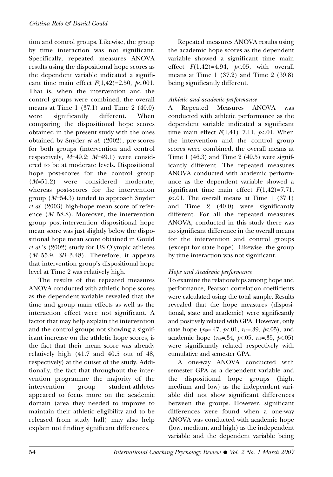tion and control groups. Likewise, the group by time interaction was not significant. Specifically, repeated measures ANOVA results using the dispositional hope scores as the dependent variable indicated a significant time main effect  $F(1,42)=2.50, \cancel{p}$ <.001. That is, when the intervention and the control groups were combined, the overall means at Time 1 (37.1) and Time 2 (40.0) were significantly different. When comparing the dispositional hope scores obtained in the present study with the ones obtained by Snyder *et al.* (2002), pre-scores for both groups (intervention and control respectively, *M*=49.2; *M*=49.1) were considered to be at moderate levels. Dispositional hope post-scores for the control group (*M*=51.2) were considered moderate, whereas post-scores for the intervention group (*M*=54.3) tended to approach Snyder *et al.* (2003) high-hope mean score of reference (*M*=58.8). Moreover, the intervention group post-intervention dispositional hope mean score was just slightly below the dispositional hope mean score obtained in Gould *et al.*'s (2002) study for US Olympic athletes (*M*=55.9, *SD*=3.48). Therefore, it appears that intervention group's dispositional hope level at Time 2 was relatively high.

The results of the repeated measures ANOVA conducted with athletic hope scores as the dependent variable revealed that the time and group main effects as well as the interaction effect were not significant. A factor that may help explain the intervention and the control groups not showing a significant increase on the athletic hope scores, is the fact that their mean score was already relatively high (41.7 and 40.5 out of 48, respectively) at the outset of the study. Additionally, the fact that throughout the intervention programme the majority of the intervention group student-athletes appeared to focus more on the academic domain (area they needed to improve to maintain their athletic eligibility and to be released from study hall) may also help explain not finding significant differences.

Repeated measures ANOVA results using the academic hope scores as the dependent variable showed a significant time main effect  $F(1,42)=4.94$ ,  $p \lt 0.05$ , with overall means at Time 1 (37.2) and Time 2 (39.8) being significantly different.

#### *Athletic and academic performance*

A Repeated Measures ANOVA was conducted with athletic performance as the dependent variable indicated a significant time main effect  $F(1,41)=7.11$ ,  $p<.01$ . When the intervention and the control group scores were combined, the overall means at Time 1 (46.3) and Time 2 (49.5) were significantly different. The repeated measures ANOVA conducted with academic performance as the dependent variable showed a significant time main effect  $F(1,42)=7.71$ ,  $p<sub>0</sub>$ .01. The overall means at Time 1 (37.1) and Time 2 (40.0) were significantly different. For all the repeated measures ANOVA, conducted in this study there was no significant difference in the overall means for the intervention and control groups (except for state hope). Likewise, the group by time interaction was not significant.

#### *Hope and Academic performance*

To examine the relationships among hope and performance, Pearson correlation coefficients were calculated using the total sample. Results revealed that the hope measures (dispositional, state and academic) were significantly and positively related with GPA. However, only state hope  $(r_{42}=47, \cancel{p}30, \cancel{r}_{42}=39, \cancel{p}30, \cancel{p}40)$ , and academic hope  $(r_{42}=.34, \cancel{p}-.05, r_{42}=.35, \cancel{p}-.05)$ were significantly related respectively with cumulative and semester GPA.

A one-way ANOVA conducted with semester GPA as a dependent variable and the dispositional hope groups (high, medium and low) as the independent variable did not show significant differences between the groups. However, significant differences were found when a one-way ANOVA was conducted with academic hope (low, medium, and high) as the independent variable and the dependent variable being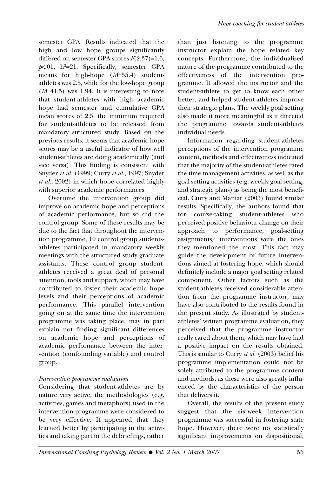semester GPA. Results indicated that the high and low hope groups significantly differed on semester GPA scores *F*(2,37)=1.6,  $p \lt 0.01$ , h<sup>2</sup>=21. Specifically, semester GPA means for high-hope (*M*=55.4) studentathletes was 2.5, while for the low-hope group (*M*=41.5) was 1.94. It is interesting to note that student-athletes with high academic hope had semester and cumulative GPA mean scores of 2.5, the minimum required for student-athletes to be released from mandatory structured study. Based on the previous results, it seems that academic hope scores may be a useful indicator of how well student-athletes are doing academically (and vice versa). This finding is consistent with Snyder *et al.* (1999; Curry *et al.*, 1997; Snyder *et al.*, 2002) in which hope correlated highly with superior academic performances.

Overtime the intervention group did improve on academic hope and perceptions of academic performance, but so did the control group. Some of these results may be due to the fact that throughout the intervention programme, 10 control group studentsathletes participated in mandatory weekly meetings with the structured study graduate assistants. These control group studentathletes received a great deal of personal attention, tools and support, which may have contributed to foster their academic hope levels and their perceptions of academic performance. This parallel intervention going on at the same time the intervention programme was taking place, may in part explain not finding significant differences on academic hope and perceptions of academic performance between the intervention (confounding variable) and control group.

#### *Intervention programme evaluation*

Considering that student-athletes are by nature very active, the methodologies (e.g. activities, games and metaphors) used in the intervention programme were considered to be very effective. It appeared that they learned better by participating in the activities and taking part in the debriefings, rather than just listening to the programme instructor explain the hope related key concepts. Furthermore, the individualised nature of the programme contributed to the effectiveness of the intervention programme. It allowed the instructor and the student-athlete to get to know each other better, and helped student-athletes improve their strategic plans. The weekly goal setting also made it more meaningful as it directed the programme towards student-athletes individual needs.

Information regarding student-athletes perceptions of the intervention programme content, methods and effectiveness indicated that the majority of the student-athletes rated the time management activities, as well as the goal setting activities (e.g. weekly goal setting, and strategic plans) as being the most beneficial. Curry and Maniar (2003) found similar results. Specifically, the authors found that for course-taking student-athletes who perceived positive behaviour change on their approach to performance, goal-setting assignments/ interventions were the ones they mentioned the most. This fact may guide the development of future interventions aimed at fostering hope, which should definitely include a major goal setting related component. Other factors such as the student-athletes received considerable attention from the programme instructor, may have also contributed to the results found in the present study. As illustrated by studentathletes' written programme evaluation, they perceived that the programme instructor really cared about them, which may have had a positive impact on the results obtained. This is similar to Curry *et al.* (2003) belief his programme implementation could not be solely attributed to the programme content and methods, as these were also greatly influenced by the characteristics of the person that delivers it.

Overall, the results of the present study suggest that the six-week intervention programme was successful in fostering state hope. However, there were no statistically significant improvements on dispositional,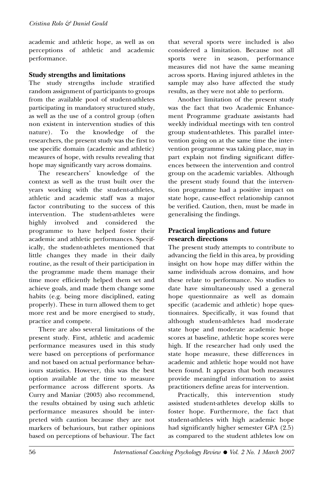academic and athletic hope, as well as on perceptions of athletic and academic performance.

# **Study strengths and limitations**

The study strengths include stratified random assignment of participants to groups from the available pool of student-athletes participating in mandatory structured study, as well as the use of a control group (often non existent in intervention studies of this nature). To the knowledge of the researchers, the present study was the first to use specific domain (academic and athletic) measures of hope, with results revealing that hope may significantly vary across domains.

The researchers' knowledge of the context as well as the trust built over the years working with the student-athletes, athletic and academic staff was a major factor contributing to the success of this intervention. The student-athletes were highly involved and considered the programme to have helped foster their academic and athletic performances. Specifically, the student-athletes mentioned that little changes they made in their daily routine, as the result of their participation in the programme made them manage their time more efficiently helped them set and achieve goals, and made them change some habits (e.g. being more disciplined, eating properly). These in turn allowed them to get more rest and be more energised to study, practice and compete.

There are also several limitations of the present study. First, athletic and academic performance measures used in this study were based on perceptions of performance and not based on actual performance behaviours statistics. However, this was the best option available at the time to measure performance across different sports. As Curry and Maniar (2003) also recommend, the results obtained by using such athletic performance measures should be interpreted with caution because they are not markers of behaviours, but rather opinions based on perceptions of behaviour. The fact that several sports were included is also considered a limitation. Because not all sports were in season, performance measures did not have the same meaning across sports. Having injured athletes in the sample may also have affected the study results, as they were not able to perform.

Another limitation of the present study was the fact that two Academic Enhancement Programme graduate assistants had weekly individual meetings with ten control group student-athletes. This parallel intervention going on at the same time the intervention programme was taking place, may in part explain not finding significant differences between the intervention and control group on the academic variables. Although the present study found that the intervention programme had a positive impact on state hope, cause-effect relationship cannot be verified. Caution, then, must be made in generalising the findings.

# **Practical implications and future research directions**

The present study attempts to contribute to advancing the field in this area, by providing insight on how hope may differ within the same individuals across domains, and how these relate to performance. No studies to date have simultaneously used a general hope questionnaire as well as domain specific (academic and athletic) hope questionnaires. Specifically, it was found that although student-athletes had moderate state hope and moderate academic hope scores at baseline, athletic hope scores were high. If the researcher had only used the state hope measure, these differences in academic and athletic hope would not have been found. It appears that both measures provide meaningful information to assist practitioners define areas for intervention.

Practically, this intervention study assisted student-athletes develop skills to foster hope. Furthermore, the fact that student-athletes with high academic hope had significantly higher semester GPA (2.5) as compared to the student athletes low on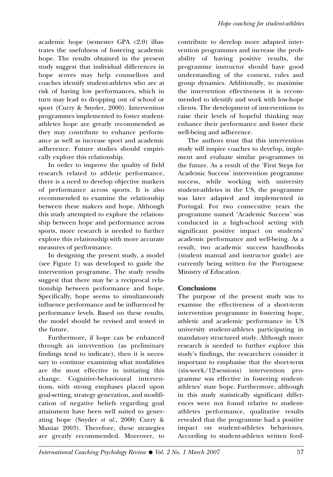academic hope (semester GPA <2.0) illustrates the usefulness of fostering academic hope. The results obtained in the present study suggest that individual differences in hope scores may help counsellors and coaches identify student-athletes who are at risk of having low performances, which in turn may lead to dropping out of school or sport (Curry & Snyder, 2000). Intervention programmes implemented to foster studentathletes hope are greatly recommended as they may contribute to enhance performance as well as increase sport and academic adherence. Future studies should empirically explore this relationship.

In order to improve the quality of field research related to athletic performance, there is a need to develop objective markers of performance across sports. It is also recommended to examine the relationship between these makers and hope. Although this study attempted to explore the relationship between hope and performance across sports, more research is needed to further explore this relationship with more accurate measures of performance.

In designing the present study, a model (see Figure 1) was developed to guide the intervention programme. The study results suggest that there may be a reciprocal relationship between performance and hope. Specifically, hope seems to simultaneously influence performance and be influenced by performance levels. Based on these results, the model should be revised and tested in the future.

Furthermore, if hope can be enhanced through an intervention (as preliminary findings tend to indicate), then it is necessary to continue examining what modalities are the most effective in initiating this change. Cognitive-behavioural interventions, with strong emphases placed upon goal-setting, strategy generation, and modification of negative beliefs regarding goal attainment have been well suited to generating hope (Snyder *et al.*, 2000; Curry & Maniar 2003). Therefore, these strategies are greatly recommended. Moreover, to

contribute to develop more adapted intervention programmes and increase the probability of having positive results, the programme instructor should have good understanding of the context, rules and group dynamics. Additionally, to maximise the intervention effectiveness it is recommended to identify and work with low-hope clients. The development of interventions to raise their levels of hopeful thinking may enhance their performance and foster their well-being and adherence.

The authors trust that this intervention study will inspire coaches to develop, implement and evaluate similar programmes in the future. As a result of the 'First Steps for Academic Success' intervention programme success, while working with university student-athletes in the US, the programme was later adapted and implemented in Portugal. For two consecutive years the programme named 'Academic Success' was conducted in a high-school setting with significant positive impact on students' academic performance and well-being. As a result, two academic success handbooks (student manual and instructor guide) are currently being written for the Portuguese Ministry of Education.

# **Conclusions**

The purpose of the present study was to examine the effectiveness of a short-term intervention programme in fostering hope, athletic and academic performance in US university student-athletes participating in mandatory structured study. Although more research is needed to further explore this study's findings, the researchers consider it important to emphasise that the short-term (six-week/12-sessions) intervention programme was effective in fostering studentathletes' state hope. Furthermore, although in this study statistically significant differences were not found relative to studentathletes performance, qualitative results revealed that the programme had a positive impact on student-athletes behaviours. According to student-athletes written feed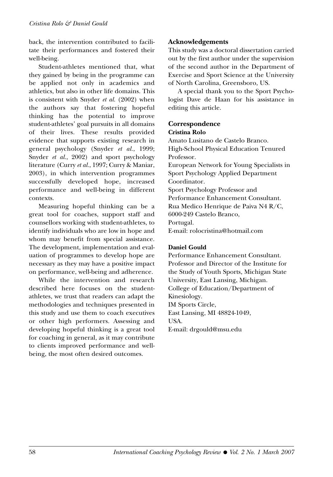back, the intervention contributed to facilitate their performances and fostered their well-being.

Student-athletes mentioned that, what they gained by being in the programme can be applied not only in academics and athletics, but also in other life domains. This is consistent with Snyder *et al.* (2002) when the authors say that fostering hopeful thinking has the potential to improve student-athletes' goal pursuits in all domains of their lives. These results provided evidence that supports existing research in general psychology (Snyder *et al.*, 1999; Snyder *et al.*, 2002) and sport psychology literature (Curry *et al.*, 1997; Curry & Maniar, 2003), in which intervention programmes successfully developed hope, increased performance and well-being in different contexts.

Measuring hopeful thinking can be a great tool for coaches, support staff and counsellors working with student-athletes, to identify individuals who are low in hope and whom may benefit from special assistance. The development, implementation and evaluation of programmes to develop hope are necessary as they may have a positive impact on performance, well-being and adherence.

While the intervention and research described here focuses on the studentathletes, we trust that readers can adapt the methodologies and techniques presented in this study and use them to coach executives or other high performers. Assessing and developing hopeful thinking is a great tool for coaching in general, as it may contribute to clients improved performance and wellbeing, the most often desired outcomes.

# **Acknowledgements**

This study was a doctoral dissertation carried out by the first author under the supervision of the second author in the Department of Exercise and Sport Science at the University of North Carolina, Greensboro, US.

A special thank you to the Sport Psychologist Dave de Haan for his assistance in editing this article.

#### **Correspondence Cristina Rolo**

Amato Lusitano de Castelo Branco. High-School Physical Education Tenured Professor. European Network for Young Specialists in Sport Psychology Applied Department Coordinator. Sport Psychology Professor and Performance Enhancement Consultant. Rua Medico Henrique de Paiva N4 R/C, 6000-249 Castelo Branco, Portugal. E-mail: rolocristina@hotmail.com

# **Daniel Gould**

Performance Enhancement Consultant. Professor and Director of the Institute for the Study of Youth Sports, Michigan State University, East Lansing, Michigan. College of Education/Department of Kinesiology. IM Sports Circle, East Lansing, MI 48824-1049, USA. E-mail: drgould@msu.edu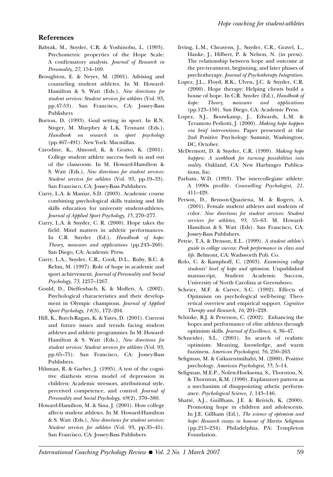#### **References**

- Babyak, M., Snyder, C.R. & Yoshinobu, L. (1993). Psychometric properties of the Hope Scale: A confirmatory analysis. *Journal of Research in Personality, 27*, 154–169.
- Broughton, E. & Neyer, M. (2001). Advising and counseling student athletes. In M. Howard-Hamilton & S. Watt (Eds.), *New directions for student services: Student services for athletes* (Vol. 93, pp.47-53). San Francisco, CA: Jossey-Bass Publishers
- Burton, D. (1993). Goal setting in sport. In R.N. Singer, M. Murphey & L.K. Tennant (Eds.), *Handbook on research in sport psychology* (pp.467–491). New York: Macmillan.
- Carodine, K., Almond, K. & Gratto, K. (2001). College student athlete success both in and out of the classroom. In M. Howard-Hamilton & S. Watt (Eds.), *New directions for student services: Student services for athletes* (Vol. 93, pp.19–33). San Francisco, CA: Jossey-Bass Publishers.
- Curry, L.A. & Maniar, S.D. (2003). Academic course combining psychological skills training and life skills education for university student-athletes. *Journal of Applied Sport Psychology, 15*, 270–277.
- Curry, L.A. & Snyder, C. R. (2000). Hope takes the field: Mind matters in athletic performances. In C.R. Snyder (Ed.), *Handbook of hope: Theory, measures and applications* (pp.243–260). San Diego, CA: Academic Press.
- Curry, L.A., Snyder, C.R., Cook, D.L., Ruby, B.C. & Rehm, M. (1997). Role of hope in academic and sport achievement. *Journal of Personality and Social Psychology, 73*, 1257–1267.
- Gould, D., Dieffenbach, K. & Moffett, A. (2002). Psychological characteristics and their development in Olympic champions. *Journal of Applied Sport Psychology, 14*(3), 172–204.
- Hill, K., Burch-Ragan, K. & Yates, D. (2001). Current and future issues and trends facing student athletes and athletic programmes. In M. Howard-Hamilton & S. Watt (Eds.), *New directions for student services: Student services for athletes* (Vol. 93, pp.65–75). San Francisco, CA: Jossey-Bass Publishers.
- Hilsman, R. & Garber, J. (1995). A test of the cognitive diathesis stress model of depression in children: Academic stressors, attributional style, perceived competence, and control. *Journal of Personality and Social Psychology, 69*(2), 370–380.
- Howard-Hamilton, M. & Sina, J. (2001). How college affects student athletes. In M. Howard-Hamilton & S. Watt (Eds.), *New directions for student services: Student services for athletes* (Vol. 93, pp.35–45). San Francisco, CA: Jossey-Bass Publishers.
- Irving, L.M., Cheavens, J., Snyder, C.R., Gravel, L., Hanke, J., Hilbert, P. & Nelson, N. (in press). The relationship between hope and outcome at the pre-treatment, beginning, and later phases of psychotherapy. *Journal of Psychotherapy Integration.*
- Lopez, J.L., Floyd, R.K., Ulven, J.C. & Snyder, C.R. (2000). Hope therapy: Helping clients build a house of hope. In C.R. Snyder (Ed.), *Handbook of hope: Theory, measures and applications* (pp.123–150). San Diego, CA: Academic Press.
- Lopez, S.J., Bouwkamp, J., Edwards, L.M. & Teramoto Pediotti, J. (2000). *Making hope happen via brief interventions.* Paper presented at the 2nd Positive Psychology Summit, Washington, DC, October.
- McDermott, D. & Snyder, C.R. (1999). *Making hope happen: A workbook for turning possibilities into reality.* Oakland, CA: New Harbinger Publications, Inc.
- Parham, W.D. (1993). The intercollegiate athlete: A 1990s profile. *Counselling Psychologist, 21*, 411–429.
- Person, D., Benson-Quaziena, M. & Rogers, A. (2001). Female student athletes and students of color. *New directions for student services: Student services for athletes, 93*, 55–63. M. Howard-Hamilton & S. Watt (Eds). San Francisco, CA: Jossey-Bass Publishers.
- Petrie, T.A. & Denson, E.L. (1999). *A student athlete's guide to college success: Peak performance in class and life.* Belmont, CA: Wadsworth Pub. Co.
- Rolo, C. & Kamphoff, C. (2003). *Examining college students' level of hope and optimism.* Unpublished manuscript, Student Academic Success, University of North Carolina at Greensboro.
- Scheier, M.F. & Carver, S.C. (1992). Effects of Optimism on psychological well-being: Theoretical overview and empirical support. *Cognitive Therapy and Research, 16*, 201–228.
- Schinke, R.J. & Peterson, C. (2002). Enhancing the hopes and performance of elite athletes through optimism skills. *Journal of Excellence, 6*, 36–47.
- Schneider, S.L. (2001). In search of realistic optimism: Meaning, knowledge, and warm fuzziness. *American Psychologist, 56*, 250–263.
- Seligman, M. & Csikszentmihalyi, M. (2000). Positive psychology. *American Psychologist, 55*, 5–14.
- Seligman, M.E.P., Nolen-Hoeksema, S., Thornton, N. & Thornton, K.M. (1990). Explanatory pattern as a mechanism of disappointing athetic performance. *Psychological Science, 1*, 143–146.
- Shatté, A.J., Guillham, J.E. & Reivich, K. (2000). Promoting hope in children and adolescents. In J.E. Gillham (Ed.), *The science of optimism and hope: Research essays in honour of Martin Seligman* (pp.215–234). Philadelphia, PA: Templeton Foundation.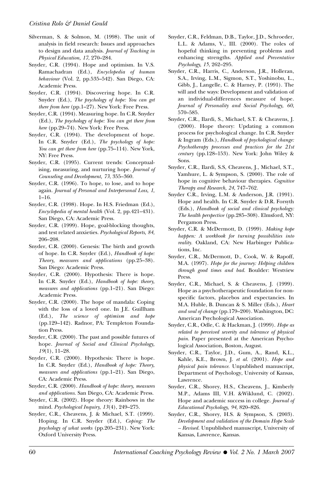- Silverman, S. & Solmon, M. (1998). The unit of analysis in field research: Issues and approaches to design and data analysis. *Journal of Teaching in Physical Education, 17*, 270–284.
- Snyder, C.R. (1994). Hope and optimism. In V.S. Ramachadran (Ed.), *Encyclopedia of human behaviour* (Vol. 2, pp.535–542). San Diego, CA: Academic Press.
- Snyder, C.R. (1994). Discovering hope. In C.R. Snyder (Ed.), *The psychology of hope: You can get there from here* (pp.1–27). New York: Free Press.
- Snyder, C.R. (1994). Measuring hope. In C.R. Snyder (Ed.), *The psychology of hope: You can get there from here* (pp.29–74). New York: Free Press.
- Snyder, C.R. (1994). The development of hope. In C.R. Snyder (Ed.), *The psychology of hope: You can get there from here* (pp.75–114). New York, NY: Free Press.
- Snyder, C.R. (1995). Current trends: Conceptualising, measuring, and nurturing hope. *Journal of Counseling and Development, 73*, 355–360.
- Snyder, C.R. (1996). To hope, to lose, and to hope again. *Journal of Personal and Interpersonal Loss, 1*, 1–16.
- Snyder, C.R. (1998). Hope. In H.S. Friedman (Ed.), *Encyclopedia of mental health* (Vol. 2, pp.421–431). San Diego, CA: Academic Press.
- Snyder, C.R. (1999). Hope, goal-blocking thoughts, and test related anxieties. *Psychological Reports, 84*, 206–208.
- Snyder, C.R. (2000). Genesis: The birth and growth of hope. In C.R. Snyder (Ed.), *Handbook of hope: Theory, measures and applications* (pp.25–38). San Diego: Academic Press.
- Snyder, C.R. (2000). Hypothesis: There is hope. In C.R. Snyder (Ed.), *Handbook of hope: theory, measures and applications* (pp.1–21). San Diego: Academic Press.
- Snyder, C.R. (2000). The hope of mandala: Coping with the loss of a loved one. In J.E. Guillham (Ed.), *The science of optimism and hope* (pp.129–142). Radnor, PA: Templeton Foundation Press.
- Snyder, C.R. (2000). The past and possible futures of hope. *Journal of Social and Clinical Psychology, 19*(1), 11–28.
- Snyder, C.R. (2000). Hypothesis: There is hope. In C.R. Snyder (Ed.), *Handbook of hope: Theory, measures and applications* (pp.1–21). San Diego, CA: Academic Press.
- Snyder, C.R. (2000). *Handbook of hope: theory, measures and applications.* San Diego, CA: Academic Press.
- Snyder, C.R. (2002). Hope theory: Rainbows in the mind. *Psychological Inquiry, 13*(4), 249–275.
- Snyder, C.R., Cheavens, J. & Michael, S.T. (1999). Hoping. In C.R. Snyder (Ed.), *Coping: The psychology of what works* (pp.205–231). New York: Oxford University Press.
- Snyder, C.R., Feldman, D.B., Taylor, J.D., Schroeder, L.L. & Adams, V., III. (2000). The roles of hopeful thinking in preventing problems and enhancing strengths. *Applied and Preventative Psychology, 15*, 262–295.
- Snyder, C.R., Harris, C., Anderson, J.R., Holleran, S.A., Irving, L.M., Sigmon, S.T., Yoshinobu, L., Gibb, J., Langelle, C. & Harney, P. (1991). The will and the ways: Development and validation of an individual-differences measure of hope. *Journal of Personality and Social Psychology, 60*, 570–585.
- Snyder, C.R., Ilardi, S., Michael, S.T. & Cheavens, J. (2000). Hope theory: Updating a common process for psychological change. In C.R. Snyder & Ingram (Eds.), *Handbook of psychological change: Psychotherapy processes and practices for the 21st century* (pp.128–153). New York: John Wiley & Sons.
- Snyder, C.R., Ilardi, S.S, Cheavens, J., Michael, S.T., Yamhure, L. & Sympson, S. (2000). The role of hope in cognitive behaviour therapies. *Cognitive Therapy and Research, 24*, 747–762.
- Snyder C.R., Irving, L.M. & Anderson, J.R. (1991). Hope and health. In C.R. Snyder & D.R. Forsyth (Eds.), *Handbook of social and clinical psychology: The health perspective* (pp.285–308). Elmsford, NY: Pergamon Press.
- Snyder, C.R. & McDermott, D. (1999). *Making hope happen: A workbook for turning possibilities into reality.* Oakland, CA: New Harbinger Publications, Inc.
- Snyder, C.R., McDermott, D., Cook, W. & Rapoff, M.A. (1997). *Hope for the journey: Helping children through good times and bad.* Boulder: Westview Press.
- Snyder, C.R., Michael, S. & Cheavens, J. (1999). Hope as a psychotherapeutic foundation for nonspecific factors, placebos and expectancies. In M.A. Huble, B. Duncan & S. Miller (Eds.), *Heart and soul of change* (pp.179–200). Washington, DC: American Psychological Association.
- Snyder, C.R., Odle, C. & Hackman, J. (1999). *Hope as related to perceived severity and tolerance of physical pain.* Paper presented at the American Psychological Association, Boston, August.
- Snyder, C.R., Taylor, J.D., Gum, A., Rand, K.L., Kahle, K.E., Brown, J. *et al.* (2001). *Hope and physical pain tolerance.* Unpublished manuscript, Department of Psychology, University of Kansas, Lawrence.
- Snyder, C.R., Shorey, H.S., Cheavens, J., Kimberly M.P., Adams III, V.H. &Wiklund, C. (2002). Hope and academic success in college. *Journal of Educational Psychology, 94*, 820–826.
- Snyder, C.R., Shorey, H.S. & Sympson, S. (2003). *Development and validation of the Domain Hope Scale – Revised.* Unpublished manuscript, University of Kansas, Lawrence, Kansas.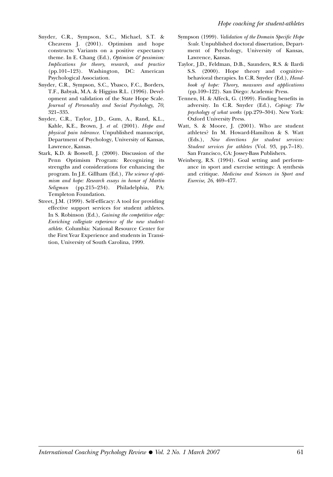- Snyder, C.R., Sympson, S.C., Michael, S.T. & Cheavens J. (2001). Optimism and hope constructs: Variants on a positive expectancy theme. In E. Chang (Ed.), *Optimism & pessimism: Implications for theory, research, and practice* (pp.101–123). Washington, DC: American Psychological Association.
- Snyder, C.R., Sympson, S.C., Ybasco, F.C., Borders, T.F., Babyak, M.A. & Higgins R.L. (1996). Development and validation of the State Hope Scale. *Journal of Personality and Social Psychology, 70*, 321–335.
- Snyder, C.R., Taylor, J.D., Gum, A., Rand, K.L., Kahle, K.E., Brown, J. *et al.* (2001). *Hope and physical pain tolerance.* Unpublished manuscript, Department of Psychology, University of Kansas, Lawrence, Kansas.
- Stark, K.D. & Boswell, J. (2000). Discussion of the Penn Optimism Program: Recognizing its strengths and considerations for enhancing the program. In J.E. Gillham (Ed.), *The science of optimism and hope: Research essays in honor of Martin Seligman* (pp.215–234). Philadelphia, PA: Templeton Foundation.
- Street, J.M. (1999). Self-efficacy: A tool for providing effective support services for student athletes. In S. Robinson (Ed.), *Gaining the competitive edge: Enriching collegiate experience of the new studentathlete.* Columbia: National Resource Center for the First Year Experience and students in Transition, University of South Carolina, 1999.
- Sympson (1999). *Validation of the Domain Specific Hope Scale.* Unpublished doctoral dissertation, Department of Psychology, University of Kansas, Lawrence, Kansas.
- Taylor, J.D., Feldman, D.B., Saunders, R.S. & Ilardi S.S. (2000). Hope theory and cognitivebehavioral therapies. In C.R. Snyder (Ed.), *Handbook of hope: Theory, measures and applications* (pp.109–122). San Diego: Academic Press.
- Tennen, H. & Affeck, G. (1999). Finding benefits in adversity. In C.R. Snyder (Ed.), *Coping: The psychology of what works* (pp.279–304). New York: Oxford University Press.
- Watt, S. & Moore, J. (2001). Who are student athletes? In M. Howard-Hamilton & S. Watt (Eds.), *New directions for student services: Student services for athletes* (Vol. 93, pp.7–18). San Francisco, CA: Jossey-Bass Publishers.
- Weinberg, R.S. (1994). Goal setting and performance in sport and exercise settings: A synthesis and critique. *Medicine and Sciences in Sport and Exercise, 26*, 469–477.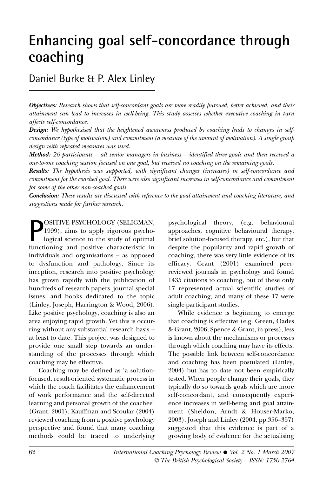# **Enhancing goal self-concordance through coaching**

# Daniel Burke & P. Alex Linley

**Objectives:** *Research shows that self-concordant goals are more readily pursued, better achieved, and their attainment can lead to increases in well-being. This study assesses whether executive coaching in turn affects self-concordance.* 

**Design:** *We hypothesised that the heightened awareness produced by coaching leads to changes in selfconcordance (type of motivation) and commitment (a measure of the amount of motivation). A single group design with repeated measures was used.* 

**Method:** *26 participants – all senior managers in business – identified three goals and then received a one-to-one coaching session focused on one goal, but received no coaching on the remaining goals.* 

**Results:** *The hypothesis was supported, with significant changes (increases) in self-concordance and commitment for the coached goal. There were also significant increases in self-concordance and commitment for some of the other non-coached goals.* 

**Conclusion:** *These results are discussed with reference to the goal attainment and coaching literature, and suggestions made for further research.*

OSITIVE PSYCHOLOGY (SELIGMAN,

**P**OSITIVE PSYCHOLOGY (SELIGMAN, 1999), aims to apply rigorous psychological science to the study of optimal functioning and positive characteristic in 1999), aims to apply rigorous psychological science to the study of optimal individuals and organisations – as opposed to dysfunction and pathology. Since its inception, research into positive psychology has grown rapidly with the publication of hundreds of research papers, journal special issues, and books dedicated to the topic (Linley, Joseph, Harrington & Wood, 2006). Like positive psychology, coaching is also an area enjoying rapid growth. Yet this is occurring without any substantial research basis – at least to date. This project was designed to provide one small step towards an understanding of the processes through which coaching may be effective.

Coaching may be defined as 'a solutionfocused, result-oriented systematic process in which the coach facilitates the enhancement of work performance and the self-directed learning and personal growth of the coachee' (Grant, 2001). Kauffman and Scoular (2004) reviewed coaching from a positive psychology perspective and found that many coaching methods could be traced to underlying psychological theory, (e.g. behavioural approaches, cognitive behavioural therapy, brief solution-focused therapy, etc.), but that despite the popularity and rapid growth of coaching, there was very little evidence of its efficacy. Grant (2001) examined peerreviewed journals in psychology and found 1435 citations to coaching, but of these only 17 represented actual scientific studies of adult coaching, and many of these 17 were single-participant studies.

While evidence is beginning to emerge that coaching is effective (e.g. Green, Oades & Grant, 2006; Spence & Grant, in press), less is known about the mechanisms or processes through which coaching may have its effects. The possible link between self-concordance and coaching has been postulated (Linley, 2004) but has to date not been empirically tested. When people change their goals, they typically do so towards goals which are more self-concordant, and consequently experience increases in well-being and goal attainment (Sheldon, Arndt & Houser-Marko, 2003). Joseph and Linley (2004, pp.356–357) suggested that this evidence is part of a growing body of evidence for the actualising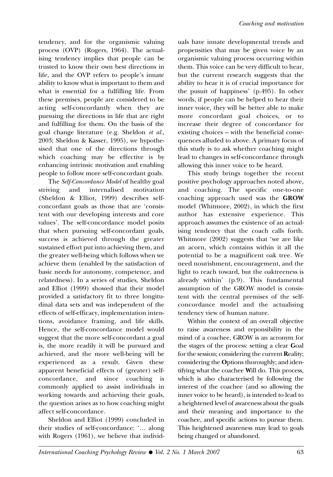tendency, and for the organismic valuing process (OVP) (Rogers, 1964). The actualising tendency implies that people can be trusted to know their own best directions in life, and the OVP refers to people's innate ability to know what is important to them and what is essential for a fulfilling life. From these premises, people are considered to be acting self-concordantly when they are pursuing the directions in life that are right and fulfilling for them. On the basis of the goal change literature (e.g. Sheldon *et al.*, 2003; Sheldon & Kasser, 1995), we hypothesised that one of the directions through which coaching may be effective is by enhancing intrinsic motivation and enabling people to follow more self-concordant goals.

The *Self-Concordance Model* of healthy goal striving and internalised motivation (Sheldon & Elliot, 1999) describes selfconcordant goals as those that are 'consistent with our developing interests and core values'. The self-concordance model posits that when pursuing self-concordant goals, success is achieved through the greater sustained effort put into achieving them, and the greater well-being which follows when we achieve them (enabled by the satisfaction of basic needs for autonomy, competence, and relatedness). In a series of studies, Sheldon and Elliot (1999) showed that their model provided a satisfactory fit to three longitudinal data sets and was independent of the effects of self-efficacy, implementation intentions, avoidance framing, and life skills. Hence, the self-concordance model would suggest that the more self-concordant a goal is, the more readily it will be pursued and achieved, and the more well-being will be experienced as a result. Given these apparent beneficial effects of (greater) selfconcordance, and since coaching is commonly applied to assist individuals in working towards and achieving their goals, the question arises as to how coaching might affect self-concordance.

Sheldon and Elliot (1999) concluded in their studies of self-concordance: '… along with Rogers (1961), we believe that individuals have innate developmental trends and propensities that may be given voice by an organismic valuing process occurring within them. This voice can be very difficult to hear, but the current research suggests that the ability to hear it is of crucial importance for the pusuit of happiness' (p.495). In other words, if people can be helped to hear their inner voice, they will be better able to make more concordant goal choices, or to increase their degree of concordance for existing choices – with the beneficial consequences alluded to above. A primary focus of this study is to ask whether coaching might lead to changes in self-concordance through allowing this inner voice to be heard.

This study brings together the recent positive psychology approaches noted above, and coaching. The specific one-to-one coaching approach used was the **GROW** model (Whitmore, 2002), in which the first author has extensive experience. This approach assumes the existence of an actualising tendency that the coach calls forth. Whitmore (2002) suggests that 'we are like an acorn, which contains within it all the potential to be a magnificent oak tree. We need nourishment, encouragement, and the light to reach toward, but the oaktreeness is already within' (p.9). This fundamental assumption of the GROW model is consistent with the central premises of the selfconcordance model and the actualising tendency view of human nature.

Within the context of an overall objective to raise awareness and reponsibility in the mind of a coachee, GROW is an acronym for the stages of the process: setting a clear **G**oal for the session; considering the current **R**eality; considering the **O**ptions thoroughly; and identifying what the coachee **W**ill do. This process, which is also characterised by following the interest of the coachee (and so allowing the inner voice to be heard), is intended to lead to a heightened level of awareness about the goals and their meaning and importance to the coachee, and specific actions to pursue them. This heightened awareness may lead to goals being changed or abandoned.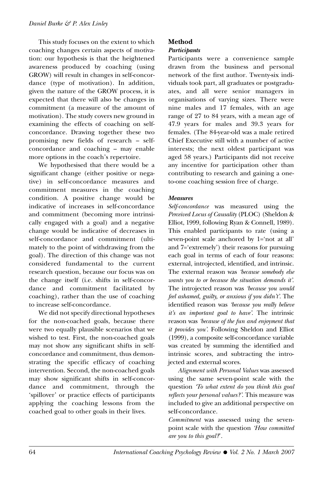This study focuses on the extent to which coaching changes certain aspects of motivation: our hypothesis is that the heightened awareness produced by coaching (using GROW) will result in changes in self-concordance (type of motivation). In addition, given the nature of the GROW process, it is expected that there will also be changes in commitment (a measure of the amount of motivation). The study covers new ground in examining the effects of coaching on selfconcordance. Drawing together these two promising new fields of research – selfconcordance and coaching – may enable more options in the coach's repertoire.

We hypothesised that there would be a significant change (either positive or negative) in self-concordance measures and commitment measures in the coaching condition. A positive change would be indicative of increases in self-concordance and commitment (becoming more intrinsically engaged with a goal) and a negative change would be indicative of decreases in self-concordance and commitment (ultimately to the point of withdrawing from the goal). The direction of this change was not considered fundamental to the current research question, because our focus was on the change itself (i.e. shifts in self-concordance and commitment facilitated by coaching), rather than the use of coaching to increase self-concordance.

We did not specify directional hypotheses for the non-coached goals, because there were two equally plausible scenarios that we wished to test. First, the non-coached goals may not show any significant shifts in selfconcordance and commitment, thus demonstrating the specific efficacy of coaching intervention. Second, the non-coached goals may show significant shifts in self-concordance and commitment, through the 'spillover' or practice effects of participants applying the coaching lessons from the coached goal to other goals in their lives.

# **Method**

# **Participants**

Participants were a convenience sample drawn from the business and personal network of the first author. Twenty-six individuals took part, all graduates or postgraduates, and all were senior managers in organisations of varying sizes. There were nine males and 17 females, with an age range of 27 to 84 years, with a mean age of 47.9 years for males and 39.3 years for females. (The 84-year-old was a male retired Chief Executive still with a number of active interests; the next oldest participant was aged 58 years.) Participants did not receive any incentive for participation other than contributing to research and gaining a oneto-one coaching session free of charge.

# **Measures**

*Self-concordance* was measured using the *Perceived Locus of Causality* (PLOC) (Sheldon & Elliot, 1999, following Ryan & Connell, 1989). This enabled participants to rate (using a seven-point scale anchored by 1='not at all' and 7='extremely') their reasons for pursuing each goal in terms of each of four reasons: external, introjected, identified, and intrinsic. The external reason was *'because somebody else wants you to or because the situation demands it'*. The introjected reason was *'because you would feel ashamed, guilty, or anxious if you didn't'*. The identified reason was *'because you really believe it's an important goal to have'*. The intrinsic reason was *'because of the fun and enjoyment that it provides you'*. Following Sheldon and Elliot (1999), a composite self-concordance variable was created by summing the identified and intrinsic scores, and subtracting the introjected and external scores.

*Alignment with Personal Values* was assessed using the same seven-point scale with the question *'To what extent do you think this goal reflects your personal values?'*. This measure was included to give an additional perspective on self-concordance.

*Commitment* was assessed using the sevenpoint scale with the question *'How committed are you to this goal?*'.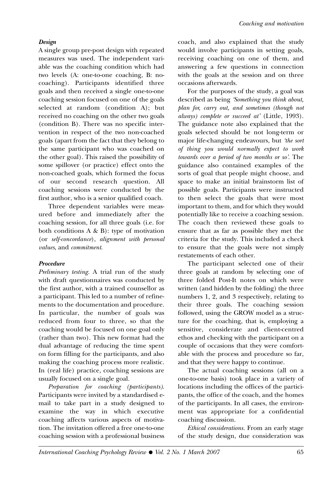#### **Design**

A single group pre-post design with repeated measures was used. The independent variable was the coaching condition which had two levels (A: one-to-one coaching, B: nocoaching). Participants identified three goals and then received a single one-to-one coaching session focused on one of the goals selected at random (condition A); but received no coaching on the other two goals (condition B). There was no specific intervention in respect of the two non-coached goals (apart from the fact that they belong to the same participant who was coached on the other goal). This raised the possibility of some spillover (or practice) effect onto the non-coached goals, which formed the focus of our second research question. All coaching sessions were conducted by the first author, who is a senior qualified coach.

Three dependent variables were measured before and immediately after the coaching session, for all three goals (i.e. for both conditions A & B): type of motivation (or *self-concordance*), *alignment with personal values*, and *commitment*.

#### **Procedure**

*Preliminary testing.* A trial run of the study with draft questionnaires was conducted by the first author, with a trained counsellor as a participant. This led to a number of refinements to the documentation and procedure. In particular, the number of goals was reduced from four to three, so that the coaching would be focused on one goal only (rather than two). This new format had the dual advantage of reducing the time spent on form filling for the participants, and also making the coaching process more realistic. In (real life) practice, coaching sessions are usually focused on a single goal.

*Preparation for coaching (participants)*. Participants were invited by a standardised email to take part in a study designed to examine the way in which executive coaching affects various aspects of motivation. The invitation offered a free one-to-one coaching session with a professional business coach, and also explained that the study would involve participants in setting goals, receiving coaching on one of them, and answering a few questions in connection with the goals at the session and on three occasions afterwards.

For the purposes of the study, a goal was described as being *'Something you think about, plan for, carry out, and sometimes (though not always) complete or succeed at'* (Little, 1993). The guidance note also explained that the goals selected should be not long-term or major life-changing endeavours, but *'the sort of thing you would normally expect to work towards over a period of two months or so'*. The guidance also contained examples of the sorts of goal that people might choose, and space to make an initial brainstorm list of possible goals. Participants were instructed to then select the goals that were most important to them, and for which they would potentially like to receive a coaching session. The coach then reviewed these goals to ensure that as far as possible they met the criteria for the study. This included a check to ensure that the goals were not simply restatements of each other.

The participant selected one of their three goals at random by selecting one of three folded Post-It notes on which were written (and hidden by the folding) the three numbers 1, 2, and 3 respectively, relating to their three goals. The coaching session followed, using the GROW model as a structure for the coaching, that is, employing a sensitive, considerate and client-centred ethos and checking with the participant on a couple of occasions that they were comfortable with the process and procedure so far, and that they were happy to continue.

The actual coaching sessions (all on a one-to-one basis) took place in a variety of locations including the offices of the participants, the office of the coach, and the homes of the participants. In all cases, the environment was appropriate for a confidential coaching discussion.

*Ethical considerations.* From an early stage of the study design, due consideration was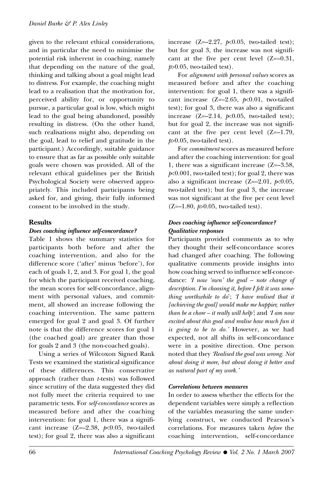given to the relevant ethical considerations, and in particular the need to minimise the potential risk inherent in coaching, namely that depending on the nature of the goal, thinking and talking about a goal might lead to distress. For example, the coaching might lead to a realisation that the motivation for, perceived ability for, or opportunity to pursue, a particular goal is low, which might lead to the goal being abandoned, possibly resulting in distress. (On the other hand, such realisations might also, depending on the goal, lead to relief and gratitude in the participant.) Accordingly, suitable guidance to ensure that as far as possible only suitable goals were chosen was provided. All of the relevant ethical guidelines per the British Psychological Society were observed appropriately. This included participants being asked for, and giving, their fully informed consent to be involved in the study.

#### **Results**

#### **Does coaching influence self-concordance?**

Table 1 shows the summary statistics for participants both before and after the coaching intervention, and also for the difference score ('after' minus 'before'), for each of goals 1, 2, and 3. For goal 1, the goal for which the participant received coaching, the mean scores for self-concordance, alignment with personal values, and commitment, all showed an increase following the coaching intervention. The same pattern emerged for goal 2 and goal 3. Of further note is that the difference scores for goal 1 (the coached goal) are greater than those for goals 2 and 3 (the non-coached goals).

Using a series of Wilcoxon Signed Rank Tests we examined the statistical significance of these differences. This conservative approach (rather than *t*-tests) was followed since scrutiny of the data suggested they did not fully meet the criteria required to use parametric tests. For *self-concordance* scores as measured before and after the coaching intervention: for goal 1, there was a significant increase (Z=–2.38, *p*<0.05, two-tailed test); for goal 2, there was also a significant increase  $(Z=-2.27, \cancel{p}0.05,$  two-tailed test); but for goal 3, the increase was not significant at the five per cent level (Z=–0.31, *p*>0.05, two-tailed test).

For *alignment with personal values* scores as measured before and after the coaching intervention: for goal 1, there was a significant increase  $(Z=-2.65, \cancel{p}0.01,$  two-tailed test); for goal 3, there was also a significant increase  $(Z=-2.14, \cancel{p}0.05,$  two-tailed test); but for goal 2, the increase was not significant at the five per cent level (Z=–1.79, *p*>0.05, two-tailed test).

For *commitment* scores as measured before and after the coaching intervention: for goal 1, there was a significant increase (Z=–3.58,  $p<0.001$ , two-tailed test); for goal 2, there was also a significant increase  $(Z=-2.01, \cancel{p}0.05,$ two-tailed test); but for goal 3, the increase was not significant at the five per cent level  $(Z=-1.80, \, \text{p}$  > 0.05, two-tailed test).

#### **Does coaching influence self-concordance? Qualitative responses**

Participants provided comments as to why they thought their self-concordance scores had changed after coaching. The following qualitative comments provide insights into how coaching served to influence self-concordance: *'I now 'own' the goal – note change of description. I'm choosing it, before I felt it was something worthwhile to do*'; *'I have realised that it [achieving the goal] would make me happier, rather than be a chore – it really will help'*; and *'I am now excited about this goal and realise how much fun it is going to be to do.'* However, as we had expected, not all shifts in self-concordance were in a positive direction. One person noted that they *'Realised the goal was wrong. Not about doing it more, but about doing it better and as natural part of my work.'*

#### **Correlations between measures**

In order to assess whether the effects for the dependent variables were simply a reflection of the variables measuring the same underlying construct, we conducted Pearson's correlations. For measures taken *before* the coaching intervention, self-concordance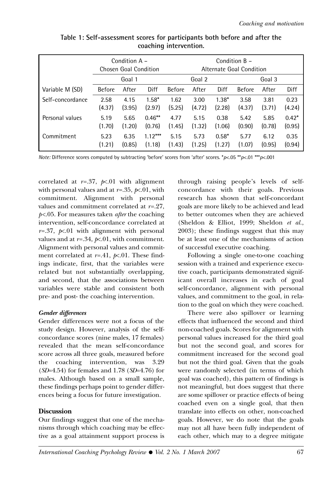|                  |               | Condition A -<br>Chosen Goal Condition |           |               |        |             |               |        |         |
|------------------|---------------|----------------------------------------|-----------|---------------|--------|-------------|---------------|--------|---------|
|                  |               | Goal 1                                 |           |               |        |             |               |        |         |
| Variable M (SD)  | <b>Before</b> | After                                  | Diff      | <b>Before</b> | After  | <b>Diff</b> | <b>Before</b> | After  | Diff    |
| Self-concordance | 2.58          | 4.15                                   | $1.58*$   | 1.62          | 3.00   | $1.38*$     | 3.58          | 3.81   | 0.23    |
|                  | (4.37)        | (3.95)                                 | (2.97)    | (5.25)        | (4.72) | (2.28)      | (4.37)        | (3.71) | (4.24)  |
| Personal values  | 5.19          | 5.65                                   | $0.46***$ | 4.77          | 5.15   | 0.38        | 5.42          | 5.85   | $0.42*$ |
|                  | (1.70)        | (1.20)                                 | (0.76)    | (1.45)        | (1.32) | (1.06)      | (0.90)        | (0.78) | (0.95)  |
| Commitment       | 5.23          | 6.35                                   | $1.12***$ | 5.15          | 5.73   | $0.58*$     | 5.77          | 6.12   | 0.35    |
|                  | (1.21)        | (0.85)                                 | (1.18)    | (1.43)        | (1.25) | (1.27)      | (1.07)        | (0.95) | (0.94)  |

**Table 1: Self-assessment scores for participants both before and after the coaching intervention.**

*Note:* Difference scores computed by subtracting 'before' scores from 'after' scores. \**p*<.05 \*\**p*<.01 \*\*\**p*<.001

correlated at  $r=.37$ ,  $\not\sim .01$  with alignment with personal values and at  $r=0.35$ ,  $p<0.01$ , with commitment. Alignment with personal values and commitment correlated at *r*=.27, *p*<.05. For measures taken *after* the coaching intervention, self-concordance correlated at  $r=0.37$ ,  $p<01$  with alignment with personal values and at  $r = .34$ ,  $p \times .01$ , with commitment. Alignment with personal values and commitment correlated at *r*=.41, *p*<.01. These findings indicate, first, that the variables were related but not substantially overlapping, and second, that the associations between variables were stable and consistent both pre- and post- the coaching intervention.

# **Gender differences**

Gender differences were not a focus of the study design. However, analysis of the selfconcordance scores (nine males, 17 females) revealed that the mean self-concordance score across all three goals, measured before the coaching intervention, was 3.29 (*SD*=4.54) for females and 1.78 (*SD*=4.76) for males. Although based on a small sample, these findings perhaps point to gender differences being a focus for future investigation.

# **Discussion**

Our findings suggest that one of the mechanisms through which coaching may be effective as a goal attainment support process is through raising people's levels of selfconcordance with their goals. Previous research has shown that self-concordant goals are more likely to be achieved and lead to better outcomes when they are achieved (Sheldon & Elliot, 1999; Sheldon *et al.*, 2003); these findings suggest that this may be at least one of the mechanisms of action of successful executive coaching.

Following a single one-to-one coaching session with a trained and experience executive coach, participants demonstrated significant overall increases in each of goal self-concordance, alignment with personal values, and commitment to the goal, in relation to the goal on which they were coached.

There were also spillover or learning effects that influenced the second and third non-coached goals. Scores for alignment with personal values increased for the third goal but not the second goal, and scores for commitment increased for the second goal but not the third goal. Given that the goals were randomly selected (in terms of which goal was coached), this pattern of findings is not meaningful, but does suggest that there are some spillover or practice effects of being coached even on a single goal, that then translate into effects on other, non-coached goals. However, we do note that the goals may not all have been fully independent of each other, which may to a degree mitigate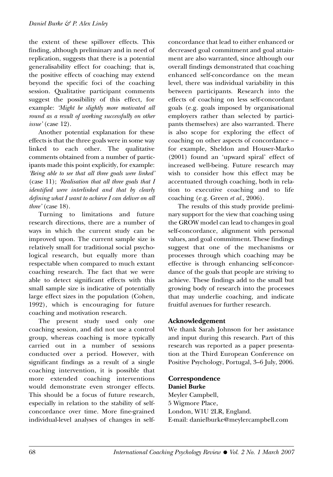the extent of these spillover effects. This finding, although preliminary and in need of replication, suggests that there is a potential generalisability effect for coaching; that is, the positive effects of coaching may extend beyond the specific foci of the coaching session. Qualitative participant comments suggest the possibility of this effect, for example: *'Might be slightly more motivated all round as a result of working successfully on other issue'* (case 12).

Another potential explanation for these effects is that the three goals were in some way linked to each other. The qualitative comments obtained from a number of participants made this point explicitly, for example: *'Being able to see that all three goals were linked'* (case 11); *'Realisation that all three goals that I identified were interlinked and that by clearly defining what I want to achieve I can deliver on all three'* (case 18).

Turning to limitations and future research directions, there are a number of ways in which the current study can be improved upon. The current sample size is relatively small for traditional social psychological research, but equally more than respectable when compared to much extant coaching research. The fact that we were able to detect significant effects with this small sample size is indicative of potentially large effect sizes in the population (Cohen, 1992), which is encouraging for future coaching and motivation research.

The present study used only one coaching session, and did not use a control group, whereas coaching is more typically carried out in a number of sessions conducted over a period. However, with significant findings as a result of a single coaching intervention, it is possible that more extended coaching interventions would demonstrate even stronger effects. This should be a focus of future research, especially in relation to the stability of selfconcordance over time. More fine-grained individual-level analyses of changes in selfconcordance that lead to either enhanced or decreased goal commitment and goal attainment are also warranted, since although our overall findings demonstrated that coaching enhanced self-concordance on the mean level, there was individual variability in this between participants. Research into the effects of coaching on less self-concordant goals (e.g. goals imposed by organisational employers rather than selected by participants themselves) are also warranted. There is also scope for exploring the effect of coaching on other aspects of concordance – for example, Sheldon and Houser-Marko (2001) found an 'upward spiral' effect of increased well-being. Future research may wish to consider how this effect may be accentuated through coaching, both in relation to executive coaching and to life coaching (e.g. Green *et al.*, 2006).

The results of this study provide preliminary support for the view that coaching using the GROW model can lead to changes in goal self-concordance, alignment with personal values, and goal commitment. These findings suggest that one of the mechanisms or processes through which coaching may be effective is through enhancing self-concordance of the goals that people are striving to achieve. These findings add to the small but growing body of research into the processes that may underlie coaching, and indicate fruitful avenues for further research.

# **Acknowledgement**

We thank Sarah Johnson for her assistance and input during this research. Part of this research was reported as a paper presentation at the Third European Conference on Positive Psychology, Portugal, 3–6 July, 2006.

# **Correspondence**

**Daniel Burke** Meyler Campbell, 5 Wigmore Place, London, W1U 2LR, England. E-mail: danielburke@meylercampbell.com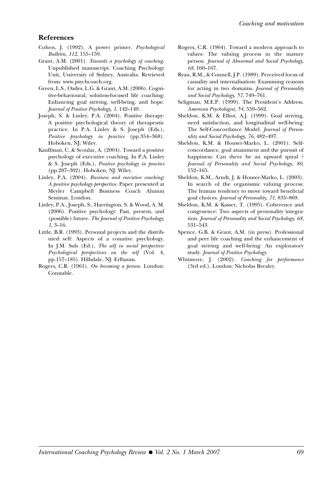#### **References**

- Cohen, J. (1992). A power primer. *Psychological Bulletin, 112*, 155–159.
- Grant, A.M. (2001). *Towards a psychology of coaching.* Unpublished manuscript. Coaching Psychology Unit, University of Sydney, Australia. Retrieved from: www.psychcoach.org.
- Green, L.S., Oades, L.G. & Grant, A.M. (2006). Cognitive-behavioural, solution-focused life coaching: Enhancing goal striving, well-being, and hope. *Journal of Positive Psychology, 1*, 142–149.
- Joseph, S. & Linley, P.A. (2004). Positive therapy: A positive psychological theory of therapeutic practice. In P.A. Linley & S. Joseph (Eds.), *Positive psychology in practice* (pp.354–368). Hoboken, NJ: Wiley.
- Kauffman, C. & Scoular, A. (2004). Toward a positive psychology of executive coaching. In P.A. Linley & S. Joseph (Eds.), *Positive psychology in practice* (pp.287–302). Hoboken, NJ: Wiley.
- Linley, P.A. (2004). *Business and executive coaching: A positive psychology perspective.* Paper presented at Meyler Campbell Business Coach Alumni Seminar, London.
- Linley, P.A., Joseph, S., Harrington, S. & Wood, A. M. (2006). Positive psychology: Past, present, and (possible) future. *The Journal of Positive Psychology, 1*, 3–16.
- Little, B.R. (1993). Personal projects and the distributed self: Aspects of a conative psychology. In J.M. Suls (Ed.), *The self in social perspective: Psychological perspectives on the self* (Vol. 4, pp.157–185). Hillsdale, NJ: Erlbaum.
- Rogers, C.R. (1961). *On becoming a person.* London: Constable.
- Rogers, C.R. (1964). Toward a modern approach to values: The valuing process in the mature person. *Journal of Abnormal and Social Psychology, 68*, 160–167.
- Ryan, R.M., & Connell, J.P. (1989). Perceived locus of causality and internalisation: Examining reasons for acting in two domains. *Journal of Personality and Social Psychology, 57*, 749–761.
- Seligman, M.E.P. (1999). The President's Address. *American Psychologist, 54*, 559–562.
- Sheldon, K.M. & Elliot, A.J. (1999). Goal striving, need satisfaction, and longitudinal well-being: The Self-Concordance Model. *Journal of Personality and Social Psychology, 76*, 482–497.
- Sheldon, K.M. & Houser-Marko, L. (2001). Selfconcordance, goal attainment and the pursuit of happiness: Can there be an upward spiral ? *Journal of Personality and Social Psychology, 80*, 152–165.
- Sheldon, K.M., Arndt, J. & Houser-Marko, L. (2003). In search of the organismic valuing process: The human tendency to move toward beneficial goal choices. *Journal of Personality, 71*, 835–869.
- Sheldon, K.M. & Kasser, T. (1995). Coherence and congruence: Two aspects of personality integration. *Journal of Personality and Social Psychology, 68*, 531–543.
- Spence, G.B. & Grant, A.M. (in press). Professional and peer life coaching and the enhancement of goal striving and well-being: An exploratory study. *Journal of Positive Psychology.*
- Whitmore, J. (2002). *Coaching for performance* (3rd ed.). London: Nicholas Brealey.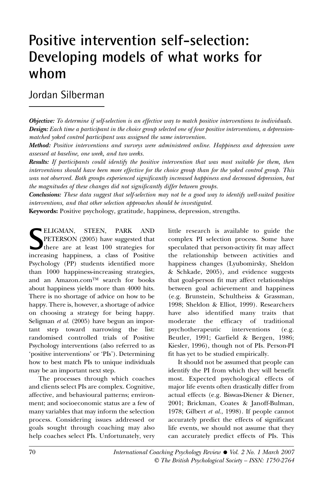# **Positive intervention self-selection: Developing models of what works for whom**

# Jordan Silberman

**Objective:** *To determine if self-selection is an effective way to match positive interventions to individuals.*  **Design:** *Each time a participant in the choice group selected one of four positive interventions, a depressionmatched yoked control participant was assigned the same intervention.*

**Method:** *Positive interventions and surveys were administered online. Happiness and depression were assessed at baseline, one week, and two weeks.* 

**Results:** *If participants could identify the positive intervention that was most suitable for them, then interventions should have been more effective for the choice group than for the yoked control group. This was not observed. Both groups experienced significantly increased happiness and decreased depression, but the magnitudes of these changes did not significantly differ between groups.*

**Conclusions:** *These data suggest that self-selection may not be a good way to identify well-suited positive interventions, and that other selection approaches should be investigated.* 

**Keywords:** Positive psychology, gratitude, happiness, depression, strengths.

**SELIGMAN, STEEN, PARK AND**<br> **SPETERSON** (2005) have suggested that<br>
there are at least 100 strategies for<br>
increasing happiness, a class of Positive ELIGMAN, STEEN, PARK AND PETERSON (2005) have suggested that there are at least 100 strategies for Psychology (PP) students identified more than 1000 happiness-increasing strategies, and an Amazon.com™ search for books about happiness yields more than 4000 hits. There is no shortage of advice on how to be happy. There is, however, a shortage of advice on choosing a strategy for being happy. Seligman *et al.* (2005) have begun an important step toward narrowing the list: randomised controlled trials of Positive Psychology interventions (also referred to as 'positive interventions' or 'PIs'). Determining how to best match PIs to unique individuals may be an important next step.

The processes through which coaches and clients select PIs are complex. Cognitive, affective, and behavioural patterns; environment; and socioeconomic status are a few of many variables that may inform the selection process. Considering issues addressed or goals sought through coaching may also help coaches select PIs. Unfortunately, very little research is available to guide the complex PI selection process. Some have speculated that person-activity fit may affect the relationship between activities and happiness changes (Lyubomirsky, Sheldon & Schkade, 2005), and evidence suggests that goal-person fit may affect relationships between goal achievement and happiness (e.g. Brunstein, Schultheiss & Grassman, 1998; Sheldon & Elliot, 1999). Researchers have also identified many traits that moderate the efficacy of traditional psychotherapeutic interventions (e.g. Beutler, 1991; Garfield & Bergen, 1986; Kiesler, 1996), though not of PIs. Person-PI fit has yet to be studied empirically.

It should not be assumed that people can identify the PI from which they will benefit most. Expected psychological effects of major life events often drastically differ from actual effects (e.g. Biswas-Diener & Diener, 2001; Brickman, Coates & Janoff-Bulman, 1978; Gilbert *et al.*, 1998). If people cannot accurately predict the effects of significant life events, we should not assume that they can accurately predict effects of PIs. This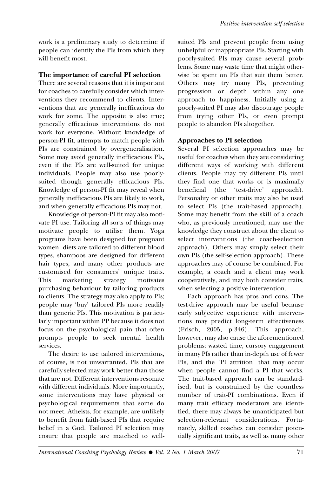work is a preliminary study to determine if people can identify the PIs from which they will benefit most.

# **The importance of careful PI selection**

There are several reasons that it is important for coaches to carefully consider which interventions they recommend to clients. Interventions that are generally inefficacious do work for some. The opposite is also true; generally efficacious interventions do not work for everyone. Without knowledge of person-PI fit, attempts to match people with PIs are constrained by overgeneralisation. Some may avoid generally inefficacious PIs, even if the PIs are well-suited for unique individuals. People may also use poorlysuited though generally efficacious PIs. Knowledge of person-PI fit may reveal when generally inefficacious PIs are likely to work, and when generally efficacious PIs may not.

Knowledge of person-PI fit may also motivate PI use. Tailoring all sorts of things may motivate people to utilise them. Yoga programs have been designed for pregnant women, diets are tailored to different blood types, shampoos are designed for different hair types, and many other products are customised for consumers' unique traits. This marketing strategy motivates purchasing behaviour by tailoring products to clients. The strategy may also apply to PIs; people may 'buy' tailored PIs more readily than generic PIs. This motivation is particularly important within PP because it does not focus on the psychological pain that often prompts people to seek mental health services.

The desire to use tailored interventions, of course, is not unwarranted. PIs that are carefully selected may work better than those that are not. Different interventions resonate with different individuals. More importantly, some interventions may have physical or psychological requirements that some do not meet. Atheists, for example, are unlikely to benefit from faith-based PIs that require belief in a God. Tailored PI selection may ensure that people are matched to wellsuited PIs and prevent people from using unhelpful or inappropriate PIs. Starting with poorly-suited PIs may cause several problems. Some may waste time that might otherwise be spent on PIs that suit them better. Others may try many PIs, preventing progression or depth within any one approach to happiness. Initially using a poorly-suited PI may also discourage people from trying other PIs, or even prompt people to abandon PIs altogether.

# **Approaches to PI selection**

Several PI selection approaches may be useful for coaches when they are considering different ways of working with different clients. People may try different PIs until they find one that works or is maximally beneficial (the 'test-drive' approach). Personality or other traits may also be used to select PIs (the trait-based approach). Some may benefit from the skill of a coach who, as previously mentioned, may use the knowledge they construct about the client to select interventions (the coach-selection approach). Others may simply select their own PIs (the self-selection approach). These approaches may of course be combined. For example, a coach and a client may work cooperatively, and may both consider traits, when selecting a positive intervention.

Each approach has pros and cons. The test-drive approach may be useful because early subjective experience with interventions may predict long-term effectiveness (Frisch, 2005, p.346). This approach, however, may also cause the aforementioned problems: wasted time, cursory engagement in many PIs rather than in-depth use of fewer PIs, and the 'PI attrition' that may occur when people cannot find a PI that works. The trait-based approach can be standardised, but is constrained by the countless number of trait-PI combinations. Even if many trait efficacy moderators are identified, there may always be unanticipated but selection-relevant considerations. Fortunately, skilled coaches can consider potentially significant traits, as well as many other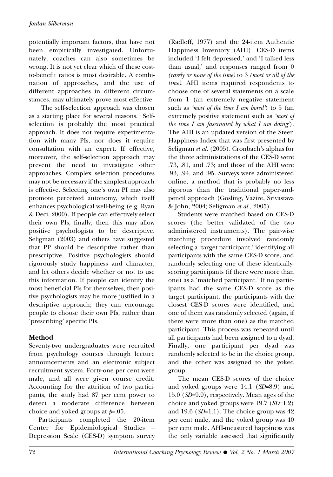potentially important factors, that have not been empirically investigated. Unfortunately, coaches can also sometimes be wrong. It is not yet clear which of these costto-benefit ratios is most desirable. A combination of approaches, and the use of different approaches in different circumstances, may ultimately prove most effective.

The self-selection approach was chosen as a starting place for several reasons. Selfselection is probably the most practical approach. It does not require experimentation with many PIs, nor does it require consultation with an expert. If effective, moreover, the self-selection approach may prevent the need to investigate other approaches. Complex selection procedures may not be necessary if the simplest approach is effective. Selecting one's own PI may also promote perceived autonomy, which itself enhances psychological well-being (e.g. Ryan & Deci, 2000). If people can effectively select their own PIs, finally, then this may allow positive psychologists to be descriptive. Seligman (2003) and others have suggested that PP should be descriptive rather than prescriptive. Positive psychologists should rigorously study happiness and character, and let others decide whether or not to use this information. If people can identify the most beneficial PIs for themselves, then positive psychologists may be more justified in a descriptive approach; they can encourage people to choose their own PIs, rather than 'prescribing' specific PIs.

# **Method**

Seventy-two undergraduates were recruited from psychology courses through lecture announcements and an electronic subject recruitment system. Forty-one per cent were male, and all were given course credit. Accounting for the attrition of two participants, the study had 87 per cent power to detect a moderate difference between choice and yoked groups at *p*=.05.

Participants completed the 20-item Center for Epidemiological Studies – Depression Scale (CES-D) symptom survey

(Radloff, 1977) and the 24-item Authentic Happiness Inventory (AHI). CES-D items included 'I felt depressed,' and 'I talked less than usual,' and responses ranged from 0 *(rarely or none of the time)* to 3 *(most or all of the time)*. AHI items required respondents to choose one of several statements on a scale from 1 (an extremely negative statement such as *'most of the time I am bored'*) to 5 (an extremely positive statement such as *'most of the time I am fascinated by what I am doing'*). The AHI is an updated version of the Steen Happiness Index that was first presented by Seligman *et al.* (2005). Cronbach's alphas for the three administrations of the CES-D were .73, .81, and .73; and those of the AHI were .93, .94, and .95. Surveys were administered online, a method that is probably no less rigorous than the traditional paper-andpencil approach (Gosling, Vazire, Srivastava & John, 2004; Seligman *et al.*, 2005).

Students were matched based on CES-D scores (the better validated of the two administered instruments). The pair-wise matching procedure involved randomly selecting a 'target participant,' identifying all participants with the same CES-D score, and randomly selecting one of these identicallyscoring participants (if there were more than one) as a 'matched participant.' If no participants had the same CES-D score as the target participant, the participants with the closest CES-D scores were identified, and one of them was randomly selected (again, if there were more than one) as the matched participant. This process was repeated until all participants had been assigned to a dyad. Finally, one participant per dyad was randomly selected to be in the choice group, and the other was assigned to the yoked group.

The mean CES-D scores of the choice and yoked groups were 14.1 (*SD*=8.9) and 15.0 (*SD*=9.9), respectively. Mean ages of the choice and yoked groups were 19.7 (*SD*=1.2) and 19.6 (*SD*=1.1). The choice group was 42 per cent male, and the yoked group was 40 per cent male. AHI-measured happiness was the only variable assessed that significantly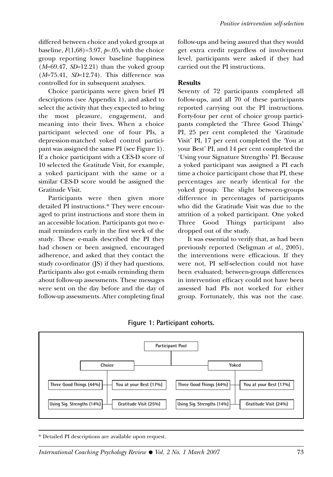differed between choice and yoked groups at baseline,  $F(1,68) = 3.97$ ,  $p = .05$ , with the choice group reporting lower baseline happiness (*M*=69.47, *SD*=12.21) than the yoked group (*M*=75.41, *SD*=12.74). This difference was controlled for in subsequent analyses.

Choice participants were given brief PI descriptions (see Appendix 1), and asked to select the activity that they expected to bring the most pleasure, engagement, and meaning into their lives. When a choice participant selected one of four PIs, a depression-matched yoked control participant was assigned the same PI (see Figure 1). If a choice participant with a CES-D score of 10 selected the Gratitude Visit, for example, a yoked participant with the same or a similar CES-D score would be assigned the Gratitude Visit.

Participants were then given more detailed PI instructions.\* They were encouraged to print instructions and store them in an accessible location. Participants got two email reminders early in the first week of the study. These e-mails described the PI they had chosen or been assigned, encouraged adherence, and asked that they contact the study co-ordinator (JS) if they had questions. Participants also got e-mails reminding them about follow-up assessments. These messages were sent on the day before and the day of follow-up assessments. After completing final

follow-ups and being assured that they would get extra credit regardless of involvement level, participants were asked if they had carried out the PI instructions.

#### **Results**

Seventy of 72 participants completed all follow-ups, and all 70 of these participants reported carrying out the PI instructions. Forty-four per cent of choice group participants completed the 'Three Good Things' PI, 25 per cent completed the 'Gratitude Visit' PI, 17 per cent completed the 'You at your Best' PI, and 14 per cent completed the 'Using your Signature Strengths' PI. Because a yoked participant was assigned a PI each time a choice participant chose that PI, these percentages are nearly identical for the yoked group. The slight between-groups difference in percentages of participants who did the Gratitude Visit was due to the attrition of a yoked participant. One yoked Three Good Things participant also dropped out of the study.

It was essential to verify that, as had been previously reported (Seligman *et al.*, 2005), the interventions were efficacious. If they were not, PI self-selection could not have been evaluated; between-groups differences in intervention efficacy could not have been assessed had PIs not worked for either group. Fortunately, this was not the case.





\* Detailed PI descriptions are available upon request.

*International Coaching Psychology Review* ● *Vol. 2 No. 1 March 2007* 73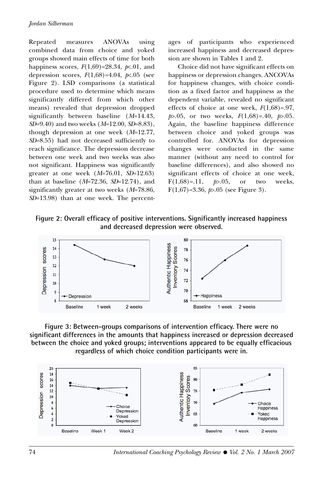Repeated measures ANOVAs using combined data from choice and yoked groups showed main effects of time for both happiness scores,  $F(1,69) = 28.34$ ,  $p \nless 01$ , and depression scores,  $F(1,68) = 4.04$ ,  $\cancel{\kappa}.05$  (see Figure 2). LSD comparisons (a statistical procedure used to determine which means significantly differed from which other means) revealed that depression dropped significantly between baseline (*M*=14.43, *SD*=9.40) and two weeks (*M*=12.00, *SD*=8.83), though depression at one week (*M*=12.77, *SD*=8.55) had not decreased sufficiently to reach significance. The depression decrease between one week and two weeks was also not significant. Happiness was significantly greater at one week (*M*=76.01, *SD*=12.63) than at baseline (*M*=72.36, *SD*=12.74), and significantly greater at two weeks (*M*=78.86, *SD*=13.98) than at one week. The percentages of participants who experienced increased happiness and decreased depression are shown in Tables 1 and 2.

Choice did not have significant effects on happiness or depression changes. ANCOVAs for happiness changes, with choice condition as a fixed factor and happiness as the dependent variable, revealed no significant effects of choice at one week, *F*(1,68)=.97, *p*>.05, or two weeks, *F*(1,68)=.40, *p*>.05. Again, the baseline happiness difference between choice and yoked groups was controlled for. ANOVAs for depression changes were conducted in the same manner (without any need to control for baseline differences), and also showed no significant effects of choice at one week,  $F(1,68)=.11$ ,  $p > .05$ , or two weeks, F(1,67)=3.36, *p*>.05 (see Figure 3).

**Figure 2: Overall efficacy of positive interventions. Significantly increased happiness and decreased depression were observed.** 



**Figure 3: Between-groups comparisons of intervention efficacy. There were no significant differences in the amounts that happiness increased or depression decreased between the choice and yoked groups; interventions appeared to be equally efficacious regardless of which choice condition participants were in.** 

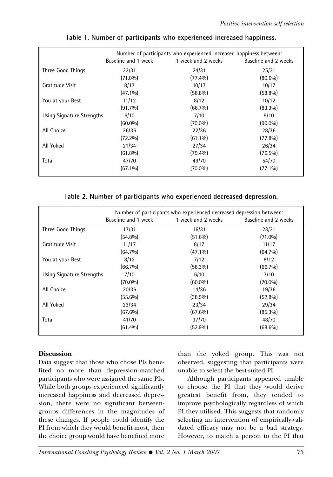|                           | Number of participants who experienced increased happiness between: |                    |                      |  |  |  |  |
|---------------------------|---------------------------------------------------------------------|--------------------|----------------------|--|--|--|--|
|                           | Baseline and 1 week                                                 | 1 week and 2 weeks | Baseline and 2 weeks |  |  |  |  |
| Three Good Things         | 22/31                                                               | 24/31              | 25/31                |  |  |  |  |
|                           | $(71.0\%)$                                                          | $(77.4\%)$         | $(80.6\%)$           |  |  |  |  |
| Gratitude Visit           | 8/17                                                                | 10/17              | 10/17                |  |  |  |  |
|                           | $(47.1\%)$                                                          | $(58.8\%)$         | $(58.8\%)$           |  |  |  |  |
| You at your Best          | 11/12                                                               | 8/12               | 10/12                |  |  |  |  |
|                           | $(91.7\%)$                                                          | $(66.7\%)$         | $(83.3\%)$           |  |  |  |  |
| Using Signature Strengths | 6/10                                                                | 7/10               | 9/10                 |  |  |  |  |
|                           | $(60.0\%)$                                                          | $(70.0\%)$         | $(90.0\%)$           |  |  |  |  |
| All Choice                | 26/36                                                               | 22/36              | 28/36                |  |  |  |  |
|                           | $(72.2\%)$                                                          | $(61.1\%)$         | $(77.8\%)$           |  |  |  |  |
| All Yoked                 | 21/34                                                               | 27/34              | 26/34                |  |  |  |  |
|                           | $(61.8\%)$                                                          | $(79.4\%)$         | $(76.5\%)$           |  |  |  |  |
| Total                     | 47/70                                                               | 49/70              | 54/70                |  |  |  |  |
|                           | $(67.1\%)$                                                          | (70.0%)            | $(77.1\%)$           |  |  |  |  |

#### **Table 1. Number of participants who experienced increased happiness.**

#### **Table 2. Number of participants who experienced decreased depression.**

|                           | Number of participants who experienced decreased depression between: |                    |                      |  |  |  |
|---------------------------|----------------------------------------------------------------------|--------------------|----------------------|--|--|--|
|                           | Baseline and 1 week                                                  | 1 week and 2 weeks | Baseline and 2 weeks |  |  |  |
| Three Good Things         | 17/31                                                                | 16/31              | 23/31                |  |  |  |
|                           | $(54.8\%)$                                                           | $(51.6\%)$         | $(71.0\%)$           |  |  |  |
| Gratitude Visit           | 11/17                                                                | 8/17               | 11/17                |  |  |  |
|                           | $(64.7\%)$                                                           | $(47.1\%)$         | $(64.7\%)$           |  |  |  |
| You at your Best          | 8/12                                                                 | 7/12               | 8/12                 |  |  |  |
|                           | $(66.7\%)$                                                           | $(58.3\%)$         | $(66.7\%)$           |  |  |  |
| Using Signature Strengths | 7/10                                                                 | 6/10               | 7/10                 |  |  |  |
|                           | $(70.0\%)$                                                           | $(60.0\%)$         | $(70.0\%)$           |  |  |  |
| All Choice                | 20/36                                                                | 14/36              | 19/36                |  |  |  |
|                           | $(55.6\%)$                                                           | (38.9%)            | $(52.8\%)$           |  |  |  |
| All Yoked                 | 23/34                                                                | 23/34              | 29/34                |  |  |  |
|                           | $(67.6\%)$                                                           | $(67.6\%)$         | $(85.3\%)$           |  |  |  |
| Total                     | 41/70                                                                | 37/70              | 48/70                |  |  |  |
|                           | $(61.4\%)$                                                           | (52.9%)            | $(68.6\%)$           |  |  |  |

# **Discussion**

Data suggest that those who chose PIs benefited no more than depression-matched participants who were assigned the same PIs. While both groups experienced significantly increased happiness and decreased depression, there were no significant betweengroups differences in the magnitudes of these changes. If people could identify the PI from which they would benefit most, then the choice group would have benefited more than the yoked group. This was not observed, suggesting that participants were unable to select the best-suited PI.

Although participants appeared unable to choose the PI that they would derive greatest benefit from, they tended to improve psychologically regardless of which PI they utilised. This suggests that randomly selecting an intervention of empirically-validated efficacy may not be a bad strategy. However, to match a person to the PI that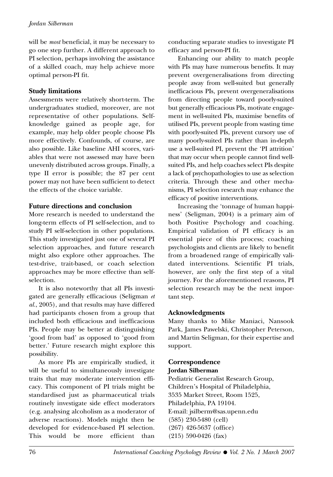will be *most* beneficial, it may be necessary to go one step further. A different approach to PI selection, perhaps involving the assistance of a skilled coach, may help achieve more optimal person-PI fit.

# **Study limitations**

Assessments were relatively short-term. The undergraduates studied, moreover, are not representative of other populations. Selfknowledge gained as people age, for example, may help older people choose PIs more effectively. Confounds, of course, are also possible. Like baseline AHI scores, variables that were not assessed may have been unevenly distributed across groups. Finally, a type II error is possible; the 87 per cent power may not have been sufficient to detect the effects of the choice variable.

# **Future directions and conclusion**

More research is needed to understand the long-term effects of PI self-selection, and to study PI self-selection in other populations. This study investigated just one of several PI selection approaches, and future research might also explore other approaches. The test-drive, trait-based, or coach selection approaches may be more effective than selfselection.

It is also noteworthy that all PIs investigated are generally efficacious (Seligman *et al.*, 2005), and that results may have differed had participants chosen from a group that included both efficacious and inefficacious PIs. People may be better at distinguishing 'good from bad' as opposed to 'good from better.' Future research might explore this possibility.

As more PIs are empirically studied, it will be useful to simultaneously investigate traits that may moderate intervention efficacy. This component of PI trials might be standardised just as pharmaceutical trials routinely investigate side effect moderators (e.g. analysing alcoholism as a moderator of adverse reactions). Models might then be developed for evidence-based PI selection. This would be more efficient than conducting separate studies to investigate PI efficacy and person-PI fit.

Enhancing our ability to match people with PIs may have numerous benefits. It may prevent overgeneralisations from directing people away from well-suited but generally inefficacious PIs, prevent overgeneralisations from directing people toward poorly-suited but generally efficacious PIs, motivate engagement in well-suited PIs, maximise benefits of utilised PIs, prevent people from wasting time with poorly-suited PIs, prevent cursory use of many poorly-suited PIs rather than in-depth use a well-suited PI, prevent the 'PI attrition' that may occur when people cannot find wellsuited PIs, and help coaches select PIs despite a lack of psychopathologies to use as selection criteria. Through these and other mechanisms, PI selection research may enhance the efficacy of positive interventions.

Increasing the 'tonnage of human happiness' (Seligman, 2004) is a primary aim of both Positive Psychology and coaching. Empirical validation of PI efficacy is an essential piece of this process; coaching psychologists and clients are likely to benefit from a broadened range of empirically validated interventions. Scientific PI trials, however, are only the first step of a vital journey. For the aforementioned reasons, PI selection research may be the next important step.

# **Acknowledgments**

Many thanks to Mike Maniaci, Nansook Park, James Pawelski, Christopher Peterson, and Martin Seligman, for their expertise and support.

#### **Correspondence Jordan Silberman**

Pediatric Generalist Research Group, Children's Hospital of Philadelphia, 3535 Market Street, Room 1525, Philadelphia, PA 19104. E-mail: jsilberm@sas.upenn.edu (585) 230-5480 (cell) (267) 426-5637 (office) (215) 590-0426 (fax)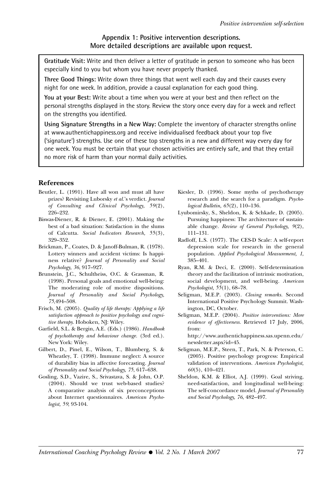#### **Appendix 1: Positive intervention descriptions. More detailed descriptions are available upon request.**

**Gratitude Visit:** Write and then deliver a letter of gratitude in person to someone who has been especially kind to you but whom you have never properly thanked.

**Three Good Things:** Write down three things that went well each day and their causes every night for one week. In addition, provide a causal explanation for each good thing.

**You at your Best:** Write about a time when you were at your best and then reflect on the personal strengths displayed in the story. Review the story once every day for a week and reflect on the strengths you identified.

**Using Signature Strengths in a New Way:** Complete the inventory of character strengths online at www.authentichappiness.org and receive individualised feedback about your top five ('signature') strengths. Use one of these top strengths in a new and different way every day for one week. You must be certain that your chosen activities are entirely safe, and that they entail no more risk of harm than your normal daily activities.

#### **References**

- Beutler, L. (1991). Have all won and must all have prizes? Revisiting Luborsky *et al.*'s verdict. *Journal of Consulting and Clinical Psychology, 59*(2), 226–232.
- Biswas-Diener, R. & Diener, E. (2001). Making the best of a bad situation: Satisfaction in the slums of Calcutta. *Social Indicators Research, 55*(3), 329–352.
- Brickman, P., Coates, D. & Janoff-Bulman, R. (1978). Lottery winners and accident victims: Is happiness relative? *Journal of Personality and Social Psychology, 36*, 917–927.
- Brunstein, J.C., Schultheiss, O.C. & Grassman, R. (1998). Personal goals and emotional well-being: The moderating role of motive dispositions. *Journal of Personality and Social Psychology, 75*,494–508.
- Frisch, M. (2005). *Quality of life therapy: Applying a life satisfaction approach to positive psychology and cognitive therapy.* Hoboken, NJ: Wiley.
- Garfield, S.L. & Bergin, A.E. (Eds.) (1986). *Handbook of psychotherapy and behaviour change.* (3rd ed.). New York: Wiley.
- Gilbert, D., Pinel, E., Wilson, T., Blumberg, S. & Wheatley, T. (1998). Immune neglect: A source of durability bias in affective forecasting. *Journal of Personality and Social Psychology, 75*, 617–638.
- Gosling, S.D., Vazire, S., Srivastava, S. & John, O.P. (2004). Should we trust web-based studies? A comparative analysis of six preconceptions about Internet questionnaires. *American Psychologist, 59*, 93-104.
- Kiesler, D. (1996). Some myths of psychotherapy research and the search for a paradigm. *Psychological Bulletin, 65*(2), 110–136.
- Lyubomirsky, S., Sheldon, K. & Schkade, D. (2005). Pursuing happiness: The architecture of sustainable change. *Review of General Psychology, 9*(2), 111–131.
- Radloff, L.S. (1977). The CES-D Scale: A self-report depression scale for research in the general population. *Applied Psychological Measurement, 1*, 385–401.
- Ryan, R.M. & Deci, E. (2000). Self-determination theory and the facilitation of intrinsic motivation, social development, and well-being. *American Psychologist, 55*(1), 68–78.
- Seligman, M.E.P. (2003). *Closing remarks.* Second International Positive Psychology Summit. Washington, DC, October.
- Seligman, M.E.P. (2004). *Positive interventions: More evidence of effectiveness.* Retrieved 17 July, 2006, from:

http://www.authentichappiness.sas.upenn.edu/ newsletter.aspx?id=45.

- Seligman, M.E.P., Steen, T., Park, N. & Peterson, C. (2005). Positive psychology progress: Empirical validation of interventions. *American Psychologist, 60*(5), 410–421.
- Sheldon, K.M. & Elliot, A.J. (1999). Goal striving, need-satisfaction, and longitudinal well-being: The self-concordance model. *Journal of Personality and Social Psychology, 76*, 482–497.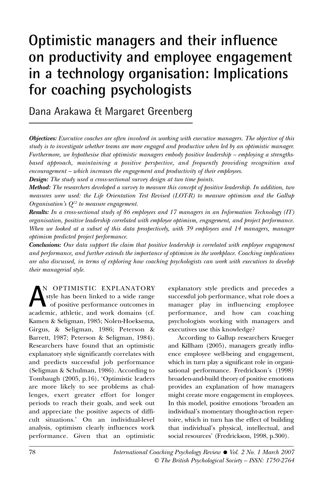# **Optimistic managers and their influence on productivity and employee engagement in a technology organisation: Implications for coaching psychologists**

Dana Arakawa & Margaret Greenberg

**Objectives:** *Executive coaches are often involved in working with executive managers. The objective of this study is to investigate whether teams are more engaged and productive when led by an optimistic manager. Furthermore, we hypothesise that optimistic managers embody positive leadership – employing a strengthsbased approach, maintaining a positive perspective, and frequently providing recognition and encouragement – which increases the engagement and productivity of their employees.* 

**Design:** *The study used a cross-sectional survey design at two time points.*

**Method:** *The researchers developed a survey to measure this concept of positive leadership. In addition, two measures were used: the Life Orientation Test Revised (LOT-R) to measure optimism and the Gallup Organisation's Q12 to measure engagement.* 

**Results:** *In a cross-sectional study of 86 employees and 17 managers in an Information Technology (IT) organisation, positive leadership correlated with employee optimism, engagement, and project performance. When we looked at a subset of this data prospectively, with 39 employees and 14 managers, manager optimism predicted project performance.* 

**Conclusions:** *Our data support the claim that positive leadership is correlated with employee engagement and performance, and further extends the importance of optimism in the workplace. Coaching implications are also discussed, in terms of exploring how coaching psychologists can work with executives to develop their managerial style.* 

N OPTIMISTIC EXPLANATORY style has been linked to a wide range of positive performance outcomes in **ANDELANATORY**<br>style has been linked to a wide range<br>of positive performance outcomes in<br>academic, athletic, and work domains (cf. Kamen & Seligman, 1985; Nolen-Hoeksema, Girgus, & Seligman, 1986; Peterson & Barrett, 1987; Peterson & Seligman, 1984). Researchers have found that an optimistic explanatory style significantly correlates with and predicts successful job performance (Seligman & Schulman, 1986). According to Tombaugh (2005, p.16), 'Optimistic leaders are more likely to see problems as challenges, exert greater effort for longer periods to reach their goals, and seek out and appreciate the positive aspects of difficult situations.' On an individual-level analysis, optimism clearly influences work performance. Given that an optimistic

explanatory style predicts and precedes a successful job performance, what role does a manager play in influencing employee performance, and how can coaching psychologists working with managers and executives use this knowledge?

According to Gallup researchers Krueger and Killham (2005), managers greatly influence employee well-being and engagement, which in turn play a significant role in organisational performance. Fredrickson's (1998) broaden-and-build theory of positive emotions provides an explanation of how managers might create more engagement in employees. In this model, positive emotions 'broaden an individual's momentary thought-action repertoire, which in turn has the effect of building that individual's physical, intellectual, and social resources' (Fredrickson, 1998, p.300).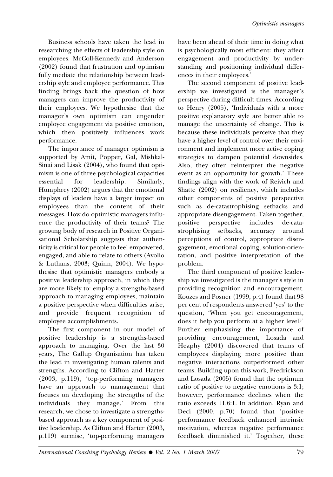Business schools have taken the lead in researching the effects of leadership style on employees. McColl-Kennedy and Anderson (2002) found that frustration and optimism fully mediate the relationship between leadership style and employee performance. This finding brings back the question of how managers can improve the productivity of their employees. We hypothesise that the manager's own optimism can engender employee engagement via positive emotion, which then positively influences work performance.

The importance of manager optimism is supported by Amit, Popper, Gal, Mishkal-Sinai and Lisak (2004), who found that optimism is one of three psychological capacities essential for leadership. Similarly, Humphrey (2002) argues that the emotional displays of leaders have a larger impact on employees than the content of their messages. How do optimistic managers influence the productivity of their teams? The growing body of research in Positive Organisational Scholarship suggests that authenticity is critical for people to feel empowered, engaged, and able to relate to others (Avolio & Luthans, 2003; Quinn, 2004). We hypothesise that optimistic managers embody a positive leadership approach, in which they are more likely to: employ a strengths-based approach to managing employees, maintain a positive perspective when difficulties arise, and provide frequent recognition of employee accomplishments.

The first component in our model of positive leadership is a strengths-based approach to managing. Over the last 30 years, The Gallup Organisation has taken the lead in investigating human talents and strengths. According to Clifton and Harter (2003, p.119), 'top-performing managers have an approach to management that focuses on developing the strengths of the individuals they manage.' From this research, we chose to investigate a strengthsbased approach as a key component of positive leadership. As Clifton and Harter (2003, p.119) surmise, 'top-performing managers have been ahead of their time in doing what is psychologically most efficient: they affect engagement and productivity by understanding and positioning individual differences in their employees.'

The second component of positive leadership we investigated is the manager's perspective during difficult times. According to Henry (2005), 'Individuals with a more positive explanatory style are better able to manage the uncertainty of change. This is because these individuals perceive that they have a higher level of control over their environment and implement more active coping strategies to dampen potential downsides. Also, they often reinterpret the negative event as an opportunity for growth.' These findings align with the work of Reivich and Shatte (2002) on resiliency, which includes other components of positive perspective such as de-catastrophising setbacks and appropriate disengagement. Taken together, positive perspective includes de-catastrophising setbacks, accuracy around perceptions of control, appropriate disengagement, emotional coping, solution-orientation, and positive interpretation of the problem.

The third component of positive leadership we investigated is the manager's style in providing recognition and encouragement. Kouzes and Posner (1999, p.4) found that 98 per cent of respondents answered 'yes' to the question, 'When you get encouragement, does it help you perform at a higher level?' Further emphasising the importance of providing encouragement, Losada and Heaphy (2004) discovered that teams of employees displaying more positive than negative interactions outperformed other teams. Building upon this work, Fredrickson and Losada (2005) found that the optimum ratio of positive to negative emotions is 3:1; however, performance declines when the ratio exceeds 11.6:1. In addition, Ryan and Deci (2000, p.70) found that 'positive performance feedback enhanced intrinsic motivation, whereas negative performance feedback diminished it.' Together, these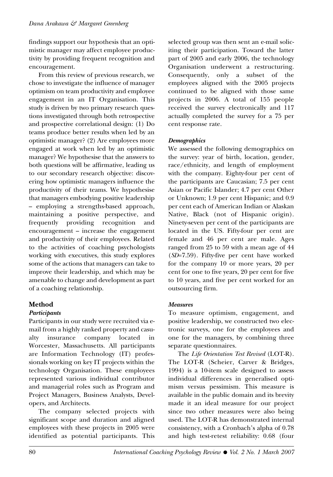findings support our hypothesis that an optimistic manager may affect employee productivity by providing frequent recognition and encouragement.

From this review of previous research, we chose to investigate the influence of manager optimism on team productivity and employee engagement in an IT Organisation. This study is driven by two primary research questions investigated through both retrospective and prospective correlational design: (1) Do teams produce better results when led by an optimistic manager? (2) Are employees more engaged at work when led by an optimistic manager? We hypothesise that the answers to both questions will be affirmative, leading us to our secondary research objective: discovering how optimistic managers influence the productivity of their teams. We hypothesise that managers embodying positive leadership – employing a strengths-based approach, maintaining a positive perspective, and frequently providing recognition and encouragement – increase the engagement and productivity of their employees. Related to the activities of coaching psychologists working with executives, this study explores some of the actions that managers can take to improve their leadership, and which may be amenable to change and development as part of a coaching relationship.

# **Method**

#### **Participants**

Participants in our study were recruited via email from a highly ranked property and casualty insurance company located in Worcester, Massachusetts. All participants are Information Technology (IT) professionals working on key IT projects within the technology Organisation. These employees represented various individual contributor and managerial roles such as Program and Project Managers, Business Analysts, Developers, and Architects.

The company selected projects with significant scope and duration and aligned employees with these projects in 2005 were identified as potential participants. This selected group was then sent an e-mail soliciting their participation. Toward the latter part of 2005 and early 2006, the technology Organisation underwent a restructuring. Consequently, only a subset of the employees aligned with the 2005 projects continued to be aligned with those same projects in 2006. A total of 155 people received the survey electronically and 117 actually completed the survey for a 75 per cent response rate.

#### **Demographics**

We assessed the following demographics on the survey: year of birth, location, gender, race/ethnicity, and length of employment with the company. Eighty-four per cent of the participants are Caucasian; 7.5 per cent Asian or Pacific Islander; 4.7 per cent Other or Unknown; 1.9 per cent Hispanic; and 0.9 per cent each of American Indian or Alaskan Native, Black (not of Hispanic origin). Ninety-seven per cent of the participants are located in the US. Fifty-four per cent are female and 46 per cent are male. Ages ranged from 25 to 59 with a mean age of 44 (*SD*=7.59). Fifty-five per cent have worked for the company 10 or more years, 20 per cent for one to five years, 20 per cent for five to 10 years, and five per cent worked for an outsourcing firm.

#### **Measures**

To measure optimism, engagement, and positive leadership, we constructed two electronic surveys, one for the employees and one for the managers, by combining three separate questionnaires.

The *Life Orientation Test Revised* (LOT-R). The LOT-R (Scheier, Carver & Bridges, 1994) is a 10-item scale designed to assess individual differences in generalised optimism versus pessimism. This measure is available in the public domain and its brevity made it an ideal measure for our project since two other measures were also being used. The LOT-R has demonstrated internal consistency, with a Cronbach's alpha of 0.78 and high test-retest reliability: 0.68 (four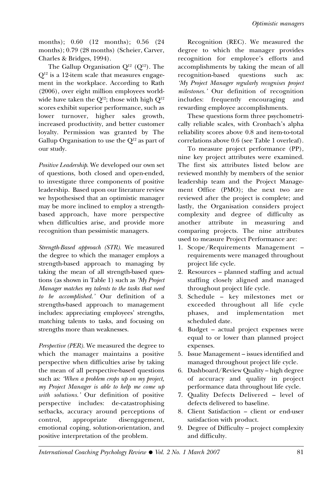months); 0.60 (12 months); 0.56 (24 months); 0.79 (28 months) (Scheier, Carver, Charles & Bridges, 1994).

The Gallup Organisation  $Q^{12}$  ( $Q^{12}$ ). The  $Q^{12}$  is a 12-item scale that measures engagement in the workplace. According to Rath (2006), over eight million employees worldwide have taken the  $O^{12}$ ; those with high  $O^{12}$ scores exhibit superior performance, such as lower turnover, higher sales growth, increased productivity, and better customer loyalty. Permission was granted by The Gallup Organisation to use the  $Q^{12}$  as part of our study.

*Positive Leadership*. We developed our own set of questions, both closed and open-ended, to investigate three components of positive leadership. Based upon our literature review we hypothesised that an optimistic manager may be more inclined to employ a strengthbased approach, have more perspective when difficulties arise, and provide more recognition than pessimistic managers.

*Strength-Based approach (STR).* We measured the degree to which the manager employs a strength-based approach to managing by taking the mean of all strength-based questions (as shown in Table 1) such as *'My Project Manager matches my talents to the tasks that need to be accomplished.'* Our definition of a strengths-based approach to management includes: appreciating employees' strengths, matching talents to tasks, and focusing on strengths more than weaknesses.

*Perspective (PER).* We measured the degree to which the manager maintains a positive perspective when difficulties arise by taking the mean of all perspective-based questions such as: *'When a problem crops up on my project, my Project Manager is able to help me come up with solutions.'* Our definition of positive perspective includes: de-catastrophising setbacks, accuracy around perceptions of control, appropriate disengagement, emotional coping, solution-orientation, and positive interpretation of the problem.

Recognition (REC). We measured the degree to which the manager provides recognition for employee's efforts and accomplishments by taking the mean of all recognition-based questions such as: *'My Project Manager regularly recognises project milestones.'* Our definition of recognition includes: frequently encouraging and rewarding employee accomplishments.

These questions form three psychometrically reliable scales, with Cronbach's alpha reliability scores above 0.8 and item-to-total correlations above 0.6 (see Table 1 overleaf).

To measure project performance (PP), nine key project attributes were examined. The first six attributes listed below are reviewed monthly by members of the senior leadership team and the Project Management Office (PMO); the next two are reviewed after the project is complete; and lastly, the Organisation considers project complexity and degree of difficulty as another attribute in measuring and comparing projects. The nine attributes used to measure Project Performance are:

- 1. Scope/Requirements Management requirements were managed throughout project life cycle.
- 2. Resources planned staffing and actual staffing closely aligned and managed throughout project life cycle.
- 3. Schedule key milestones met or exceeded throughout all life cycle phases, and implementation met scheduled date.
- 4. Budget actual project expenses were equal to or lower than planned project expenses.
- 5. Issue Management issues identified and managed throughout project life cycle.
- 6. Dashboard/Review Quality high degree of accuracy and quality in project performance data throughout life cycle.
- 7. Quality Defects Delivered level of defects delivered to baseline.
- 8. Client Satisfaction client or end-user satisfaction with product.
- 9. Degree of Difficulty project complexity and difficulty.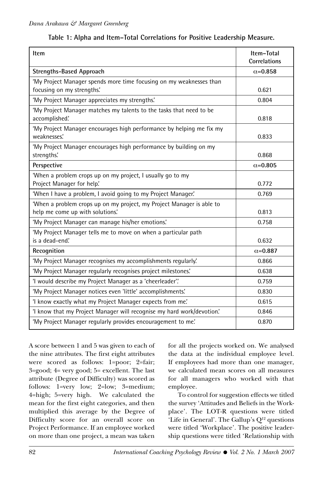|  |  | Table 1: Alpha and Item-Total Correlations for Positive Leadership Measure. |
|--|--|-----------------------------------------------------------------------------|
|--|--|-----------------------------------------------------------------------------|

| Item                                                                                                     | Item-Total<br>Correlations |
|----------------------------------------------------------------------------------------------------------|----------------------------|
| <b>Strengths-Based Approach</b>                                                                          | $\alpha = 0.858$           |
| 'My Project Manager spends more time focusing on my weaknesses than<br>focusing on my strengths.'        | 0.621                      |
| 'My Project Manager appreciates my strengths.'                                                           | 0.804                      |
| 'My Project Manager matches my talents to the tasks that need to be<br>accomplished!                     | 0.818                      |
| 'My Project Manager encourages high performance by helping me fix my<br>weaknesses.                      | 0.833                      |
| 'My Project Manager encourages high performance by building on my<br>strengths.                          | 0.868                      |
| Perspective                                                                                              | $\alpha = 0.805$           |
| 'When a problem crops up on my project, I usually go to my<br>Project Manager for help.                  | 0.772                      |
| 'When I have a problem, I avoid going to my Project Manager.'                                            | 0.769                      |
| 'When a problem crops up on my project, my Project Manager is able to<br>help me come up with solutions. | 0.813                      |
| 'My Project Manager can manage his/her emotions.'                                                        | 0.758                      |
| 'My Project Manager tells me to move on when a particular path<br>is a dead-end.                         | 0.632                      |
| Recognition                                                                                              | $\alpha = 0.887$           |
| 'My Project Manager recognises my accomplishments regularly.'                                            | 0.866                      |
| 'My Project Manager regularly recognises project milestones.'                                            | 0.638                      |
| 'I would describe my Project Manager as a 'cheerleader".                                                 | 0.759                      |
| 'My Project Manager notices even 'little' accomplishments.'                                              | 0.830                      |
| 'I know exactly what my Project Manager expects from me.'                                                | 0.615                      |
| 'I know that my Project Manager will recognise my hard work/devotion!                                    | 0.846                      |
| 'My Project Manager regularly provides encouragement to me.'                                             | 0.870                      |

A score between 1 and 5 was given to each of the nine attributes. The first eight attributes were scored as follows: 1=poor; 2=fair; 3=good; 4= very good; 5= excellent. The last attribute (Degree of Difficulty) was scored as follows: 1=very low; 2=low; 3=medium; 4=high; 5=very high. We calculated the mean for the first eight categories, and then multiplied this average by the Degree of Difficulty score for an overall score on Project Performance. If an employee worked on more than one project, a mean was taken

for all the projects worked on. We analysed the data at the individual employee level. If employees had more than one manager, we calculated mean scores on all measures for all managers who worked with that employee.

To control for suggestion effects we titled the survey 'Attitudes and Beliefs in the Workplace'. The LOT-R questions were titled 'Life in General'. The Gallup's Q12 questions were titled 'Workplace'. The positive leadership questions were titled 'Relationship with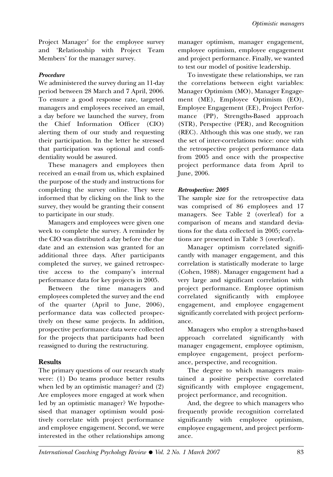Project Manager' for the employee survey and 'Relationship with Project Team Members' for the manager survey.

#### **Procedure**

We administered the survey during an 11-day period between 28 March and 7 April, 2006. To ensure a good response rate, targeted managers and employees received an email, a day before we launched the survey, from the Chief Information Officer (CIO) alerting them of our study and requesting their participation. In the letter he stressed that participation was optional and confidentiality would be assured.

These managers and employees then received an e-mail from us, which explained the purpose of the study and instructions for completing the survey online. They were informed that by clicking on the link to the survey, they would be granting their consent to participate in our study.

Managers and employees were given one week to complete the survey. A reminder by the CIO was distributed a day before the due date and an extension was granted for an additional three days. After participants completed the survey, we gained retrospective access to the company's internal performance data for key projects in 2005.

Between the time managers and employees completed the survey and the end of the quarter (April to June, 2006), performance data was collected prospectively on these same projects. In addition, prospective performance data were collected for the projects that participants had been reassigned to during the restructuring.

# **Results**

The primary questions of our research study were: (1) Do teams produce better results when led by an optimistic manager? and (2) Are employees more engaged at work when led by an optimistic manager? We hypothesised that manager optimism would positively correlate with project performance and employee engagement. Second, we were interested in the other relationships among manager optimism, manager engagement, employee optimism, employee engagement and project performance. Finally, we wanted to test our model of positive leadership.

To investigate these relationships, we ran the correlations between eight variables: Manager Optimism (MO), Manager Engagement (ME), Employee Optimism (EO), Employee Engagement (EE), Project Performance (PP), Strengths-Based approach (STR), Perspective (PER), and Recognition (REC). Although this was one study, we ran the set of inter-correlations twice: once with the retrospective project performance data from 2005 and once with the prospective project performance data from April to June, 2006.

#### **Retrospective: 2005**

The sample size for the retrospective data was comprised of 86 employees and 17 managers. See Table 2 (overleaf) for a comparison of means and standard deviations for the data collected in 2005; correlations are presented in Table 3 (overleaf).

Manager optimism correlated significantly with manager engagement, and this correlation is statistically moderate to large (Cohen, 1988). Manager engagement had a very large and significant correlation with project performance. Employee optimism correlated significantly with employee engagement, and employee engagement significantly correlated with project performance.

Managers who employ a strengths-based approach correlated significantly with manager engagement, employee optimism, employee engagement, project performance, perspective, and recognition.

The degree to which managers maintained a positive perspective correlated significantly with employee engagement, project performance, and recognition.

And, the degree to which managers who frequently provide recognition correlated significantly with employee optimism, employee engagement, and project performance.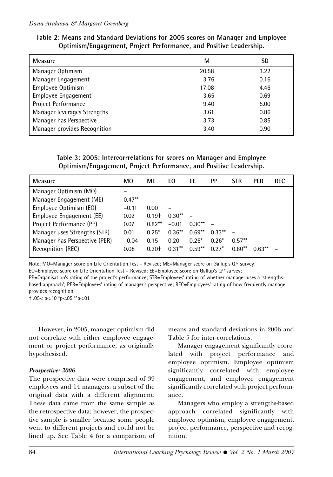#### *Dana Arakawa & Margaret Greenberg*

| Measure                      | м     | SD   |
|------------------------------|-------|------|
| Manager Optimism             | 20.58 | 3.22 |
| Manager Engagement           | 3.76  | 0.16 |
| Employee Optimism            | 17.08 | 4.46 |
| Employee Engagement          | 3.65  | 0.69 |
| Project Performance          | 9.40  | 5.00 |
| Manager leverages Strengths  | 3.61  | 0.86 |
| Manager has Perspective      | 3.73  | 0.85 |
| Manager provides Recognition | 3.40  | 0.90 |

**Table 2: Means and Standard Deviations for 2005 scores on Manager and Employee Optimism/Engagement, Project Performance, and Positive Leadership.**

#### **Table 3: 2005: Intercorrrelations for scores on Manager and Employee Optimism/Engagement, Project Performance, and Positive Leadership.**

| Measure                       | M0       | МE        | EО        | EE       | PP        | <b>STR</b> | <b>PER</b> | <b>REC</b> |
|-------------------------------|----------|-----------|-----------|----------|-----------|------------|------------|------------|
| Manager Optimism (MO)         |          |           |           |          |           |            |            |            |
| Manager Engagement (ME)       | $0.47**$ |           |           |          |           |            |            |            |
| Employee Optimism (EO)        | $-0.11$  | 0.00      |           |          |           |            |            |            |
| Employee Engagement (EE)      | 0.02     | $0.19+$   | $0.30**$  |          |           |            |            |            |
| Project Performance (PP)      | 0.07     | $0.82***$ | $-0.01$   | $0.30**$ |           |            |            |            |
| Manager uses Strengths (STR)  | 0.01     | $0.25*$   | $0.36***$ | $0.69**$ | $0.33***$ |            |            |            |
| Manager has Perspective (PER) | $-0.04$  | 0.15      | 0.20      | $0.26*$  | $0.26*$   | $0.57**$   |            |            |
| Recognition (REC)             | 0.08     | $0.20+$   | $0.31**$  | $0.59**$ | $0.27*$   | $0.80**$   | $0.63**$   |            |
|                               |          |           |           |          |           |            |            |            |

Note: MO=Manager score on Life Orientation Test - Revised; ME=Manager score on Gallup's Q<sup>12</sup> survey;

EO=Employee score on Life Orientation Test – Revised; EE=Employee score on Gallup's  $Q^{12}$  survey;

PP=Organisation's rating of the project's performance; STR=Employees' rating of whether manager uses a 'strengthsbased approach'; PER=Employees' rating of manager's perspective; REC=Employees' rating of how frequently manager provides recognition.

† .05< p<.10 \*p<.05 \*\*p<.01

However, in 2005, manager optimism did not correlate with either employee engagement or project performance, as originally hypothesised.

#### **Prospective: 2006**

The prospective data were comprised of 39 employees and 14 managers: a subset of the original data with a different alignment. These data came from the same sample as the retrospective data; however, the prospective sample is smaller because some people went to different projects and could not be lined up. See Table 4 for a comparison of means and standard deviations in 2006 and Table 5 for inter-correlations.

Manager engagement significantly correlated with project performance and employee optimism. Employee optimism significantly correlated with employee engagement, and employee engagement significantly correlated with project performance.

Managers who employ a strengths-based approach correlated significantly with employee optimism, employee engagement, project performance, perspective and recognition.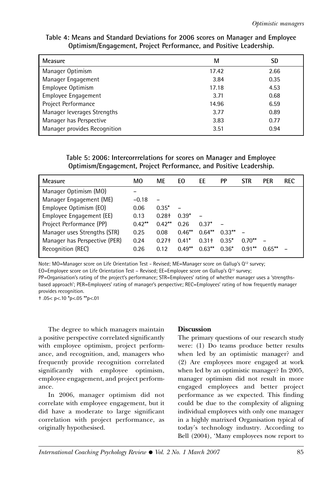| Measure                      | м     | SD   |
|------------------------------|-------|------|
| Manager Optimism             | 17.42 | 2.66 |
| Manager Engagement           | 3.84  | 0.35 |
| Employee Optimism            | 17.18 | 4.53 |
| Employee Engagement          | 3.71  | 0.68 |
| Project Performance          | 14.96 | 6.59 |
| Manager leverages Strengths  | 3.77  | 0.89 |
| Manager has Perspective      | 3.83  | 0.77 |
| Manager provides Recognition | 3.51  | 0.94 |

**Table 4: Means and Standard Deviations for 2006 scores on Manager and Employee Optimism/Engagement, Project Performance, and Positive Leadership.**

**Table 5: 2006: Intercorrrelations for scores on Manager and Employee Optimism/Engagement, Project Performance, and Positive Leadership.**

| Measure                       | M <sub>0</sub> | МE       | EO       | ЕE       | <b>PP</b> | <b>STR</b> | <b>PER</b> | <b>REC</b> |
|-------------------------------|----------------|----------|----------|----------|-----------|------------|------------|------------|
| Manager Optimism (MO)         |                |          |          |          |           |            |            |            |
| Manager Engagement (ME)       | $-0.18$        |          |          |          |           |            |            |            |
| Employee Optimism (EO)        | 0.06           | $0.35*$  |          |          |           |            |            |            |
| Employee Engagement (EE)      | 0.13           | $0.28 +$ | $0.39*$  |          |           |            |            |            |
| Project Performance (PP)      | $0.42***$      | $0.42**$ | 0.26     | $0.37*$  |           |            |            |            |
| Manager uses Strengths (STR)  | 0.25           | 0.08     | $0.46**$ | $0.64**$ | $0.33**$  |            |            |            |
| Manager has Perspective (PER) | 0.24           | $0.27+$  | $0.41*$  | $0.31 +$ | $0.35*$   | $0.70**$   |            |            |
| Recognition (REC)             | 0.26           | 0.12     | $0.49**$ | $0.63**$ | $0.36*$   | $0.91**$   | $0.65***$  |            |

Note: MO=Manager score on Life Orientation Test - Revised; ME=Manager score on Gallup's Q<sup>12</sup> survey;

EO=Employee score on Life Orientation Test – Revised; EE=Employee score on Gallup's  $Q^{12}$  survey;

PP=Organisation's rating of the project's performance; STR=Employees' rating of whether manager uses a 'strengthsbased approach'; PER=Employees' rating of manager's perspective; REC=Employees' rating of how frequently manager provides recognition.

† .05< p<.10 \*p<.05 \*\*p<.01

The degree to which managers maintain a positive perspective correlated significantly with employee optimism, project performance, and recognition, and, managers who frequently provide recognition correlated significantly with employee optimism, employee engagement, and project performance.

In 2006, manager optimism did not correlate with employee engagement, but it did have a moderate to large significant correlation with project performance, as originally hypothesised.

#### **Discussion**

The primary questions of our research study were: (1) Do teams produce better results when led by an optimistic manager? and (2) Are employees more engaged at work when led by an optimistic manager? In 2005, manager optimism did not result in more engaged employees and better project performance as we expected. This finding could be due to the complexity of aligning individual employees with only one manager in a highly matrixed Organisation typical of today's technology industry. According to Bell (2004), 'Many employees now report to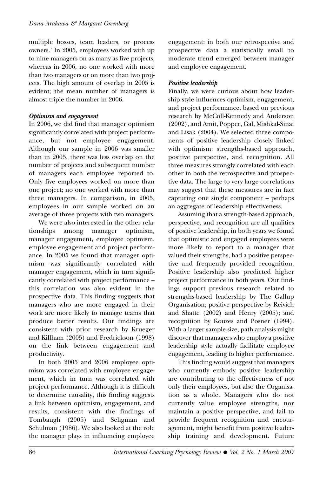multiple bosses, team leaders, or process owners.' In 2005, employees worked with up to nine managers on as many as five projects, whereas in 2006, no one worked with more than two managers or on more than two projects. The high amount of overlap in 2005 is evident; the mean number of managers is almost triple the number in 2006.

#### **Optimism and engagement**

In 2006, we did find that manager optimism significantly correlated with project performance, but not employee engagement. Although our sample in 2006 was smaller than in 2005, there was less overlap on the number of projects and subsequent number of managers each employee reported to. Only five employees worked on more than one project; no one worked with more than three managers. In comparison, in 2005, employees in our sample worked on an average of three projects with two managers.

We were also interested in the other relationships among manager optimism, manager engagement, employee optimism, employee engagement and project performance. In 2005 we found that manager optimism was significantly correlated with manager engagement, which in turn significantly correlated with project performance – this correlation was also evident in the prospective data. This finding suggests that managers who are more engaged in their work are more likely to manage teams that produce better results. Our findings are consistent with prior research by Krueger and Killham (2005) and Fredrickson (1998) on the link between engagement and productivity.

In both 2005 and 2006 employee optimism was correlated with employee engagement, which in turn was correlated with project performance. Although it is difficult to determine causality, this finding suggests a link between optimism, engagement, and results, consistent with the findings of Tombaugh (2005) and Seligman and Schulman (1986). We also looked at the role the manager plays in influencing employee engagement: in both our retrospective and prospective data a statistically small to moderate trend emerged between manager and employee engagement.

# **Positive leadership**

Finally, we were curious about how leadership style influences optimism, engagement, and project performance, based on previous research by McColl-Kennedy and Anderson (2002), and Amit, Popper, Gal, Mishkal-Sinai and Lisak (2004). We selected three components of positive leadership closely linked with optimism: strengths-based approach, positive perspective, and recognition. All three measures strongly correlated with each other in both the retrospective and prospective data. The large to very large correlations may suggest that these measures are in fact capturing one single component – perhaps an aggregate of leadership effectiveness.

Assuming that a strength-based approach, perspective, and recognition are all qualities of positive leadership, in both years we found that optimistic and engaged employees were more likely to report to a manager that valued their strengths, had a positive perspective and frequently provided recognition. Positive leadership also predicted higher project performance in both years. Our findings support previous research related to strengths-based leadership by The Gallup Organisation; positive perspective by Reivich and Shatte (2002) and Henry (2005); and recognition by Kouzes and Posner (1994). With a larger sample size, path analysis might discover that managers who employ a positive leadership style actually facilitate employee engagement, leading to higher performance.

This finding would suggest that managers who currently embody positive leadership are contributing to the effectiveness of not only their employees, but also the Organisation as a whole. Managers who do not currently value employee strengths, nor maintain a positive perspective, and fail to provide frequent recognition and encouragement, might benefit from positive leadership training and development. Future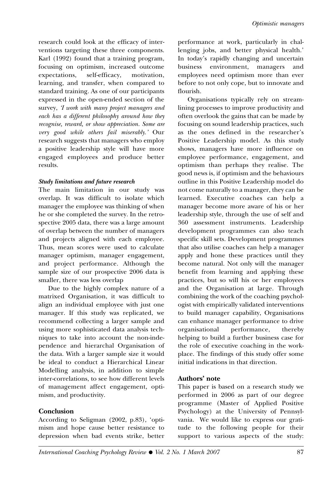research could look at the efficacy of interventions targeting these three components. Karl (1992) found that a training program, focusing on optimism, increased outcome expectations, self-efficacy, motivation, learning, and transfer, when compared to standard training. As one of our participants expressed in the open-ended section of the survey, *'I work with many project managers and each has a different philosophy around how they recognise, reward, or show appreciation. Some are very good while others fail miserably.'* Our research suggests that managers who employ a positive leadership style will have more engaged employees and produce better results.

#### **Study limitations and future research**

The main limitation in our study was overlap. It was difficult to isolate which manager the employee was thinking of when he or she completed the survey. In the retrospective 2005 data, there was a large amount of overlap between the number of managers and projects aligned with each employee. Thus, mean scores were used to calculate manager optimism, manager engagement, and project performance. Although the sample size of our prospective 2006 data is smaller, there was less overlap

Due to the highly complex nature of a matrixed Organisation, it was difficult to align an individual employee with just one manager. If this study was replicated, we recommend collecting a larger sample and using more sophisticated data analysis techniques to take into account the non-independence and hierarchal Organisation of the data. With a larger sample size it would be ideal to conduct a Hierarchical Linear Modelling analysis, in addition to simple inter-correlations, to see how different levels of management affect engagement, optimism, and productivity.

#### **Conclusion**

According to Seligman (2002, p.83), 'optimism and hope cause better resistance to depression when bad events strike, better

performance at work, particularly in challenging jobs, and better physical health.' In today's rapidly changing and uncertain business environment, managers and employees need optimism more than ever before to not only cope, but to innovate and flourish.

Organisations typically rely on streamlining processes to improve productivity and often overlook the gains that can be made by focusing on sound leadership practices, such as the ones defined in the researcher's Positive Leadership model. As this study shows, managers have more influence on employee performance, engagement, and optimism than perhaps they realise. The good news is, if optimism and the behaviours outline in this Positive Leadership model do not come naturally to a manager, they can be learned. Executive coaches can help a manager become more aware of his or her leadership style, through the use of self and 360 assessment instruments. Leadership development programmes can also teach specific skill sets. Development programmes that also utilise coaches can help a manager apply and hone these practices until they become natural. Not only will the manager benefit from learning and applying these practices, but so will his or her employees and the Organisation at large. Through combining the work of the coaching psychologist with empirically validated interventions to build manager capability, Organisations can enhance manager performance to drive organisational performance, thereby helping to build a further business case for the role of executive coaching in the workplace. The findings of this study offer some initial indications in that direction.

#### **Authors' note**

This paper is based on a research study we performed in 2006 as part of our degree programme (Master of Applied Positive Psychology) at the University of Pennsylvania. We would like to express our gratitude to the following people for their support to various aspects of the study: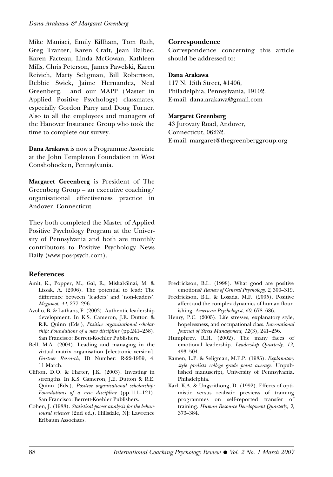Mike Maniaci, Emily Killham, Tom Rath, Greg Tranter, Karen Craft, Jean Dalbec, Karen Facteau, Linda McGowan, Kathleen Mills, Chris Peterson, James Pawelski, Karen Reivich, Marty Seligman, Bill Robertson, Debbie Swick, Jaime Hernandez, Neal Greenberg, and our MAPP (Master in Applied Positive Psychology) classmates, especially Gordon Parry and Doug Turner. Also to all the employees and managers of the Hanover Insurance Group who took the time to complete our survey.

**Dana Arakawa** is now a Programme Associate at the John Templeton Foundation in West Conshohocken, Pennsylvania.

**Margaret Greenberg** is President of The Greenberg Group – an executive coaching/ organisational effectiveness practice in Andover, Connecticut.

They both completed the Master of Applied Positive Psychology Program at the University of Pennsylvania and both are monthly contributors to Positive Psychology News Daily (www.pos-psych.com).

# **References**

- Amit, K., Popper, M., Gal, R., Miskal-Sinai, M. & Lissak, A. (2006). The potential to lead: The difference between 'leaders' and 'non-leaders'. *Megamot, 44*, 277–296.
- Avolio, B. & Luthans, F. (2003). Authentic leadership development. In K.S. Cameron, J.E. Dutton & R.E. Quinn (Eds.), *Positive organisational scholarship: Foundations of a new discipline* (pp.241–258). San Francisco: Berrett-Koehler Publishers.
- Bell, M.A. (2004). Leading and managing in the virtual matrix organisation [electronic version]. *Gartner Research*, ID Number: R-22-1959, 4. 11 March.
- Clifton, D.O. & Harter, J.K. (2003). Investing in strengths. In K.S. Cameron, J.E. Dutton & R.E. Quinn (Eds.), *Positive organisational scholarship: Foundations of a new discipline* (pp.111–121). San Francisco: Berrett-Koehler Publishers.
- Cohen, J. (1988). *Statistical power analysis for the behavioural sciences* (2nd ed.). Hillsdale, NJ: Lawrence Erlbaum Associates.

#### **Correspondence**

Correspondence concerning this article should be addressed to:

#### **Dana Arakawa**

117 N. 15th Street, #1406, Philadelphia, Pennsylvania, 19102. E-mail: dana.arakawa@gmail.com

#### **Margaret Greenberg**

43 Jurovaty Road, Andover, Connecticut, 06232. E-mail: margaret@thegreenberggroup.org

- Fredrickson, B.L. (1998). What good are positive emotions? *Review of General Psychology, 2*, 300–319.
- Fredrickson, B.L. & Losada, M.F. (2005). Positive affect and the complex dynamics of human flourishing. *American Psychologist, 60*, 678–686.
- Henry, P.C. (2005). Life stresses, explanatory style, hopelessness, and occupational class. *International Journal of Stress Management, 12*(3), 241–256.
- Humphrey, R.H. (2002). The many faces of emotional leadership. *Leadership Quarterly, 13*, 493–504.
- Kamen, L.P. & Seligman, M.E.P. (1985). *Explanatory style predicts college grade point average.* Unpublished manuscript, University of Pennsylvania, Philadelphia.
- Karl, K.A. & Ungsrithong, D. (1992). Effects of optimistic versus realistic previews of training programmes on self-reported transfer of training. *Human Resource Development Quarterly, 3*, 373–384.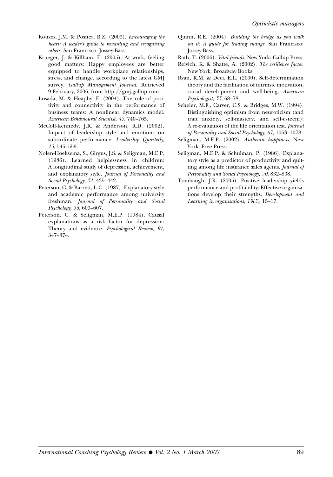- Kouzes, J.M. & Posner, B.Z. (2003). *Encouraging the heart: A leader's guide to rewarding and recognising others.* San Francisco: Jossey-Bass.
- Krueger, J. & Killham, E. (2005). At work, feeling good matters: Happy employees are better equipped to handle workplace relationships, stress, and change, according to the latest GMJ survey. *Gallup Management Journal.* Retrieved 9 February, 2006, from http://gmj.gallup.com
- Losada, M. & Heaphy, E. (2004). The role of positivity and connectivity in the performance of business teams: A nonlinear dynamics model. *American Behavioural Scientist, 47*, 740–765.
- McColl-Kennedy, J.R. & Anderson, R.D. (2002). Impact of leadership style and emotions on subordinate performance. *Leadership Quarterly, 13*, 545–559.
- Nolen-Hoeksema, S., Girgus, J.S. & Seligman, M.E.P. (1986). Learned helplessness in children: A longitudinal study of depression, achievement, and explanatory style. *Journal of Personality and Social Psychology, 51*, 435–442.
- Peterson, C. & Barrett, L.C. (1987). Explanatory style and academic performance among university freshman. *Journal of Personality and Social Psychology, 53*, 603–607.
- Peterson, C. & Seligman, M.E.P. (1984). Causal explanations as a risk factor for depression: Theory and evidence. *Psychological Review, 91*, 347–374.
- Quinn, R.E. (2004). *Building the bridge as you walk on it: A guide for leading change.* San Francisco: Jossey-Bass.
- Rath, T. (2006). *Vital friends.* New York: Gallup Press.
- Reivich, K. & Shatte, A. (2002). *The resilience factor.* New York: Broadway Books.
- Ryan, R.M. & Deci, E.L. (2000). Self-determination theory and the facilitation of intrinsic motivation, social development and well-being. *American Psychologist, 55*, 68–78.
- Scheier, M.F., Carver, C.S. & Bridges, M.W. (1994). Distinguishing optimism from neuroticism (and trait anxiety, self-mastery, and self-esteem): A re-evaluation of the life orientation test. *Journal of Personality and Social Psychology, 67*, 1063–1078.
- Seligman, M.E.P. (2002). *Authentic happiness.* New York: Free Press.
- Seligman, M.E.P. & Schulman, P. (1986). Explanatory style as a predictor of productivity and quitting among life insurance sales agents. *Journal of Personality and Social Psychology, 50*, 832–838.
- Tombaugh, J.R. (2005). Positive leadership yields performance and profitability: Effective organisations develop their strengths. *Development and Learning in organisations, 19(3)*, 15–17.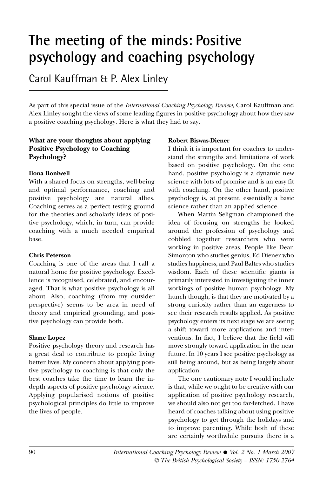# **The meeting of the minds: Positive psychology and coaching psychology**

# Carol Kauffman & P. Alex Linley

As part of this special issue of the *International Coaching Psychology Review*, Carol Kauffman and Alex Linley sought the views of some leading figures in positive psychology about how they saw a positive coaching psychology. Here is what they had to say.

# **What are your thoughts about applying Positive Psychology to Coaching Psychology?**

#### **Ilona Boniwell**

With a shared focus on strengths, well-being and optimal performance, coaching and positive psychology are natural allies. Coaching serves as a perfect testing ground for the theories and scholarly ideas of positive psychology, which, in turn, can provide coaching with a much needed empirical base.

#### **Chris Peterson**

Coaching is one of the areas that I call a natural home for positive psychology. Excellence is recognised, celebrated, and encouraged. That is what positive psychology is all about. Also, coaching (from my outsider perspective) seems to be area in need of theory and empirical grounding, and positive psychology can provide both.

#### **Shane Lopez**

Positive psychology theory and research has a great deal to contribute to people living better lives. My concern about applying positive psychology to coaching is that only the best coaches take the time to learn the indepth aspects of positive psychology science. Applying popularised notions of positive psychological principles do little to improve the lives of people.

#### **Robert Biswas-Diener**

I think it is important for coaches to understand the strengths and limitations of work based on positive psychology. On the one hand, positive psychology is a dynamic new science with lots of promise and is an easy fit with coaching. On the other hand, positive psychology is, at present, essentially a basic science rather than an applied science.

When Martin Seligman championed the idea of focusing on strengths he looked around the profession of psychology and cobbled together researchers who were working in positive areas. People like Dean Simonton who studies genius, Ed Diener who studies happiness, and Paul Baltes who studies wisdom. Each of these scientific giants is primarily interested in investigating the inner workings of positive human psychology. My hunch though, is that they are motivated by a strong curiosity rather than an eagerness to see their research results applied. As positive psychology enters its next stage we are seeing a shift toward more applications and interventions. In fact, I believe that the field will move strongly toward application in the near future. In 10 years I see positive psychology as still being around, but as being largely about application.

The one cautionary note I would include is that, while we ought to be creative with our application of positive psychology research, we should also not get too far-fetched. I have heard of coaches talking about using positive psychology to get through the holidays and to improve parenting. While both of these are certainly worthwhile pursuits there is a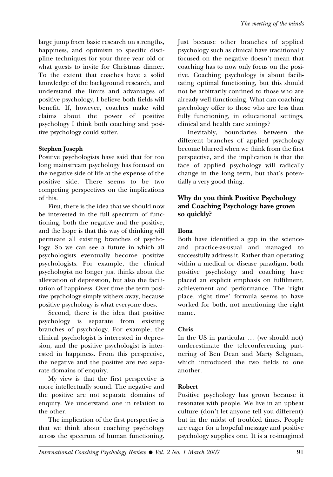large jump from basic research on strengths, happiness, and optimism to specific discipline techniques for your three year old or what guests to invite for Christmas dinner. To the extent that coaches have a solid knowledge of the background research, and understand the limits and advantages of positive psychology, I believe both fields will benefit. If, however, coaches make wild claims about the power of positive psychology I think both coaching and positive psychology could suffer.

# **Stephen Joseph**

Positive psychologists have said that for too long mainstream psychology has focused on the negative side of life at the expense of the positive side. There seems to be two competing perspectives on the implications of this.

First, there is the idea that we should now be interested in the full spectrum of functioning, both the negative and the positive, and the hope is that this way of thinking will permeate all existing branches of psychology. So we can see a future in which all psychologists eventually become positive psychologists. For example, the clinical psychologist no longer just thinks about the alleviation of depression, but also the facilitation of happiness. Over time the term positive psychology simply withers away, because positive psychology is what everyone does.

Second, there is the idea that positive psychology is separate from existing branches of psychology. For example, the clinical psychologist is interested in depression, and the positive psychologist is interested in happiness. From this perspective, the negative and the positive are two separate domains of enquiry.

My view is that the first perspective is more intellectually sound. The negative and the positive are not separate domains of enquiry. We understand one in relation to the other.

The implication of the first perspective is that we think about coaching psychology across the spectrum of human functioning. Just because other branches of applied psychology such as clinical have traditionally focused on the negative doesn't mean that coaching has to now only focus on the positive. Coaching psychology is about facilitating optimal functioning, but this should not be arbitrarily confined to those who are already well functioning. What can coaching psychology offer to those who are less than fully functioning, in educational settings, clinical and health care settings?

Inevitably, boundaries between the different branches of applied psychology become blurred when we think from the first perspective, and the implication is that the face of applied psychology will radically change in the long term, but that's potentially a very good thing.

#### **Why do you think Positive Psychology and Coaching Psychology have grown so quickly?**

#### **Ilona**

Both have identified a gap in the scienceand practice-as-usual and managed to successfully address it. Rather than operating within a medical or disease paradigm, both positive psychology and coaching have placed an explicit emphasis on fulfilment, achievement and performance. The 'right place, right time' formula seems to have worked for both, not mentioning the right name.

# **Chris**

In the US in particular … (we should not) underestimate the teleconferencing partnering of Ben Dean and Marty Seligman, which introduced the two fields to one another.

# **Robert**

Positive psychology has grown because it resonates with people. We live in an upbeat culture (don't let anyone tell you different) but in the midst of troubled times. People are eager for a hopeful message and positive psychology supplies one. It is a re-imagined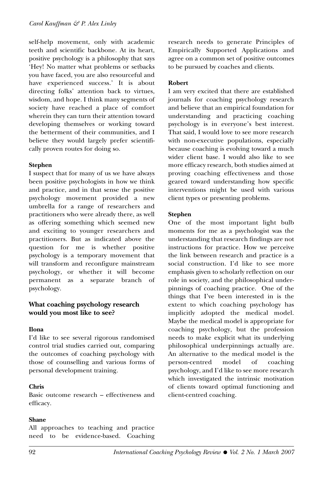self-help movement, only with academic teeth and scientific backbone. At its heart, positive psychology is a philosophy that says 'Hey! No matter what problems or setbacks you have faced, you are also resourceful and have experienced success.' It is about directing folks' attention back to virtues, wisdom, and hope. I think many segments of society have reached a place of comfort wherein they can turn their attention toward developing themselves or working toward the betterment of their communities, and I believe they would largely prefer scientifically proven routes for doing so.

#### **Stephen**

I suspect that for many of us we have always been positive psychologists in how we think and practice, and in that sense the positive psychology movement provided a new umbrella for a range of researchers and practitioners who were already there, as well as offering something which seemed new and exciting to younger researchers and practitioners. But as indicated above the question for me is whether positive psychology is a temporary movement that will transform and reconfigure mainstream psychology, or whether it will become permanent as a separate branch of psychology.

#### **What coaching psychology research would you most like to see?**

#### **Ilona**

I'd like to see several rigorous randomised control trial studies carried out, comparing the outcomes of coaching psychology with those of counselling and various forms of personal development training.

# **Chris**

Basic outcome research – effectiveness and efficacy.

# **Shane**

All approaches to teaching and practice need to be evidence-based. Coaching research needs to generate Principles of Empirically Supported Applications and agree on a common set of positive outcomes to be pursued by coaches and clients.

# **Robert**

I am very excited that there are established journals for coaching psychology research and believe that an empirical foundation for understanding and practicing coaching psychology is in everyone's best interest. That said, I would love to see more research with non-executive populations, especially because coaching is evolving toward a much wider client base. I would also like to see more efficacy research, both studies aimed at proving coaching effectiveness and those geared toward understanding how specific interventions might be used with various client types or presenting problems.

# **Stephen**

One of the most important light bulb moments for me as a psychologist was the understanding that research findings are not instructions for practice. How we perceive the link between research and practice is a social construction. I'd like to see more emphasis given to scholarly reflection on our role in society, and the philosophical underpinnings of coaching practice. One of the things that I've been interested in is the extent to which coaching psychology has implicitly adopted the medical model. Maybe the medical model is appropriate for coaching psychology, but the profession needs to make explicit what its underlying philosophical underpinnings actually are. An alternative to the medical model is the person-centred model of coaching psychology, and I'd like to see more research which investigated the intrinsic motivation of clients toward optimal functioning and client-centred coaching.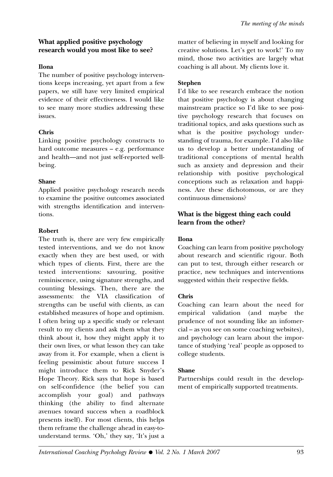# **What applied positive psychology research would you most like to see?**

# **Ilona**

The number of positive psychology interventions keeps increasing, yet apart from a few papers, we still have very limited empirical evidence of their effectiveness. I would like to see many more studies addressing these issues.

# **Chris**

Linking positive psychology constructs to hard outcome measures – e.g. performance and health—and not just self-reported wellbeing.

# **Shane**

Applied positive psychology research needs to examine the positive outcomes associated with strengths identification and interventions.

# **Robert**

The truth is, there are very few empirically tested interventions, and we do not know exactly when they are best used, or with which types of clients. First, there are the tested interventions: savouring, positive reminiscence, using signature strengths, and counting blessings. Then, there are the assessments: the VIA classification of strengths can be useful with clients, as can established measures of hope and optimism. I often bring up a specific study or relevant result to my clients and ask them what they think about it, how they might apply it to their own lives, or what lesson they can take away from it. For example, when a client is feeling pessimistic about future success I might introduce them to Rick Snyder's Hope Theory. Rick says that hope is based on self-confidence (the belief you can accomplish your goal) and pathways thinking (the ability to find alternate avenues toward success when a roadblock presents itself). For most clients, this helps them reframe the challenge ahead in easy-tounderstand terms. 'Oh,' they say, 'It's just a matter of believing in myself and looking for creative solutions. Let's get to work!' To my mind, those two activities are largely what coaching is all about. My clients love it.

# **Stephen**

I'd like to see research embrace the notion that positive psychology is about changing mainstream practice so I'd like to see positive psychology research that focuses on traditional topics, and asks questions such as what is the positive psychology understanding of trauma, for example. I'd also like us to develop a better understanding of traditional conceptions of mental health such as anxiety and depression and their relationship with positive psychological conceptions such as relaxation and happiness. Are these dichotomous, or are they continuous dimensions?

# **What is the biggest thing each could learn from the other?**

# **Ilona**

Coaching can learn from positive psychology about research and scientific rigour. Both can put to test, through either research or practice, new techniques and interventions suggested within their respective fields.

# **Chris**

Coaching can learn about the need for empirical validation (and maybe the prudence of not sounding like an infomercial – as you see on some coaching websites), and psychology can learn about the importance of studying 'real' people as opposed to college students.

# **Shane**

Partnerships could result in the development of empirically supported treatments.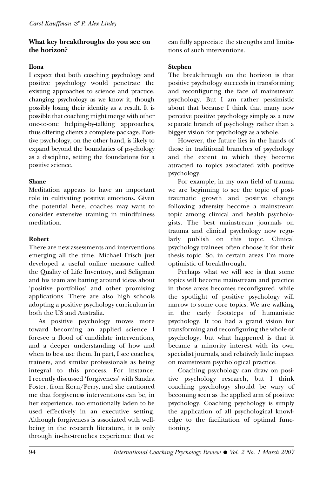# **What key breakthroughs do you see on the horizon?**

#### **Ilona**

I expect that both coaching psychology and positive psychology would penetrate the existing approaches to science and practice, changing psychology as we know it, though possibly losing their identity as a result. It is possible that coaching might merge with other one-to-one helping-by-talking approaches, thus offering clients a complete package. Positive psychology, on the other hand, is likely to expand beyond the boundaries of psychology as a discipline, setting the foundations for a positive science.

# **Shane**

Meditation appears to have an important role in cultivating positive emotions. Given the potential here, coaches may want to consider extensive training in mindfulness meditation.

# **Robert**

There are new assessments and interventions emerging all the time. Michael Frisch just developed a useful online measure called the Quality of Life Inventory, and Seligman and his team are batting around ideas about 'positive portfolios' and other promising applications. There are also high schools adopting a positive psychology curriculum in both the US and Australia.

As positive psychology moves more toward becoming an applied science I foresee a flood of candidate interventions, and a deeper understanding of how and when to best use them. In part, I see coaches, trainers, and similar professionals as being integral to this process. For instance, I recently discussed 'forgiveness' with Sandra Foster, from Korn/Ferry, and she cautioned me that forgiveness interventions can be, in her experience, too emotionally laden to be used effectively in an executive setting. Although forgiveness is associated with wellbeing in the research literature, it is only through in-the-trenches experience that we can fully appreciate the strengths and limitations of such interventions.

#### **Stephen**

The breakthrough on the horizon is that positive psychology succeeds in transforming and reconfiguring the face of mainstream psychology. But I am rather pessimistic about that because I think that many now perceive positive psychology simply as a new separate branch of psychology rather than a bigger vision for psychology as a whole.

However, the future lies in the hands of those in traditional branches of psychology and the extent to which they become attracted to topics associated with positive psychology.

For example, in my own field of trauma we are beginning to see the topic of posttraumatic growth and positive change following adversity become a mainstream topic among clinical and health psychologists. The best mainstream journals on trauma and clinical psychology now regularly publish on this topic. Clinical psychology trainees often choose it for their thesis topic. So, in certain areas I'm more optimistic of breakthrough.

Perhaps what we will see is that some topics will become mainstream and practice in those areas becomes reconfigured, while the spotlight of positive psychology will narrow to some core topics. We are walking in the early footsteps of humanistic psychology. It too had a grand vision for transforming and reconfiguring the whole of psychology, but what happened is that it became a minority interest with its own specialist journals, and relatively little impact on mainstream psychological practice.

Coaching psychology can draw on positive psychology research, but I think coaching psychology should be wary of becoming seen as the applied arm of positive psychology. Coaching psychology is simply the application of all psychological knowledge to the facilitation of optimal functioning.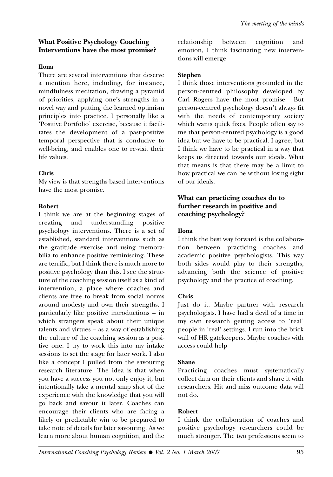# **What Positive Psychology Coaching Interventions have the most promise?**

# **Ilona**

There are several interventions that deserve a mention here, including, for instance, mindfulness meditation, drawing a pyramid of priorities, applying one's strengths in a novel way and putting the learned optimism principles into practice. I personally like a 'Positive Portfolio' exercise, because it facilitates the development of a past-positive temporal perspective that is conducive to well-being, and enables one to re-visit their life values.

# **Chris**

My view is that strengths-based interventions have the most promise.

# **Robert**

I think we are at the beginning stages of creating and understanding positive psychology interventions. There is a set of established, standard interventions such as the gratitude exercise and using memorabilia to enhance positive reminiscing. These are terrific, but I think there is much more to positive psychology than this. I see the structure of the coaching session itself as a kind of intervention, a place where coaches and clients are free to break from social norms around modesty and own their strengths. I particularly like positive introductions – in which strangers speak about their unique talents and virtues – as a way of establishing the culture of the coaching session as a positive one. I try to work this into my intake sessions to set the stage for later work. I also like a concept I pulled from the savouring research literature. The idea is that when you have a success you not only enjoy it, but intentionally take a mental snap shot of the experience with the knowledge that you will go back and savour it later. Coaches can encourage their clients who are facing a likely or predictable win to be prepared to take note of details for later savouring. As we learn more about human cognition, and the relationship between cognition and emotion, I think fascinating new interventions will emerge

# **Stephen**

I think those interventions grounded in the person-centred philosophy developed by Carl Rogers have the most promise. But person-centred psychology doesn't always fit with the needs of contemporary society which wants quick fixes. People often say to me that person-centred psychology is a good idea but we have to be practical. I agree, but I think we have to be practical in a way that keeps us directed towards our ideals. What that means is that there may be a limit to how practical we can be without losing sight of our ideals.

#### **What can practicing coaches do to further research in positive and coaching psychology?**

# **Ilona**

I think the best way forward is the collaboration between practicing coaches and academic positive psychologists. This way both sides would play to their strengths, advancing both the science of positive psychology and the practice of coaching.

# **Chris**

Just do it. Maybe partner with research psychologists. I have had a devil of a time in my own research getting access to 'real' people in 'real' settings. I run into the brick wall of HR gatekeepers. Maybe coaches with access could help

# **Shane**

Practicing coaches must systematically collect data on their clients and share it with researchers. Hit and miss outcome data will not do.

# **Robert**

I think the collaboration of coaches and positive psychology researchers could be much stronger. The two professions seem to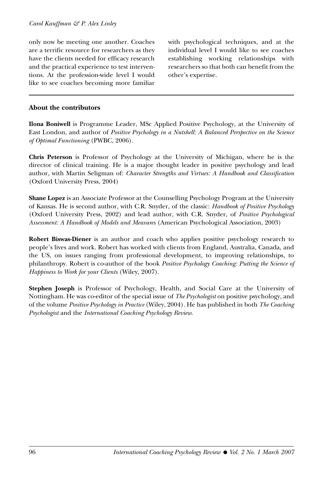only now be meeting one another. Coaches are a terrific resource for researchers as they have the clients needed for efficacy research and the practical experience to test interventions. At the profession-wide level I would like to see coaches becoming more familiar with psychological techniques, and at the individual level I would like to see coaches establishing working relationships with researchers so that both can benefit from the other's expertise.

#### **About the contributors**

**Ilona Boniwell** is Programme Leader, MSc Applied Positive Psychology, at the University of East London, and author of *Positive Psychology in a Nutshell: A Balanced Perspective on the Science of Optimal Functioning* (PWBC, 2006).

**Chris Peterson** is Professor of Psychology at the University of Michigan, where he is the director of clinical training. He is a major thought leader in positive psychology and lead author, with Martin Seligman of: *Character Strengths and Virtues: A Handbook and Classification* (Oxford University Press, 2004)

**Shane Lopez** is an Associate Professor at the Counselling Psychology Program at the University of Kansas. He is second author, with C.R. Snyder, of the classic: *Handbook of Positive Psychology* (Oxford University Press, 2002) and lead author, with C.R. Snyder, of *Positive Psychological Assessment: A Handbook of Models and Measures* (American Psychological Association, 2003)

**Robert Biswas-Diener** is an author and coach who applies positive psychology research to people's lives and work. Robert has worked with clients from England, Australia, Canada, and the US, on issues ranging from professional development, to improving relationships, to philanthropy. Robert is co-author of the book *Positive Psychology Coaching: Putting the Science of Happiness to Work for your Clients* (Wiley, 2007).

**Stephen Joseph** is Professor of Psychology, Health, and Social Care at the University of Nottingham. He was co-editor of the special issue of *The Psychologist* on positive psychology, and of the volume *Positive Psychology in Practice* (Wiley, 2004). He has published in both *The Coaching Psychologist* and the *International Coaching Psychology Review*.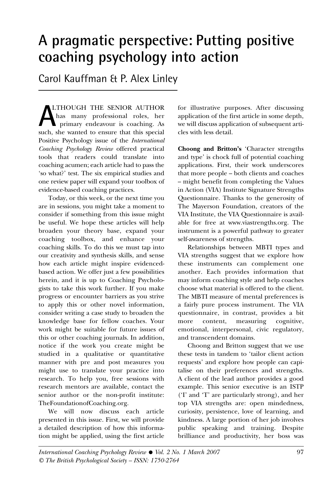# **A pragmatic perspective: Putting positive coaching psychology into action**

Carol Kauffman & P. Alex Linley

LTHOUGH THE SENIOR AUTHOR has many professional roles, her primary endeavour is coaching. As **ALTHOUGH THE SENIOR AUTHOR**<br>has many professional roles, her<br>primary endeavour is coaching. As<br>such, she wanted to ensure that this special Positive Psychology issue of the *International Coaching Psychology Review* offered practical tools that readers could translate into coaching acumen; each article had to pass the 'so what?' test. The six empirical studies and one review paper will expand your toolbox of evidence-based coaching practices.

Today, or this week, or the next time you are in sessions, you might take a moment to consider if something from this issue might be useful. We hope these articles will help broaden your theory base, expand your coaching toolbox, and enhance your coaching skills. To do this we must tap into our creativity and synthesis skills, and sense how each article might inspire evidencedbased action. We offer just a few possibilities herein, and it is up to Coaching Psychologists to take this work further. If you make progress or encounter barriers as you strive to apply this or other novel information, consider writing a case study to broaden the knowledge base for fellow coaches. Your work might be suitable for future issues of this or other coaching journals. In addition, notice if the work you create might be studied in a qualitative or quantitative manner with pre and post measures you might use to translate your practice into research. To help you, free sessions with research mentors are available, contact the senior author or the non-profit institute: TheFoundationofCoaching.org.

We will now discuss each article presented in this issue. First, we will provide a detailed description of how this information might be applied, using the first article for illustrative purposes. After discussing application of the first article in some depth, we will discuss application of subsequent articles with less detail.

**Choong and Britton's** 'Character strengths and type' is chock full of potential coaching applications. First, their work underscores that more people -- both clients and coaches -- might benefit from completing the Values in Action (VIA) Institute Signature Strengths Questionnaire. Thanks to the generosity of The Mayerson Foundation, creators of the VIA Institute, the VIA Questionnaire is available for free at www.viastrengths.org. The instrument is a powerful pathway to greater self-awareness of strengths.

Relationships between MBTI types and VIA strengths suggest that we explore how these instruments can complement one another. Each provides information that may inform coaching style and help coaches choose what material is offered to the client. The MBTI measure of mental preferences is a fairly pure process instrument. The VIA questionnaire, in contrast, provides a bit more content, measuring cognitive, emotional, interpersonal, civic regulatory, and transcendent domains.

Choong and Britton suggest that we use these tests in tandem to 'tailor client action requests' and explore how people can capitalise on their preferences and strengths. A client of the lead author provides a good example. This senior executive is an ISTP ('I' and 'T' are particularly strong), and her top VIA strengths are: open mindedness, curiosity, persistence, love of learning, and kindness. A large portion of her job involves public speaking and training. Despite brilliance and productivity, her boss was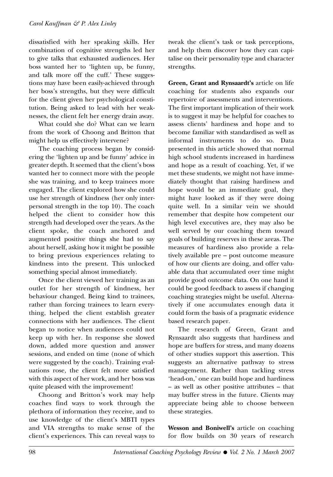dissatisfied with her speaking skills. Her combination of cognitive strengths led her to give talks that exhausted audiences. Her boss wanted her to 'lighten up, be funny, and talk more off the cuff.' These suggestions may have been easily-achieved through her boss's strengths, but they were difficult for the client given her psychological constitution. Being asked to lead with her weaknesses, the client felt her energy drain away.

What could she do? What can we learn from the work of Choong and Britton that might help us effectively intervene?

The coaching process began by considering the 'lighten up and be funny' advice in greater depth. It seemed that the client's boss wanted her to connect more with the people she was training, and to keep trainees more engaged. The client explored how she could use her strength of kindness (her only interpersonal strength in the top 10). The coach helped the client to consider how this strength had developed over the years. As the client spoke, the coach anchored and augmented positive things she had to say about herself, asking how it might be possible to bring previous experiences relating to kindness into the present. This unlocked something special almost immediately.

Once the client viewed her training as an outlet for her strength of kindness, her behaviour changed. Being kind to trainees, rather than forcing trainees to learn everything, helped the client establish greater connections with her audiences. The client began to notice when audiences could not keep up with her. In response she slowed down, added more question and answer sessions, and ended on time (none of which were suggested by the coach). Training evaluations rose, the client felt more satisfied with this aspect of her work, and her boss was quite pleased with the improvement!

Choong and Britton's work may help coaches find ways to work through the plethora of information they receive, and to use knowledge of the client's MBTI types and VIA strengths to make sense of the client's experiences. This can reveal ways to tweak the client's task or task perceptions, and help them discover how they can capitalise on their personality type and character strengths.

**Green, Grant and Rynsaardt's** article on life coaching for students also expands our repertoire of assessments and interventions. The first important implication of their work is to suggest it may be helpful for coaches to assess clients' hardiness and hope and to become familiar with standardised as well as informal instruments to do so. Data presented in this article showed that normal high school students increased in hardiness and hope as a result of coaching. Yet, if we met these students, we might not have immediately thought that raising hardiness and hope would be an immediate goal, they might have looked as if they were doing quite well. In a similar vein we should remember that despite how competent our high level executives are, they may also be well served by our coaching them toward goals of building reserves in these areas. The measures of hardiness also provide a relatively available pre – post outcome measure of how our clients are doing, and offer valuable data that accumulated over time might provide good outcome data. On one hand it could be good feedback to assess if changing coaching strategies might be useful. Alternatively if one accumulates enough data it could form the basis of a pragmatic evidence based research paper.

The research of Green, Grant and Rynsaardt also suggests that hardiness and hope are buffers for stress, and many dozens of other studies support this assertion. This suggests an alternative pathway to stress management. Rather than tackling stress 'head-on,' one can build hope and hardiness – as well as other positive attributes – that may buffer stress in the future. Clients may appreciate being able to choose between these strategies.

**Wesson and Boniwell's** article on coaching for flow builds on 30 years of research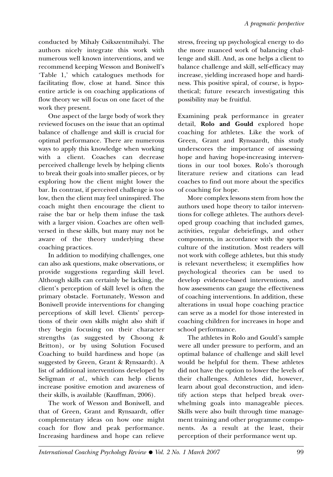conducted by Mihaly Csikszentmihalyi. The authors nicely integrate this work with numerous well known interventions, and we recommend keeping Wesson and Boniwell's 'Table 1,' which catalogues methods for facilitating flow, close at hand. Since this entire article is on coaching applications of flow theory we will focus on one facet of the work they present.

One aspect of the large body of work they reviewed focuses on the issue that an optimal balance of challenge and skill is crucial for optimal performance. There are numerous ways to apply this knowledge when working with a client. Coaches can decrease perceived challenge levels by helping clients to break their goals into smaller pieces, or by exploring how the client might lower the bar. In contrast, if perceived challenge is too low, then the client may feel uninspired. The coach might then encourage the client to raise the bar or help them infuse the task with a larger vision. Coaches are often wellversed in these skills, but many may not be aware of the theory underlying these coaching practices.

In addition to modifying challenges, one can also ask questions, make observations, or provide suggestions regarding skill level. Although skills can certainly be lacking, the client's perception of skill level is often the primary obstacle. Fortunately, Wesson and Boniwell provide interventions for changing perceptions of skill level. Clients' perceptions of their own skills might also shift if they begin focusing on their character strengths (as suggested by Choong & Britton), or by using Solution Focused Coaching to build hardiness and hope (as suggested by Green, Grant & Rynsaardt). A list of additional interventions developed by Seligman *et al.*, which can help clients increase positive emotion and awareness of their skills, is available (Kauffman, 2006).

The work of Wesson and Boniwell, and that of Green, Grant and Rynsaardt, offer complementary ideas on how one might coach for flow and peak performance. Increasing hardiness and hope can relieve stress, freeing up psychological energy to do the more nuanced work of balancing challenge and skill. And, as one helps a client to balance challenge and skill, self-efficacy may increase, yielding increased hope and hardiness. This positive spiral, of course, is hypothetical; future research investigating this possibility may be fruitful.

Examining peak performance in greater detail, **Rolo and Gould** explored hope coaching for athletes. Like the work of Green, Grant and Rynsaardt, this study underscores the importance of assessing hope and having hope-increasing interventions in our tool boxes. Rolo's thorough literature review and citations can lead coaches to find out more about the specifics of coaching for hope.

More complex lessons stem from how the authors used hope theory to tailor interventions for college athletes. The authors developed group coaching that included games, activities, regular debriefings, and other components, in accordance with the sports culture of the institution. Most readers will not work with college athletes, but this study is relevant nevertheless; it exemplifies how psychological theories can be used to develop evidence-based interventions, and how assessments can gauge the effectiveness of coaching interventions. In addition, these alterations in usual hope coaching practice can serve as a model for those interested in coaching children for increases in hope and school performance.

The athletes in Rolo and Gould's sample were all under pressure to perform, and an optimal balance of challenge and skill level would be helpful for them. These athletes did not have the option to lower the levels of their challenges. Athletes did, however, learn about goal deconstruction, and identify action steps that helped break overwhelming goals into manageable pieces. Skills were also built through time management training and other programme components. As a result at the least, their perception of their performance went up.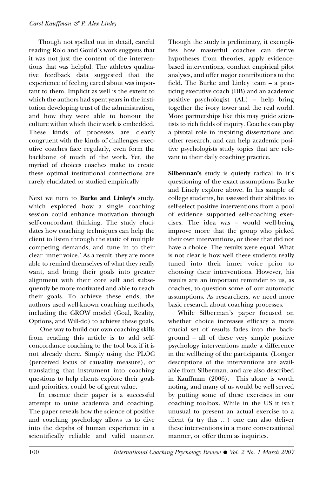Though not spelled out in detail, careful reading Rolo and Gould's work suggests that it was not just the content of the interventions that was helpful. The athletes qualitative feedback data suggested that the experience of feeling cared about was important to them. Implicit as well is the extent to which the authors had spent years in the institution developing trust of the administration, and how they were able to honour the culture within which their work is embedded. These kinds of processes are clearly congruent with the kinds of challenges executive coaches face regularly, even form the backbone of much of the work. Yet, the myriad of choices coaches make to create these optimal institutional connections are rarely elucidated or studied empirically

Next we turn to **Burke and Linley's** study, which explored how a single coaching session could enhance motivation through self-concordant thinking. The study elucidates how coaching techniques can help the client to listen through the static of multiple competing demands, and tune in to their clear 'inner voice.' As a result, they are more able to remind themselves of what they really want, and bring their goals into greater alignment with their core self and subsequently be more motivated and able to reach their goals. To achieve these ends, the authors used well-known coaching methods, including the GROW model (Goal, Reality, Options, and Will-do) to achieve these goals.

One way to build our own coaching skills from reading this article is to add selfconcordance coaching to the tool box if it is not already there. Simply using the PLOC (perceived locus of causality measure), or translating that instrument into coaching questions to help clients explore their goals and priorities, could be of great value.

In essence their paper is a successful attempt to unite academia and coaching. The paper reveals how the science of positive and coaching psychology allows us to dive into the depths of human experience in a scientifically reliable and valid manner. Though the study is preliminary, it exemplifies how masterful coaches can derive hypotheses from theories, apply evidencebased interventions, conduct empirical pilot analyses, and offer major contributions to the field. The Burke and Linley team  $-$  a practicing executive coach (DB) and an academic positive psychologist  $(AL)$  – help bring together the ivory tower and the real world. More partnerships like this may guide scientists to rich fields of inquiry. Coaches can play a pivotal role in inspiring dissertations and other research, and can help academic positive psychologists study topics that are relevant to their daily coaching practice.

**Silberman's** study is quietly radical in it's questioning of the exact assumptions Burke and Linely explore above. In his sample of college students, he assessed their abilities to self-select positive interventions from a pool of evidence supported self-coaching exercises. The idea was – would well-being improve more that the group who picked their own interventions, or those that did not have a choice. The results were equal. What is not clear is how well these students really tuned into their inner voice prior to choosing their interventions. However, his results are an important reminder to us, as coaches, to question some of our automatic assumptions. As researchers, we need more basic research about coaching processes.

While Silberman's paper focused on whether choice increases efficacy a more crucial set of results fades into the background -- all of these very simple positive psychology interventions made a difference in the wellbeing of the participants. (Longer descriptions of the interventions are available from Silberman, and are also described in Kauffman (2006). This alone is worth noting, and many of us would be well served by putting some of these exercises in our coaching toolbox. While in the US it isn't unusual to present an actual exercise to a client (a try this …) one can also deliver these interventions in a more conversational manner, or offer them as inquiries.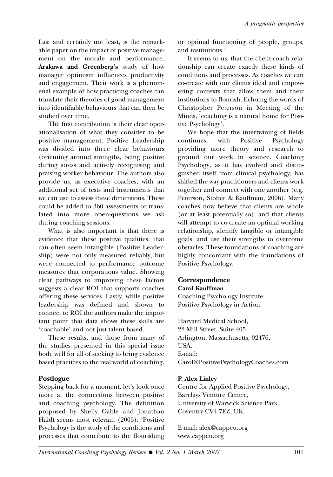Last and certainly not least, is the remarkable paper on the impact of positive management on the morale and performance. **Arakawa and Greenberg's** study of how manager optimism influences productivity and engagement. Their work is a phenomenal example of how practicing coaches can translate their theories of good management into identifiable behaviours that can then be studied over time.

The first contribution is their clear operationalisation of what they consider to be positive management: Positive Leadership was divided into three clear behaviours (orienting around strengths, being positive during stress and actively recognising and praising worker behaviour. The authors also provide us, as executive coaches, with an additional set of tests and instruments that we can use to assess these dimensions. These could be added to 360 assessments or translated into more open-questions we ask during coaching sessions.

What is also important is that there is evidence that these positive qualities, that can often seem intangible (Positive Leadership) were not only measured reliably, but were connected to performance outcome measures that corporations value. Showing clear pathways to improving these factors suggests a clear ROI that supports coaches offering these services. Lastly, while positive leadership was defined and shown to connect to ROI the authors make the important point that data shows these skills are 'coachable' and not just talent based.

These results, and those from many of the studies presented in this special issue bode well for all of seeking to bring evidence based practices to the real world of coaching.

# **Postlogue**

Stepping back for a moment, let's look once more at the connections between positive and coaching psychology. The definition proposed by Shelly Gable and Jonathan Haidt seems most relevant (2005). 'Positive Psychology is the study of the conditions and processes that contribute to the flourishing or optimal functioning of people, groups, and institutions.'

It seems to us, that the client-coach relationship can create exactly these kinds of conditions and processes. As coaches we can co-create with our clients ideal and empowering contexts that allow them and their institutions to flourish. Echoing the words of Christopher Peterson in Meeting of the Minds, 'coaching is a natural home for Positive Psychology'.

We hope that the intertwining of fields continues, with Positive Psychology providing more theory and research to ground our work in science. Coaching Psychology, as it has evolved and distinguished itself from clinical psychology, has shifted the way practitioners and clients work together and connect with one another (e.g. Peterson, Stober & Kauffman, 2006). Many coaches now believe that clients are whole (or at least potentially so); and that clients will attempt to co-create an optimal working relationship, identify tangible or intangible goals, and use their strengths to overcome obstacles. These foundations of coaching are highly concordant with the foundations of Positive Psychology.

#### **Correspondence Carol Kauffman**

Coaching Psychology Institute: Positive Psychology in Action.

Harvard Medical School, 22 Mill Street, Suite 405, Arlington, Massachusetts, 02476, USA. E-mail: Carol@PositivePsychologyCoaches.com

# **P. Alex Linley**

Centre for Applied Positive Psychology, Barclays Venture Centre, University of Warwick Science Park, Coventry CV4 7EZ, UK.

E-mail: alex@cappeu.org www.cappeu.org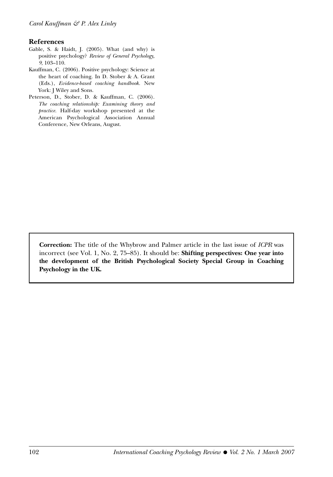#### **References**

- Gable, S. & Haidt, J. (2005). What (and why) is positive psychology? *Review of General Psychology, 9*, 103–110.
- Kauffman, C. (2006). Positive psychology: Science at the heart of coaching. In D. Stober & A. Grant (Eds.), *Evidence-based coaching handbook.* New York: J Wiley and Sons.
- Peterson, D., Stober, D. & Kauffman, C. (2006). *The coaching relationship: Examining theory and practice.* Half-day workshop presented at the American Psychological Association Annual Conference, New Orleans, August.

**Correction:** The title of the Whybrow and Palmer article in the last issue of *ICPR* was incorrect (see Vol. 1, No. 2, 75–85). It should be: **Shifting perspectives: One year into the development of the British Psychological Society Special Group in Coaching Psychology in the UK.**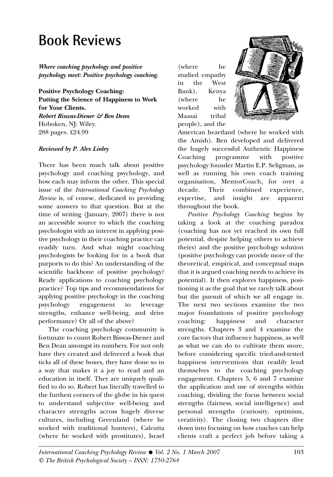# **Book Reviews**

**Where coaching psychology and positive psychology meet: Positive psychology coaching.**

**Positive Psychology Coaching: Putting the Science of Happiness to Work for Your Clients. Robert Biswas-Diener & Ben Dean** Hoboken, NJ: Wiley. 288 pages. £24.99

#### **Reviewed by P. Alex Linley**

There has been much talk about positive psychology and coaching psychology, and how each may inform the other. This special issue of the *International Coaching Psychology Review* is, of course, dedicated to providing some answers to that question. But at the time of writing (January, 2007) there is not an accessible source to which the coaching psychologist with an interest in applying positive psychology in their coaching practice can readily turn. And what might coaching psychologists be looking for in a book that purports to do this? An understanding of the scientific backbone of positive psychology? Ready applications to coaching psychology practice? Top tips and recommendations for applying positive psychology in the coaching psychology engagement to leverage strengths, enhance well-being, and drive performance? Or all of the above?

The coaching psychology community is fortunate to count Robert Biswas-Diener and Ben Dean amongst its numbers. For not only have they created and delivered a book that ticks all of these boxes, they have done so in a way that makes it a joy to read and an education in itself. They are uniquely qualified to do so. Robert has literally travelled to the furthest corners of the globe in his quest to understand subjective well-being and character strengths across hugely diverse cultures, including Greenland (where he worked with traditional hunters), Calcutta (where he worked with prostitutes), Israel

(where he studied empathy in the West Bank), Kenya<br>
(where he  $(where$ worked with Maasai tribal people), and the



American heartland (where he worked with the Amish). Ben developed and delivered the hugely successful Authentic Happiness Coaching programme with positive psychology founder Martin E.P. Seligman, as well as running his own coach training organisation, MentorCoach, for over a decade. Their combined experience, expertise, and insight are apparent throughout the book.

*Positive Psychology Coaching* begins by taking a look at the coaching paradox (coaching has not yet reached its own full potential, despite helping others to achieve theirs) and the positive psychology solution (positive psychology can provide more of the theoretical, empirical, and conceptual maps that it is argued coaching needs to achieve its potential). It then explores happiness, positioning it as the goal that we rarely talk about but the pursuit of which we all engage in. The next two sections examine the two major foundations of positive psychology coaching: happiness and character strengths. Chapters 3 and 4 examine the core factors that influence happiness, as well as what we can do to cultivate them more, before considering specific tried-and-tested happiness interventions that readily lend themselves to the coaching psychology engagement. Chapters 5, 6 and 7 examine the application and use of strengths within coaching, dividing the focus between social strengths (fairness, social intelligence) and personal strengths (curiosity, optimism, creativity). The closing two chapters dive down into focusing on how coaches can help clients craft a perfect job before taking a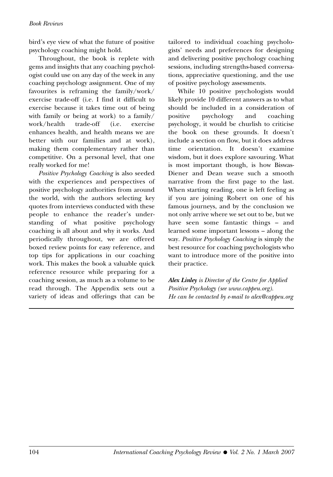bird's eye view of what the future of positive psychology coaching might hold.

Throughout, the book is replete with gems and insights that any coaching psychologist could use on any day of the week in any coaching psychology assignment. One of my favourites is reframing the family/work/ exercise trade-off (i.e. I find it difficult to exercise because it takes time out of being with family or being at work) to a family/ work/health trade-off (i.e. exercise enhances health, and health means we are better with our families and at work), making them complementary rather than competitive. On a personal level, that one really worked for me!

*Positive Psychology Coaching* is also seeded with the experiences and perspectives of positive psychology authorities from around the world, with the authors selecting key quotes from interviews conducted with these people to enhance the reader's understanding of what positive psychology coaching is all about and why it works. And periodically throughout, we are offered boxed review points for easy reference, and top tips for applications in our coaching work. This makes the book a valuable quick reference resource while preparing for a coaching session, as much as a volume to be read through. The Appendix sets out a variety of ideas and offerings that can be tailored to individual coaching psychologists' needs and preferences for designing and delivering positive psychology coaching sessions, including strengths-based conversations, appreciative questioning, and the use of positive psychology assessments.

While 10 positive psychologists would likely provide 10 different answers as to what should be included in a consideration of positive psychology and coaching psychology, it would be churlish to criticise the book on these grounds. It doesn't include a section on flow, but it does address time orientation. It doesn't examine wisdom, but it does explore savouring. What is most important though, is how Biswas-Diener and Dean weave such a smooth narrative from the first page to the last. When starting reading, one is left feeling as if you are joining Robert on one of his famous journeys, and by the conclusion we not only arrive where we set out to be, but we have seen some fantastic things – and learned some important lessons – along the way. *Positive Psychology Coaching* is simply the best resource for coaching psychologists who want to introduce more of the positive into their practice.

**Alex Linley** *is Director of the Centre for Applied Positive Psychology (see www.cappeu.org). He can be contacted by e-mail to alex@cappeu.org*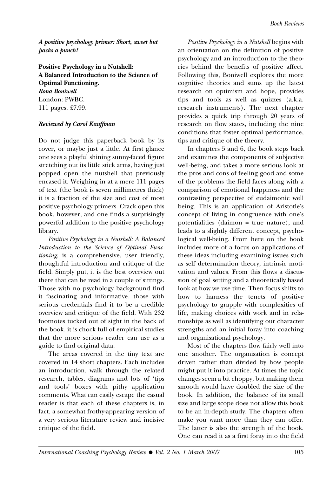**A positive psychology primer: Short, sweet but packs a punch!**

**Positive Psychology in a Nutshell: A Balanced Introduction to the Science of Optimal Functioning. Ilona Boniwell** London: PWBC. 111 pages. £7.99.

# **Reviewed by Carol Kauffman**

Do not judge this paperback book by its cover, or maybe just a little. At first glance one sees a playful shining sunny-faced figure stretching out its little stick arms, having just popped open the nutshell that previously encased it. Weighing in at a mere 111 pages of text (the book is seven millimetres thick) it is a fraction of the size and cost of most positive psychology primers. Crack open this book, however, and one finds a surprisingly powerful addition to the positive psychology library.

*Positive Psychology in a Nutshell: A Balanced Introduction to the Science of Optimal Functioning*, is a comprehensive, user friendly, thoughtful introduction and critique of the field. Simply put, it is the best overview out there that can be read in a couple of sittings. Those with no psychology background find it fascinating and informative, those with serious credentials find it to be a credible overview and critique of the field. With 232 footnotes tucked out of sight in the back of the book, it is chock full of empirical studies that the more serious reader can use as a guide to find original data.

The areas covered in the tiny text are covered in 14 short chapters. Each includes an introduction, walk through the related research, tables, diagrams and lots of 'tips and tools' boxes with pithy application comments. What can easily escape the casual reader is that each of these chapters is, in fact, a somewhat frothy-appearing version of a very serious literature review and incisive critique of the field.

*Positive Psychology in a Nutshell* begins with an orientation on the definition of positive psychology and an introduction to the theories behind the benefits of positive affect. Following this, Boniwell explores the more cognitive theories and sums up the latest research on optimism and hope, provides tips and tools as well as quizzes (a.k.a. research instruments). The next chapter provides a quick trip through 20 years of research on flow states, including the nine conditions that foster optimal performance, tips and critique of the theory.

In chapters 5 and 6, the book steps back and examines the components of subjective well-being, and takes a more serious look at the pros and cons of feeling good and some of the problems the field faces along with a comparison of emotional happiness and the contrasting perspective of eudaimonic well being. This is an application of Aristotle's concept of living in congruence with one's potentialities (daimon = true nature), and leads to a slightly different concept, psychological well-being. From here on the book includes more of a focus on applications of these ideas including examining issues such as self determination theory, intrinsic motivation and values. From this flows a discussion of goal setting and a theoretically based look at how we use time. Then focus shifts to how to harness the tenets of positive psychology to grapple with complexities of life, making choices with work and in relationships as well as identifying our character strengths and an initial foray into coaching and organisational psychology.

Most of the chapters flow fairly well into one another. The organisation is concept driven rather than divided by how people might put it into practice. At times the topic changes seem a bit choppy, but making them smooth would have doubled the size of the book. In addition, the balance of its small size and large scope does not allow this book to be an in-depth study. The chapters often make you want more than they can offer. The latter is also the strength of the book. One can read it as a first foray into the field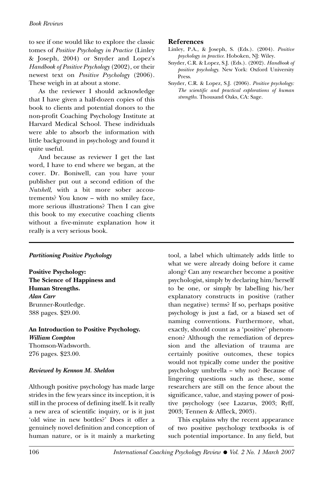to see if one would like to explore the classic tomes of *Positive Psychology in Practice* (Linley & Joseph, 2004) or Snyder and Lopez's *Handbook of Positive Psychology* (2002), or their newest text on *Positive Psychology* (2006). These weigh in at about a stone.

As the reviewer I should acknowledge that I have given a half-dozen copies of this book to clients and potential donors to the non-profit Coaching Psychology Institute at Harvard Medical School. These individuals were able to absorb the information with little background in psychology and found it quite useful.

And because as reviewer I get the last word, I have to end where we began, at the cover. Dr. Boniwell, can you have your publisher put out a second edition of the *Nutshell*, with a bit more sober accoutrements? You know – with no smiley face, more serious illustrations? Then I can give this book to my executive coaching clients without a five-minute explanation how it really is a very serious book.

#### **Partitioning Positive Psychology**

**Positive Psychology: The Science of Happiness and Human Strengths. Alan Carr** Brunner-Routledge. 388 pages. \$29.00.

**An Introduction to Positive Psychology. William Compton** Thomson-Wadsworth. 276 pages. \$23.00.

#### **Reviewed by Kennon M. Sheldon**

Although positive psychology has made large strides in the few years since its inception, it is still in the process of defining itself. Is it really a new area of scientific inquiry, or is it just 'old wine in new bottles?' Does it offer a genuinely novel definition and conception of human nature, or is it mainly a marketing

#### **References**

- Linley, P.A., & Joseph, S. (Eds.). (2004). *Positive psychology in practice.* Hoboken, NJ: Wiley.
- Snyder, C.R. & Lopez, S.J. (Eds.). (2002). *Handbook of positive psychology.* New York: Oxford University Press.
- Snyder, C.R. & Lopez, S.J. (2006). *Positive psychology: The scientific and practical explorations of human strengths.* Thousand Oaks, CA: Sage.

tool, a label which ultimately adds little to what we were already doing before it came along? Can any researcher become a positive psychologist, simply by declaring him/herself to be one, or simply by labelling his/her explanatory constructs in positive (rather than negative) terms? If so, perhaps positive psychology is just a fad, or a biased set of naming conventions. Furthermore, what, exactly, should count as a 'positive' phenomenon? Although the remediation of depression and the alleviation of trauma are certainly positive outcomes, these topics would not typically come under the positive psychology umbrella -- why not? Because of lingering questions such as these, some researchers are still on the fence about the significance, value, and staying power of positive psychology (see Lazarus, 2003; Ryff, 2003; Tennen & Affleck, 2003).

This explains why the recent appearance of two positive psychology textbooks is of such potential importance. In any field, but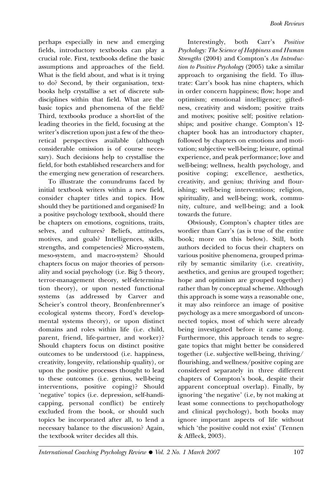perhaps especially in new and emerging fields, introductory textbooks can play a crucial role. First, textbooks define the basic assumptions and approaches of the field. What is the field about, and what is it trying to do? Second, by their organisation, textbooks help crystallise a set of discrete subdisciplines within that field. What are the basic topics and phenomena of the field? Third, textbooks produce a short-list of the leading theories in the field, focusing at the writer's discretion upon just a few of the theoretical perspectives available (although considerable omission is of course necessary). Such decisions help to crystallise the field, for both established researchers and for the emerging new generation of researchers.

To illustrate the conundrums faced by initial textbook writers within a new field, consider chapter titles and topics. How should they be partitioned and organised? In a positive psychology textbook, should there be chapters on emotions, cognitions, traits, selves, and cultures? Beliefs, attitudes, motives, and goals? Intelligences, skills, strengths, and competencies? Micro-system, meso-system, and macro-system? Should chapters focus on major theories of personality and social psychology (i.e. Big 5 theory, terror-management theory, self-determination theory), or upon nested functional systems (as addressed by Carver and Scheier's control theory, Bronfenbrenner's ecological systems theory, Ford's developmental systems theory), or upon distinct domains and roles within life (i.e. child, parent, friend, life-partner, and worker)? Should chapters focus on distinct positive outcomes to be understood (i.e. happiness, creativity, longevity, relationship quality), or upon the positive processes thought to lead to these outcomes (i.e. genius, well-being interventions, positive coping)? Should 'negative' topics (i.e. depression, self-handicapping, personal conflict) be entirely excluded from the book, or should such topics be incorporated after all, to lend a necessary balance to the discussion? Again, the textbook writer decides all this.

Interestingly, both Carr's *Positive Psychology: The Science of Happiness and Human Strengths* (2004) and Compton's *An Introduction to Positive Psychology* (2005) take a similar approach to organising the field. To illustrate: Carr's book has nine chapters, which in order concern happiness; flow; hope and optimism; emotional intelligence; giftedness, creativity and wisdom; positive traits and motives; positive self; positive relationships; and positive change. Compton's 12 chapter book has an introductory chapter, followed by chapters on emotions and motivation; subjective well-being; leisure, optimal experience, and peak performance; love and well-being; wellness, health psychology, and positive coping; excellence, aesthetics, creativity, and genius; thriving and flourishing; well-being interventions; religion, spirituality, and well-being; work, community, culture, and well-being; and a look towards the future.

Obviously, Compton's chapter titles are wordier than Carr's (as is true of the entire book; more on this below). Still, both authors decided to focus their chapters on various positive phenomena, grouped primarily by semantic similarity (i.e. creativity, aesthetics, and genius are grouped together; hope and optimism are grouped together) rather than by conceptual scheme. Although this approach is some ways a reasonable one, it may also reinforce an image of positive psychology as a mere smorgasbord of unconnected topics, most of which were already being investigated before it came along. Furthermore, this approach tends to segregate topics that might better be considered together (i.e. subjective well-being, thriving/ flourishing, and wellness/positive coping are considered separately in three different chapters of Compton's book, despite their apparent conceptual overlap). Finally, by ignoring 'the negative' (i.e, by not making at least some connections to psychopathology and clinical psychology), both books may ignore important aspects of life without which 'the positive could not exist' (Tennen & Affleck, 2003).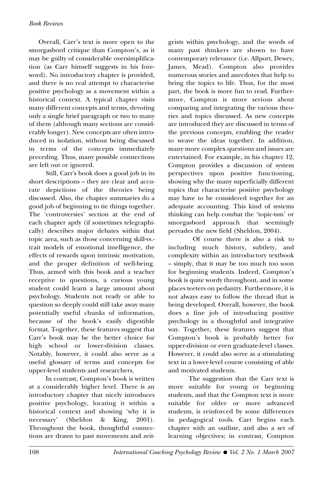Overall, Carr's text is more open to the smorgasbord critique than Compton's, as it may be guilty of considerable oversimplification (as Carr himself suggests in his foreword). No introductory chapter is provided, and there is no real attempt to characterise positive psychology as a movement within a historical context. A typical chapter visits many different concepts and terms, devoting only a single brief paragraph or two to many of them (although many sections are considerably longer). New concepts are often introduced in isolation, without being discussed in terms of the concepts immediately preceding. Thus, many possible connections are left out or ignored.

Still, Carr's book does a good job in its short descriptions -- they are clear and accurate depictions of the theories being discussed. Also, the chapter summaries do a good job of beginning to tie things together. The 'controversies' section at the end of each chapter aptly (if sometimes telegraphically) describes major debates within that topic area, such as those concerning skill-vs. trait models of emotional intelligence, the effects of rewards upon intrinsic motivation, and the proper definition of well-being. Thus, armed with this book and a teacher receptive to questions, a curious young student could learn a large amount about psychology. Students not ready or able to question so deeply could still take away many potentially useful chunks of information, because of the book's easily digestible format. Together, these features suggest that Carr's book may be the better choice for high school or lower-division classes. Notably, however, it could also serve as a useful glossary of terms and concepts for upper-level students and researchers.

In contrast, Compton's book is written at a considerably higher level. There is an introductory chapter that nicely introduces positive psychology, locating it within a historical context and showing 'why it is necessary' (Sheldon & King, 2001). Throughout the book, thoughtful connections are drawn to past movements and zeitgeists within psychology, and the words of many past thinkers are shown to have contemporary relevance (i.e. Allport, Dewey, James, Mead). Compton also provides numerous stories and anecdotes that help to bring the topics to life. Thus, for the most part, the book is more fun to read. Furthermore, Compton is more serious about comparing and integrating the various theories and topics discussed. As new concepts are introduced they are discussed in terms of the previous concepts, enabling the reader to weave the ideas together. In addition, many more complex questions and issues are entertained. For example, in his chapter 12, Compton provides a discussion of system perspectives upon positive functioning, showing why the many superficially different topics that characterise positive psychology may have to be considered together for an adequate accounting. This kind of systems thinking can help combat the 'topic-ism' or smorgasbord approach that seemingly pervades the new field (Sheldon, 2004).

Of course there is also a risk to including much history, subtlety, and complexity within an introductory textbook – simply, that it may be too much too soon for beginning students. Indeed, Compton's book is quite wordy throughout, and in some places teeters on pedantry. Furthermore, it is not always easy to follow the thread that is being developed. Overall, however, the book does a fine job of introducing positive psychology in a thoughtful and integrative way. Together, these features suggest that Compton's book is probably better for upper-division or even graduate-level classes. However, it could also serve as a stimulating text in a lower-level course consisting of able and motivated students.

The suggestion that the Carr text is more suitable for young or beginning students, and that the Compton text is more suitable for older or more advanced students, is reinforced by some differences in pedagogical tools. Carr begins each chapter with an outline, and also a set of learning objectives; in contrast, Compton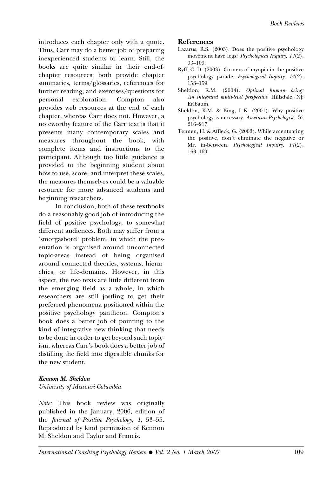introduces each chapter only with a quote. Thus, Carr may do a better job of preparing inexperienced students to learn. Still, the books are quite similar in their end-ofchapter resources; both provide chapter summaries, terms/glossaries, references for further reading, and exercises/questions for personal exploration. Compton also provides web resources at the end of each chapter, whereas Carr does not. However, a noteworthy feature of the Carr text is that it presents many contemporary scales and measures throughout the book, with complete items and instructions to the participant. Although too little guidance is provided to the beginning student about how to use, score, and interpret these scales, the measures themselves could be a valuable resource for more advanced students and beginning researchers.

In conclusion, both of these textbooks do a reasonably good job of introducing the field of positive psychology, to somewhat different audiences. Both may suffer from a 'smorgasbord' problem, in which the presentation is organised around unconnected topic-areas instead of being organised around connected theories, systems, hierarchies, or life-domains. However, in this aspect, the two texts are little different from the emerging field as a whole, in which researchers are still jostling to get their preferred phenomena positioned within the positive psychology pantheon. Compton's book does a better job of pointing to the kind of integrative new thinking that needs to be done in order to get beyond such topicism, whereas Carr's book does a better job of distilling the field into digestible chunks for the new student.

### **Kennon M. Sheldon**

*University of Missouri-Columbia*

*Note:* This book review was originally published in the January, 2006, edition of the *Journal of Positive Psychology, 1*, 53–55. Reproduced by kind permission of Kennon M. Sheldon and Taylor and Francis.

#### **References**

- Lazarus, R.S. (2003). Does the positive psychology movement have legs? *Psychological Inquiry, 14*(2), 93–109.
- Ryff, C. D. (2003). Corners of myopia in the positive psychology parade. *Psychological Inquiry, 14*(2), 153–159.
- Sheldon, K.M. (2004). *Optimal human being: An integrated multi-level perspective.* Hillsdale, NJ: Erlbaum.
- Sheldon, K.M. & King, L.K. (2001). Why positive psychology is necessary. *American Psychologist, 56*, 216–217.
- Tennen, H. & Affleck, G. (2003). While accentuating the positive, don't eliminate the negative or Mr. in-between. *Psychological Inquiry, 14*(2), 163–169.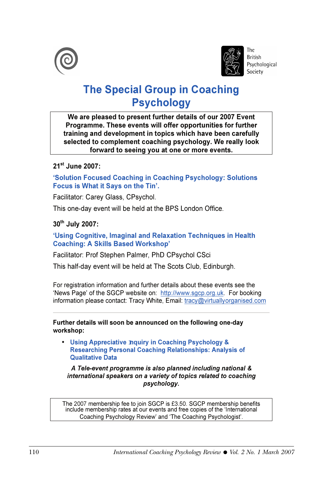



### **British** Psychological Society

# **The Special Group in Coaching Psychology**

**We are pleased to present further details of our 2007 Event Programme. These events will offer opportunities for further training and development in topics which have been carefully selected to complement coaching psychology. We really look forward to seeing you at one or more events.** 

### **21st June 2007:**

**'Solution Focused Coaching in Coaching Psychology: Solutions Focus is What it Says on the Tin'.** 

Facilitator: Carey Glass, CPsychol.

This one-day event will be held at the BPS London Office.

## **30th July 2007:**

### **'Using Cognitive, Imaginal and Relaxation Techniques in Health Coaching: A Skills Based Workshop'**

Facilitator: Prof Stephen Palmer, PhD CPsychol CSci

This half-day event will be held at The Scots Club, Edinburgh.

For registration information and further details about these events see the 'News Page' of the SGCP website on: http://www.sgcp.org.uk. For booking information please contact: Tracy White, Email: tracy@virtuallyorganised.com

**Further details will soon be announced on the following one-day workshop:** 

• **Using Appreciative** I**nquiry in Coaching Psychology & Researching Personal Coaching Relationships: Analysis of Qualitative Data** 

*A Tele-event programme is also planned including national & international speakers on a variety of topics related to coaching psychology.* 

The 2007 membership fee to join SGCP is £3.50. SGCP membership benefits include membership rates at our events and free copies of the 'International Coaching Psychology Review' and 'The Coaching Psychologist'.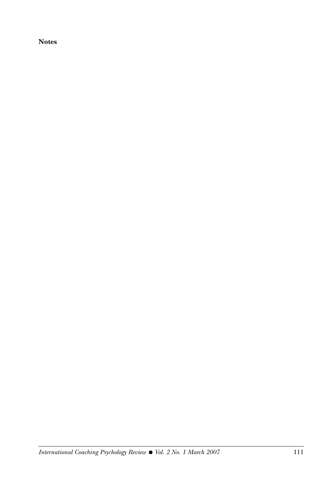**Notes**